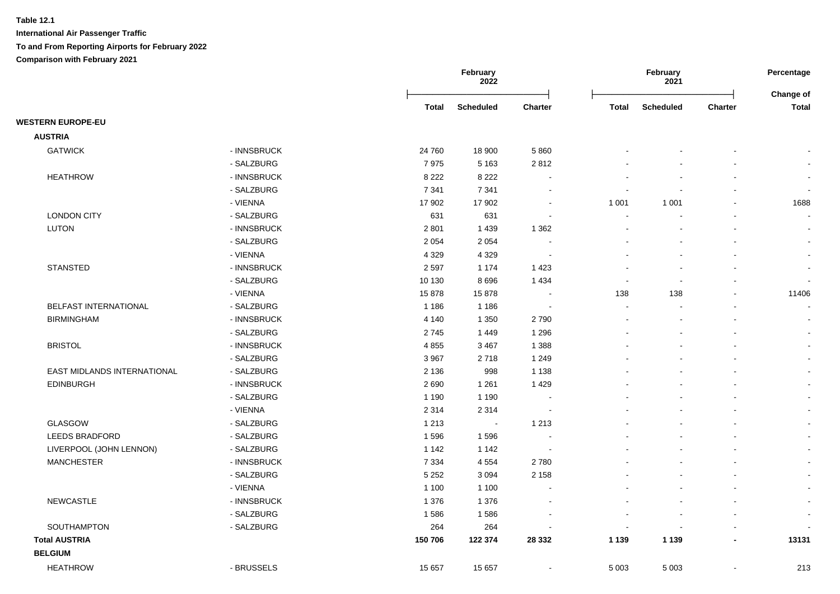|                             |             |         | February<br>2022 |                          |                          | February<br>2021 |                | Percentage<br><b>Change of</b> |
|-----------------------------|-------------|---------|------------------|--------------------------|--------------------------|------------------|----------------|--------------------------------|
|                             |             | Total   | <b>Scheduled</b> | <b>Charter</b>           | Total                    | <b>Scheduled</b> | <b>Charter</b> | <b>Total</b>                   |
| <b>WESTERN EUROPE-EU</b>    |             |         |                  |                          |                          |                  |                |                                |
| <b>AUSTRIA</b>              |             |         |                  |                          |                          |                  |                |                                |
| <b>GATWICK</b>              | - INNSBRUCK | 24 760  | 18 900           | 5860                     |                          |                  |                |                                |
|                             | - SALZBURG  | 7975    | 5 1 6 3          | 2812                     |                          |                  |                |                                |
| <b>HEATHROW</b>             | - INNSBRUCK | 8 2 2 2 | 8 2 2 2          |                          |                          |                  |                |                                |
|                             | - SALZBURG  | 7 3 4 1 | 7 3 4 1          |                          |                          |                  |                | $\blacksquare$                 |
|                             | - VIENNA    | 17 902  | 17 902           |                          | 1 0 0 1                  | 1 0 0 1          |                | 1688                           |
| <b>LONDON CITY</b>          | - SALZBURG  | 631     | 631              |                          |                          |                  |                | $\blacksquare$                 |
| LUTON                       | - INNSBRUCK | 2 8 0 1 | 1439             | 1 3 6 2                  |                          |                  |                | $\overline{\phantom{a}}$       |
|                             | - SALZBURG  | 2 0 5 4 | 2 0 5 4          |                          |                          |                  |                | $\blacksquare$                 |
|                             | - VIENNA    | 4 3 2 9 | 4 3 2 9          |                          |                          |                  |                | $\blacksquare$                 |
| <b>STANSTED</b>             | - INNSBRUCK | 2597    | 1 1 7 4          | 1423                     |                          |                  |                | $\blacksquare$                 |
|                             | - SALZBURG  | 10 130  | 8696             | 1 4 3 4                  |                          |                  |                |                                |
|                             | - VIENNA    | 15878   | 15878            |                          | 138                      | 138              |                | 11406                          |
| BELFAST INTERNATIONAL       | - SALZBURG  | 1 1 8 6 | 1 1 8 6          |                          |                          |                  |                |                                |
| <b>BIRMINGHAM</b>           | - INNSBRUCK | 4 1 4 0 | 1 3 5 0          | 2790                     |                          |                  |                |                                |
|                             | - SALZBURG  | 2745    | 1 4 4 9          | 1 2 9 6                  |                          |                  |                |                                |
| <b>BRISTOL</b>              | - INNSBRUCK | 4 8 5 5 | 3 4 6 7          | 1 3 8 8                  |                          |                  |                |                                |
|                             | - SALZBURG  | 3 9 6 7 | 2718             | 1 2 4 9                  |                          |                  |                |                                |
| EAST MIDLANDS INTERNATIONAL | - SALZBURG  | 2 1 3 6 | 998              | 1 1 3 8                  |                          |                  |                | $\blacksquare$                 |
| <b>EDINBURGH</b>            | - INNSBRUCK | 2690    | 1 2 6 1          | 1 4 2 9                  |                          |                  |                | $\blacksquare$                 |
|                             | - SALZBURG  | 1 1 9 0 | 1 1 9 0          |                          |                          |                  |                | $\blacksquare$                 |
|                             | - VIENNA    | 2 3 1 4 | 2 3 1 4          |                          |                          |                  |                | $\sim$                         |
| <b>GLASGOW</b>              | - SALZBURG  | 1 2 1 3 | $\bullet$        | 1 2 1 3                  |                          |                  |                | $\blacksquare$                 |
| <b>LEEDS BRADFORD</b>       | - SALZBURG  | 1596    | 1596             |                          |                          |                  |                |                                |
| LIVERPOOL (JOHN LENNON)     | - SALZBURG  | 1 1 4 2 | 1 1 4 2          |                          |                          |                  |                |                                |
| <b>MANCHESTER</b>           | - INNSBRUCK | 7 3 3 4 | 4 5 5 4          | 2780                     |                          |                  |                | $\overline{\phantom{a}}$       |
|                             | - SALZBURG  | 5 2 5 2 | 3 0 9 4          | 2 1 5 8                  |                          |                  |                | $\blacksquare$                 |
|                             | - VIENNA    | 1 100   | 1 1 0 0          |                          |                          |                  |                | $\blacksquare$                 |
| <b>NEWCASTLE</b>            | - INNSBRUCK | 1 3 7 6 | 1 3 7 6          |                          |                          |                  |                | $\blacksquare$                 |
|                             | - SALZBURG  | 1586    | 1586             |                          |                          |                  |                | $\overline{a}$                 |
| SOUTHAMPTON                 | - SALZBURG  | 264     | 264              |                          | $\overline{\phantom{a}}$ |                  |                |                                |
| <b>Total AUSTRIA</b>        |             | 150 706 | 122 374          | 28 3 32                  | 1 1 3 9                  | 1 1 3 9          | $\blacksquare$ | 13131                          |
| <b>BELGIUM</b>              |             |         |                  |                          |                          |                  |                |                                |
| <b>HEATHROW</b>             | - BRUSSELS  | 15 657  | 15 657           | $\overline{\phantom{a}}$ | 5 0 0 3                  | 5 0 0 3          |                | 213                            |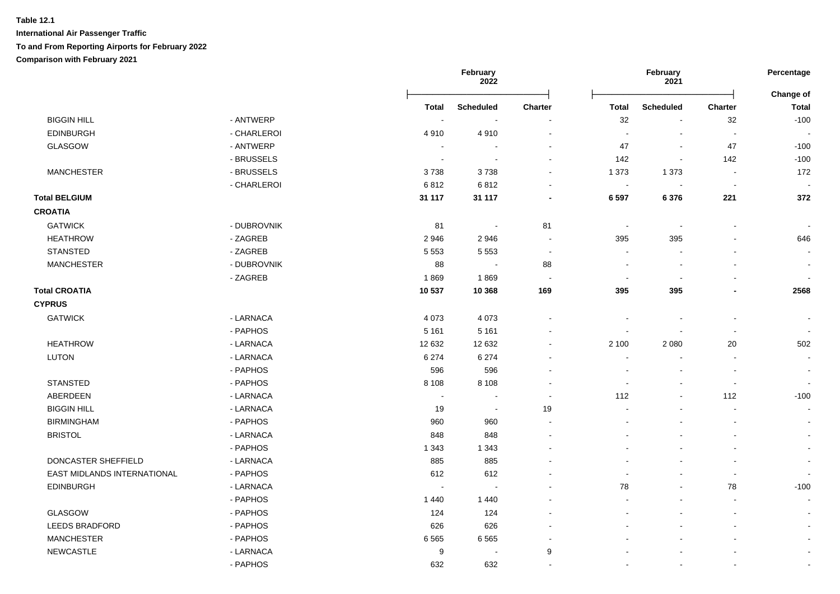|                             |             |              | February<br>2022 |                          | February<br>2021         |                          |                | Percentage<br>Change of |  |
|-----------------------------|-------------|--------------|------------------|--------------------------|--------------------------|--------------------------|----------------|-------------------------|--|
|                             |             | <b>Total</b> | <b>Scheduled</b> | Charter                  | <b>Total</b>             | <b>Scheduled</b>         | Charter        | Total                   |  |
| <b>BIGGIN HILL</b>          | - ANTWERP   | $\sim$       | $\sim$           |                          | 32                       | $\blacksquare$           | 32             | $-100$                  |  |
| <b>EDINBURGH</b>            | - CHARLEROI | 4910         | 4910             | $\blacksquare$           | $\sim$                   |                          | $\blacksquare$ |                         |  |
| GLASGOW                     | - ANTWERP   |              |                  | $\sim$                   | 47                       | $\blacksquare$           | 47             | $-100$                  |  |
|                             | - BRUSSELS  |              |                  | $\sim$                   | 142                      | $\blacksquare$           | 142            | $-100$                  |  |
| <b>MANCHESTER</b>           | - BRUSSELS  | 3738         | 3738             | $\blacksquare$           | 1 3 7 3                  | 1 3 7 3                  |                | 172                     |  |
|                             | - CHARLEROI | 6812         | 6812             |                          | $\overline{\phantom{a}}$ |                          |                |                         |  |
| <b>Total BELGIUM</b>        |             | 31 117       | 31 117           | $\blacksquare$           | 6 5 9 7                  | 6376                     | 221            | 372                     |  |
| <b>CROATIA</b>              |             |              |                  |                          |                          |                          |                |                         |  |
| <b>GATWICK</b>              | - DUBROVNIK | 81           | $\sim$           | 81                       | $\sim$                   | $\overline{\phantom{a}}$ |                | $\sim$                  |  |
| <b>HEATHROW</b>             | - ZAGREB    | 2946         | 2946             | $\overline{\phantom{a}}$ | 395                      | 395                      |                | 646                     |  |
| <b>STANSTED</b>             | - ZAGREB    | 5 5 5 3      | 5 5 5 3          | $\sim$                   |                          |                          |                | $\blacksquare$          |  |
| <b>MANCHESTER</b>           | - DUBROVNIK | 88           | $\sim$           | 88                       |                          | $\overline{\phantom{a}}$ |                | $\sim$                  |  |
|                             | - ZAGREB    | 1869         | 1869             | $\overline{\phantom{a}}$ |                          |                          |                |                         |  |
| <b>Total CROATIA</b>        |             | 10 537       | 10 368           | 169                      | 395                      | 395                      |                | 2568                    |  |
| <b>CYPRUS</b>               |             |              |                  |                          |                          |                          |                |                         |  |
| <b>GATWICK</b>              | - LARNACA   | 4 0 7 3      | 4 0 7 3          |                          |                          |                          | $\sim$         | $\sim$                  |  |
|                             | - PAPHOS    | 5 1 6 1      | 5 1 6 1          |                          |                          |                          |                |                         |  |
| <b>HEATHROW</b>             | - LARNACA   | 12 632       | 12 632           |                          | 2 100                    | 2 0 8 0                  | 20             | 502                     |  |
| <b>LUTON</b>                | - LARNACA   | 6 2 7 4      | 6 2 7 4          |                          |                          |                          |                |                         |  |
|                             | - PAPHOS    | 596          | 596              |                          |                          |                          |                |                         |  |
| <b>STANSTED</b>             | - PAPHOS    | 8 1 0 8      | 8 1 0 8          |                          |                          |                          |                |                         |  |
| ABERDEEN                    | - LARNACA   |              |                  |                          | 112                      |                          | 112            | $-100$                  |  |
| <b>BIGGIN HILL</b>          | - LARNACA   | 19           | $\sim$           | 19                       |                          |                          |                | $\sim$                  |  |
| <b>BIRMINGHAM</b>           | - PAPHOS    | 960          | 960              |                          |                          |                          |                |                         |  |
| <b>BRISTOL</b>              | - LARNACA   | 848          | 848              |                          |                          |                          |                |                         |  |
|                             | - PAPHOS    | 1 3 4 3      | 1 3 4 3          |                          |                          |                          |                |                         |  |
| DONCASTER SHEFFIELD         | - LARNACA   | 885          | 885              |                          |                          |                          |                | $\sim$                  |  |
| EAST MIDLANDS INTERNATIONAL | - PAPHOS    | 612          | 612              |                          |                          |                          |                |                         |  |
| <b>EDINBURGH</b>            | - LARNACA   |              |                  |                          | 78                       |                          | 78             | $-100$                  |  |
|                             | - PAPHOS    | 1 4 4 0      | 1440             |                          |                          |                          | $\sim$         | $\sim$                  |  |
| GLASGOW                     | - PAPHOS    | 124          | 124              |                          |                          |                          | $\sim$         | $\sim$                  |  |
| LEEDS BRADFORD              | - PAPHOS    | 626          | 626              |                          |                          |                          |                | $\sim$                  |  |
| <b>MANCHESTER</b>           | - PAPHOS    | 6565         | 6565             |                          |                          |                          |                | $\sim$                  |  |
| <b>NEWCASTLE</b>            | - LARNACA   | 9            |                  | 9                        |                          |                          |                |                         |  |
|                             | - PAPHOS    | 632          | 632              |                          |                          |                          |                |                         |  |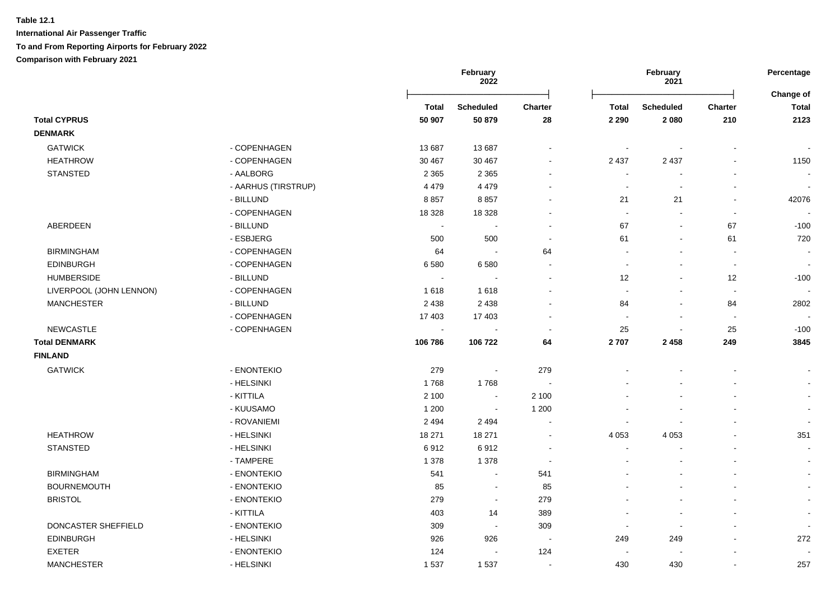|                         |                     | February<br>2022 |                  |                          | February<br>2021         |                  |                          |                           |
|-------------------------|---------------------|------------------|------------------|--------------------------|--------------------------|------------------|--------------------------|---------------------------|
|                         |                     | <b>Total</b>     | <b>Scheduled</b> | <b>Charter</b>           | Total                    | <b>Scheduled</b> | Charter                  | Change of<br><b>Total</b> |
| <b>Total CYPRUS</b>     |                     | 50 907           | 50 879           | 28                       | 2 2 9 0                  | 2 0 8 0          | 210                      | 2123                      |
| <b>DENMARK</b>          |                     |                  |                  |                          |                          |                  |                          |                           |
| <b>GATWICK</b>          | - COPENHAGEN        | 13 687           | 13 687           |                          | $\sim$                   |                  |                          |                           |
| <b>HEATHROW</b>         | - COPENHAGEN        | 30 467           | 30 467           | $\mathbf{r}$             | 2 4 3 7                  | 2 4 3 7          |                          | 1150                      |
| <b>STANSTED</b>         | - AALBORG           | 2 3 6 5          | 2 3 6 5          |                          | $\overline{\phantom{a}}$ |                  |                          | $\blacksquare$            |
|                         | - AARHUS (TIRSTRUP) | 4 4 7 9          | 4 4 7 9          |                          | $\blacksquare$           | $\blacksquare$   |                          | $\blacksquare$            |
|                         | - BILLUND           | 8857             | 8857             |                          | 21                       | 21               | $\overline{\phantom{a}}$ | 42076                     |
|                         | - COPENHAGEN        | 18 3 28          | 18 3 28          |                          | $\sim$                   |                  | $\blacksquare$           |                           |
| ABERDEEN                | - BILLUND           |                  |                  | $\blacksquare$           | 67                       | $\blacksquare$   | 67                       | $-100$                    |
|                         | - ESBJERG           | 500              | 500              | $\blacksquare$           | 61                       |                  | 61                       | 720                       |
| <b>BIRMINGHAM</b>       | - COPENHAGEN        | 64               | $\sim$           | 64                       |                          |                  |                          |                           |
| <b>EDINBURGH</b>        | - COPENHAGEN        | 6580             | 6580             |                          |                          |                  | $\blacksquare$           |                           |
| <b>HUMBERSIDE</b>       | - BILLUND           |                  |                  |                          | 12                       |                  | 12                       | $-100$                    |
| LIVERPOOL (JOHN LENNON) | - COPENHAGEN        | 1618             | 1618             |                          | $\sim$                   |                  | $\blacksquare$           |                           |
| <b>MANCHESTER</b>       | - BILLUND           | 2 4 3 8          | 2 4 3 8          |                          | 84                       | $\blacksquare$   | 84                       | 2802                      |
|                         | - COPENHAGEN        | 17 403           | 17 403           |                          | $\blacksquare$           | $\blacksquare$   | $\sim$                   |                           |
| <b>NEWCASTLE</b>        | - COPENHAGEN        | $\sim$           |                  | $\sim$                   | 25                       | $\blacksquare$   | 25                       | $-100$                    |
| <b>Total DENMARK</b>    |                     | 106 786          | 106 722          | 64                       | 2707                     | 2 4 5 8          | 249                      | 3845                      |
| <b>FINLAND</b>          |                     |                  |                  |                          |                          |                  |                          |                           |
| <b>GATWICK</b>          | - ENONTEKIO         | 279              | $\sim$           | 279                      |                          |                  |                          |                           |
|                         | - HELSINKI          | 1768             | 1768             | $\overline{\phantom{a}}$ |                          |                  |                          |                           |
|                         | - KITTILA           | 2 100            | $\blacksquare$   | 2 100                    |                          |                  |                          |                           |
|                         | - KUUSAMO           | 1 200            | $\sim$           | 1 200                    |                          |                  |                          |                           |
|                         | - ROVANIEMI         | 2 4 9 4          | 2 4 9 4          | $\blacksquare$           |                          |                  |                          | $\sim$                    |
| <b>HEATHROW</b>         | - HELSINKI          | 18 271           | 18 271           | $\blacksquare$           | 4 0 5 3                  | 4 0 5 3          |                          | 351                       |
| <b>STANSTED</b>         | - HELSINKI          | 6912             | 6912             | $\sim$                   | $\sim$                   |                  |                          | $\sim$                    |
|                         | - TAMPERE           | 1 3 7 8          | 1 3 7 8          | <b>.</b>                 |                          |                  |                          | $\sim$                    |
| <b>BIRMINGHAM</b>       | - ENONTEKIO         | 541              | $\sim$           | 541                      |                          |                  |                          | $\sim$                    |
| <b>BOURNEMOUTH</b>      | - ENONTEKIO         | 85               | $\blacksquare$   | 85                       |                          |                  |                          | $\blacksquare$            |
| <b>BRISTOL</b>          | - ENONTEKIO         | 279              | $\sim$           | 279                      |                          |                  |                          | $\blacksquare$            |
|                         | - KITTILA           | 403              | 14               | 389                      |                          |                  |                          |                           |
| DONCASTER SHEFFIELD     | - ENONTEKIO         | 309              | $\sim$           | 309                      | $\sim$                   |                  |                          |                           |
| <b>EDINBURGH</b>        | - HELSINKI          | 926              | 926              | $\overline{\phantom{a}}$ | 249                      | 249              |                          | 272                       |
| <b>EXETER</b>           | - ENONTEKIO         | 124              |                  | 124                      |                          |                  |                          |                           |
| <b>MANCHESTER</b>       | - HELSINKI          | 1537             | 1537             | $\sim$                   | 430                      | 430              |                          | 257                       |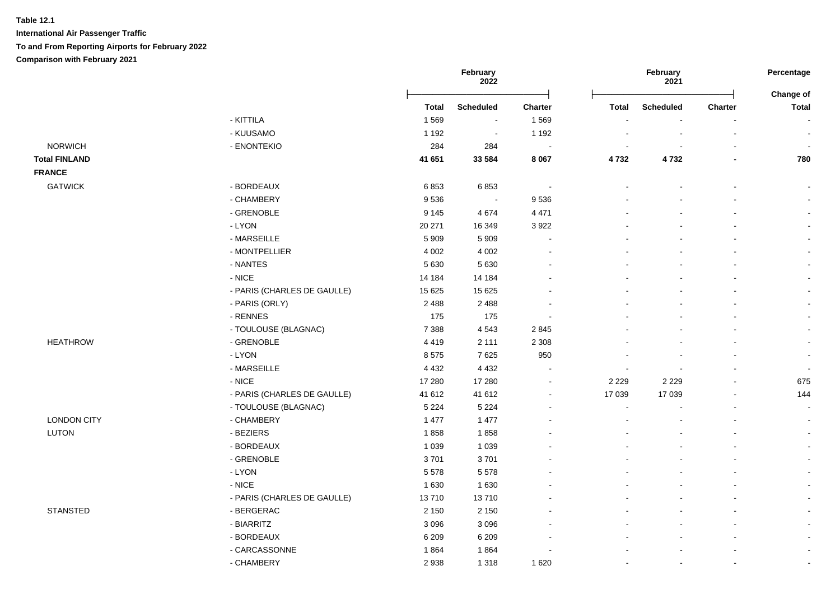|                      |                             |              | February<br>2022 |                |              | February<br>2021 |                | Percentage<br>Change of |
|----------------------|-----------------------------|--------------|------------------|----------------|--------------|------------------|----------------|-------------------------|
|                      |                             | <b>Total</b> | <b>Scheduled</b> | Charter        | <b>Total</b> | <b>Scheduled</b> | <b>Charter</b> | <b>Total</b>            |
|                      | - KITTILA                   | 1569         | $\sim$           | 1569           |              |                  |                |                         |
|                      | - KUUSAMO                   | 1 1 9 2      | $\sim$           | 1 1 9 2        |              |                  |                |                         |
| <b>NORWICH</b>       | - ENONTEKIO                 | 284          | 284              | $\sim$         |              |                  |                |                         |
| <b>Total FINLAND</b> |                             | 41 651       | 33 5 84          | 8 0 6 7        | 4732         | 4732             |                | 780                     |
| <b>FRANCE</b>        |                             |              |                  |                |              |                  |                |                         |
| <b>GATWICK</b>       | - BORDEAUX                  | 6853         | 6853             | $\sim$         |              |                  |                |                         |
|                      | - CHAMBERY                  | 9536         | $\blacksquare$   | 9536           |              |                  |                | $\blacksquare$          |
|                      | - GRENOBLE                  | 9 1 4 5      | 4674             | 4 4 7 1        |              |                  |                |                         |
|                      | - LYON                      | 20 271       | 16 349           | 3 9 2 2        |              |                  |                | $\blacksquare$          |
|                      | - MARSEILLE                 | 5909         | 5 9 0 9          | $\blacksquare$ |              |                  |                |                         |
|                      | - MONTPELLIER               | 4 0 0 2      | 4 0 0 2          | $\blacksquare$ |              |                  |                |                         |
|                      | - NANTES                    | 5 6 3 0      | 5630             |                |              |                  |                |                         |
|                      | $-NICE$                     | 14 184       | 14 184           |                |              |                  |                |                         |
|                      | - PARIS (CHARLES DE GAULLE) | 15 6 25      | 15 6 25          |                |              |                  |                |                         |
|                      | - PARIS (ORLY)              | 2 4 8 8      | 2 4 8 8          | $\blacksquare$ |              |                  |                | $\blacksquare$          |
|                      | - RENNES                    | 175          | 175              | $\sim$         |              |                  |                | $\blacksquare$          |
|                      | - TOULOUSE (BLAGNAC)        | 7 3 8 8      | 4543             | 2 8 4 5        |              |                  |                | $\blacksquare$          |
| <b>HEATHROW</b>      | - GRENOBLE                  | 4419         | 2 1 1 1          | 2 3 0 8        |              |                  |                |                         |
|                      | - LYON                      | 8575         | 7625             | 950            |              |                  |                |                         |
|                      | - MARSEILLE                 | 4 4 3 2      | 4 4 3 2          | $\sim$         |              |                  |                | $\blacksquare$          |
|                      | $-$ NICE                    | 17 280       | 17 280           | $\blacksquare$ | 2 2 2 9      | 2 2 2 9          |                | 675                     |
|                      | - PARIS (CHARLES DE GAULLE) | 41 612       | 41 612           | $\sim$         | 17 039       | 17 039           |                | 144                     |
|                      | - TOULOUSE (BLAGNAC)        | 5 2 2 4      | 5 2 2 4          | $\blacksquare$ | ÷,           |                  |                | $\blacksquare$          |
| <b>LONDON CITY</b>   | - CHAMBERY                  | 1 477        | 1 477            |                |              |                  |                |                         |
| LUTON                | - BEZIERS                   | 1858         | 1858             |                |              |                  |                | $\overline{a}$          |
|                      | - BORDEAUX                  | 1 0 3 9      | 1 0 3 9          |                |              |                  |                | $\blacksquare$          |
|                      | - GRENOBLE                  | 3701         | 3701             |                |              |                  |                | $\blacksquare$          |
|                      | $-LYON$                     | 5578         | 5578             |                |              |                  |                | $\blacksquare$          |
|                      | $-NICE$                     | 1 6 3 0      | 1 6 3 0          |                |              |                  |                |                         |
|                      | - PARIS (CHARLES DE GAULLE) | 13710        | 13710            |                |              |                  |                | L,                      |
| <b>STANSTED</b>      | - BERGERAC                  | 2 1 5 0      | 2 1 5 0          |                |              |                  |                |                         |
|                      | - BIARRITZ                  | 3 0 9 6      | 3 0 9 6          | $\blacksquare$ |              |                  |                |                         |
|                      | - BORDEAUX                  | 6 2 0 9      | 6 2 0 9          |                |              |                  |                |                         |
|                      | - CARCASSONNE               | 1864         | 1864             |                |              |                  |                |                         |
|                      | - CHAMBERY                  | 2938         | 1 3 1 8          | 1 6 2 0        |              |                  |                |                         |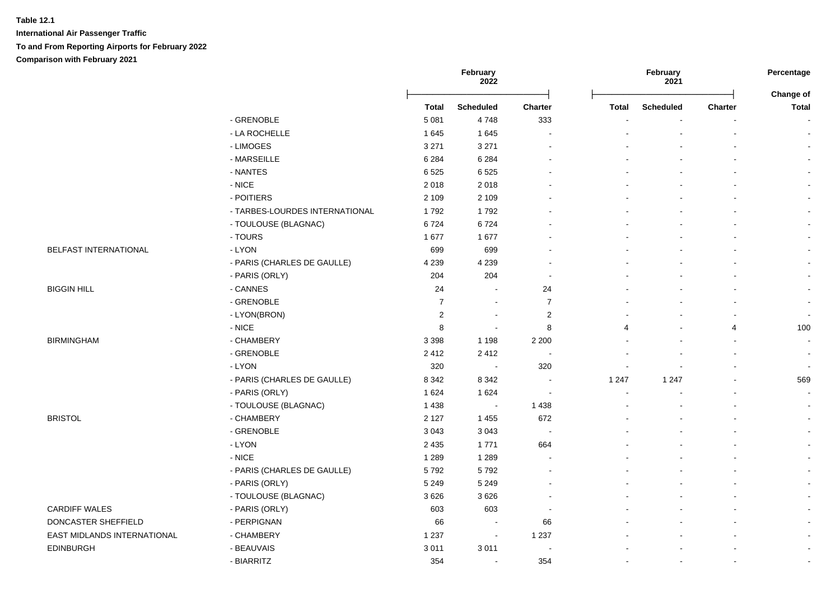**International Air Passenger Traffic To and From Reporting Airports for February 2022 Comparison with February 2021**

|                             |                                |                | February<br>2022 |                          |              | February<br>2021 |                | Percentage<br>Change of |  |
|-----------------------------|--------------------------------|----------------|------------------|--------------------------|--------------|------------------|----------------|-------------------------|--|
|                             |                                | <b>Total</b>   | <b>Scheduled</b> | Charter                  | <b>Total</b> | <b>Scheduled</b> | <b>Charter</b> | <b>Total</b>            |  |
|                             | - GRENOBLE                     | 5 0 8 1        | 4748             | 333                      |              |                  |                |                         |  |
|                             | - LA ROCHELLE                  | 1645           | 1645             | $\overline{\phantom{a}}$ |              |                  |                |                         |  |
|                             | - LIMOGES                      | 3 2 7 1        | 3 2 7 1          | $\sim$                   |              |                  |                | $\blacksquare$          |  |
|                             | - MARSEILLE                    | 6 2 8 4        | 6 2 8 4          | $\overline{a}$           |              |                  |                | $\blacksquare$          |  |
|                             | - NANTES                       | 6525           | 6525             |                          |              |                  |                |                         |  |
|                             | $-$ NICE                       | 2018           | 2018             |                          |              |                  |                |                         |  |
|                             | - POITIERS                     | 2 1 0 9        | 2 1 0 9          |                          |              |                  |                |                         |  |
|                             | - TARBES-LOURDES INTERNATIONAL | 1792           | 1792             |                          |              |                  |                |                         |  |
|                             | - TOULOUSE (BLAGNAC)           | 6724           | 6724             |                          |              |                  |                |                         |  |
|                             | - TOURS                        | 1677           | 1677             |                          |              |                  |                |                         |  |
| BELFAST INTERNATIONAL       | - LYON                         | 699            | 699              | $\blacksquare$           |              |                  |                |                         |  |
|                             | - PARIS (CHARLES DE GAULLE)    | 4 2 3 9        | 4 2 3 9          |                          |              |                  |                |                         |  |
|                             | - PARIS (ORLY)                 | 204            | 204              | $\overline{\phantom{a}}$ |              |                  |                |                         |  |
| <b>BIGGIN HILL</b>          | - CANNES                       | 24             | $\sim$           | 24                       |              |                  |                |                         |  |
|                             | - GRENOBLE                     | $\overline{7}$ | $\sim$           | $\boldsymbol{7}$         |              |                  |                |                         |  |
|                             | - LYON(BRON)                   | $\mathbf 2$    | $\sim$           | $\sqrt{2}$               |              |                  |                |                         |  |
|                             | $-NICE$                        | 8              | $\sim$           | 8                        | 4            |                  | 4              | 100                     |  |
| <b>BIRMINGHAM</b>           | - CHAMBERY                     | 3 3 9 8        | 1 1 9 8          | 2 2 0 0                  |              |                  |                | $\sim$                  |  |
|                             | - GRENOBLE                     | 2412           | 2412             | $\sim$                   |              |                  |                | $\sim$                  |  |
|                             | - LYON                         | 320            | $\sim$           | 320                      |              |                  |                | $\sim$                  |  |
|                             | - PARIS (CHARLES DE GAULLE)    | 8 3 4 2        | 8 3 4 2          | $\sim$                   | 1 2 4 7      | 1 2 4 7          |                | 569                     |  |
|                             | - PARIS (ORLY)                 | 1624           | 1624             | $\sim$                   |              |                  |                |                         |  |
|                             | - TOULOUSE (BLAGNAC)           | 1 4 3 8        | $\sim$           | 1 4 3 8                  |              |                  |                |                         |  |
| <b>BRISTOL</b>              | - CHAMBERY                     | 2 1 2 7        | 1 4 5 5          | 672                      |              |                  |                |                         |  |
|                             | - GRENOBLE                     | 3 0 4 3        | 3 0 4 3          | $\sim$                   |              |                  |                |                         |  |
|                             | - LYON                         | 2 4 3 5        | 1771             | 664                      |              |                  |                |                         |  |
|                             | $-$ NICE                       | 1 2 8 9        | 1 2 8 9          | $\sim$                   |              |                  |                |                         |  |
|                             | - PARIS (CHARLES DE GAULLE)    | 5792           | 5792             |                          |              |                  |                |                         |  |
|                             | - PARIS (ORLY)                 | 5 2 4 9        | 5 2 4 9          |                          |              |                  |                |                         |  |
|                             | - TOULOUSE (BLAGNAC)           | 3626           | 3626             |                          |              |                  |                |                         |  |
| <b>CARDIFF WALES</b>        | - PARIS (ORLY)                 | 603            | 603              |                          |              |                  |                |                         |  |
| DONCASTER SHEFFIELD         | - PERPIGNAN                    | 66             | $\sim$           | 66                       |              |                  |                |                         |  |
| EAST MIDLANDS INTERNATIONAL | - CHAMBERY                     | 1 2 3 7        | $\sim$           | 1 2 3 7                  |              |                  |                |                         |  |
| <b>EDINBURGH</b>            | - BEAUVAIS                     | 3011           | 3011             | $\sim$                   |              |                  |                | $\sim$                  |  |
|                             | - BIARRITZ                     | 354            | $\sim$           | 354                      |              |                  | $\blacksquare$ | $\blacksquare$          |  |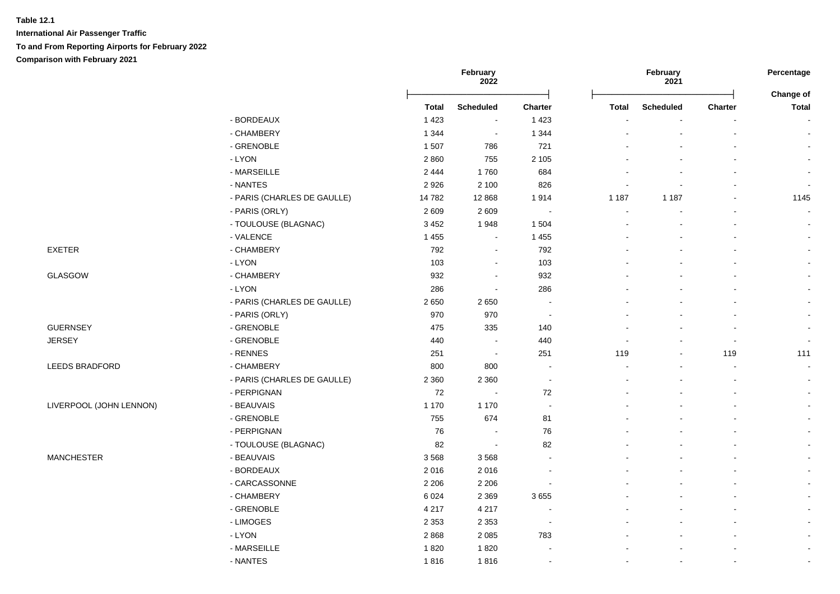**International Air Passenger Traffic To and From Reporting Airports for February 2022 Comparison with February 2021**

|                         |                             |              | February<br>2022 |                |         | February<br>2021 |         | Percentage         |
|-------------------------|-----------------------------|--------------|------------------|----------------|---------|------------------|---------|--------------------|
|                         |                             | <b>Total</b> | <b>Scheduled</b> | <b>Charter</b> | Total   | <b>Scheduled</b> | Charter | Change of<br>Total |
|                         | - BORDEAUX                  | 1 4 2 3      | $\blacksquare$   | 1 4 2 3        |         |                  |         |                    |
|                         | - CHAMBERY                  | 1 3 4 4      | $\sim$           | 1 3 4 4        |         |                  |         | $\sim$             |
|                         | - GRENOBLE                  | 1507         | 786              | 721            |         |                  |         |                    |
|                         | - LYON                      | 2860         | 755              | 2 1 0 5        |         |                  |         |                    |
|                         | - MARSEILLE                 | 2 4 4 4      | 1760             | 684            |         |                  |         |                    |
|                         | - NANTES                    | 2926         | 2 100            | 826            |         |                  |         | $\blacksquare$     |
|                         | - PARIS (CHARLES DE GAULLE) | 14782        | 12 8 68          | 1914           | 1 1 8 7 | 1 1 8 7          |         | 1145               |
|                         | - PARIS (ORLY)              | 2609         | 2609             | $\sim$         |         |                  |         |                    |
|                         | - TOULOUSE (BLAGNAC)        | 3 4 5 2      | 1948             | 1 504          |         |                  |         | $\sim$             |
|                         | - VALENCE                   | 1 4 5 5      | $\blacksquare$   | 1 4 5 5        |         |                  |         |                    |
| <b>EXETER</b>           | - CHAMBERY                  | 792          | $\sim$           | 792            |         |                  |         |                    |
|                         | - LYON                      | 103          | $\sim$           | 103            |         |                  |         |                    |
| GLASGOW                 | - CHAMBERY                  | 932          |                  | 932            |         |                  |         |                    |
|                         | - LYON                      | 286          | $\sim$           | 286            |         |                  |         |                    |
|                         | - PARIS (CHARLES DE GAULLE) | 2650         | 2650             | $\sim$         |         |                  |         |                    |
|                         | - PARIS (ORLY)              | 970          | 970              | $\sim$         |         |                  |         | $\sim$             |
| <b>GUERNSEY</b>         | - GRENOBLE                  | 475          | 335              | 140            |         |                  |         | $\blacksquare$     |
| <b>JERSEY</b>           | - GRENOBLE                  | 440          | $\sim$           | 440            |         |                  |         | $\blacksquare$     |
|                         | - RENNES                    | 251          | $\sim$           | 251            | 119     |                  | 119     | 111                |
| LEEDS BRADFORD          | - CHAMBERY                  | 800          | 800              | $\sim$         |         |                  |         | $\sim$             |
|                         | - PARIS (CHARLES DE GAULLE) | 2 3 6 0      | 2 3 6 0          | $\sim$         |         |                  |         |                    |
|                         | - PERPIGNAN                 | 72           | $\sim$           | 72             |         |                  |         | $\blacksquare$     |
| LIVERPOOL (JOHN LENNON) | - BEAUVAIS                  | 1 1 7 0      | 1 1 7 0          | $\sim$         |         |                  |         | $\sim$             |
|                         | - GRENOBLE                  | 755          | 674              | 81             |         |                  |         |                    |
|                         | - PERPIGNAN                 | 76           | $\sim$           | 76             |         |                  |         | $\sim$             |
|                         | - TOULOUSE (BLAGNAC)        | 82           | $\sim$           | 82             |         |                  |         | $\blacksquare$     |
| <b>MANCHESTER</b>       | - BEAUVAIS                  | 3568         | 3568             |                |         |                  |         |                    |
|                         | - BORDEAUX                  | 2016         | 2016             |                |         |                  |         |                    |
|                         | - CARCASSONNE               | 2 2 0 6      | 2 2 0 6          |                |         |                  |         |                    |
|                         | - CHAMBERY                  | 6024         | 2 3 6 9          | 3655           |         |                  |         |                    |
|                         | - GRENOBLE                  | 4 2 1 7      | 4 2 1 7          |                |         |                  |         |                    |
|                         | - LIMOGES                   | 2 3 5 3      | 2 3 5 3          | $\sim$         |         |                  |         |                    |
|                         | $-LYON$                     | 2868         | 2 0 8 5          | 783            |         |                  |         | $\blacksquare$     |
|                         | - MARSEILLE                 | 1820         | 1820             |                |         |                  |         | $\blacksquare$     |
|                         | - NANTES                    | 1816         | 1816             | $\sim$         |         |                  |         | $\blacksquare$     |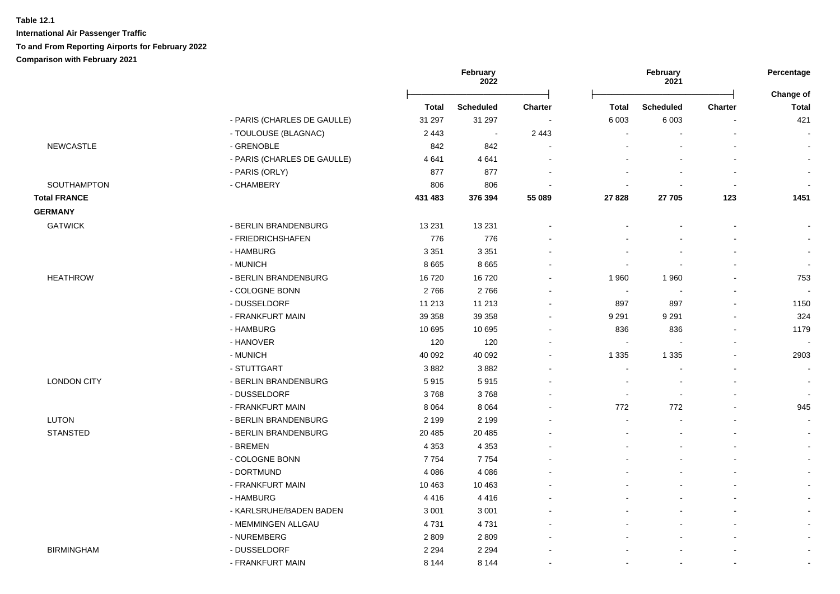|                     |                             |              | February<br>2022 |                          | February<br>2021 |                  | Percentage     |                           |
|---------------------|-----------------------------|--------------|------------------|--------------------------|------------------|------------------|----------------|---------------------------|
|                     |                             | <b>Total</b> | <b>Scheduled</b> | <b>Charter</b>           | <b>Total</b>     | <b>Scheduled</b> | <b>Charter</b> | Change of<br><b>Total</b> |
|                     | - PARIS (CHARLES DE GAULLE) | 31 297       | 31 297           | $\sim$                   | 6 0 0 3          | 6 0 0 3          |                | 421                       |
|                     | - TOULOUSE (BLAGNAC)        | 2 4 4 3      | $\sim$           | 2 4 4 3                  | $\blacksquare$   |                  |                |                           |
| <b>NEWCASTLE</b>    | - GRENOBLE                  | 842          | 842              |                          |                  |                  |                | $\blacksquare$            |
|                     | - PARIS (CHARLES DE GAULLE) | 4641         | 4641             | $\sim$                   |                  |                  |                | $\blacksquare$            |
|                     | - PARIS (ORLY)              | 877          | 877              |                          |                  |                  |                | $\tilde{\phantom{a}}$     |
| <b>SOUTHAMPTON</b>  | - CHAMBERY                  | 806          | 806              |                          |                  |                  | $\blacksquare$ |                           |
| <b>Total FRANCE</b> |                             | 431 483      | 376 394          | 55 089                   | 27 8 28          | 27 705           | 123            | 1451                      |
| <b>GERMANY</b>      |                             |              |                  |                          |                  |                  |                |                           |
| <b>GATWICK</b>      | - BERLIN BRANDENBURG        | 13 2 31      | 13 2 31          |                          |                  |                  |                | $\overline{\phantom{a}}$  |
|                     | - FRIEDRICHSHAFEN           | 776          | 776              |                          |                  |                  |                | $\blacksquare$            |
|                     | - HAMBURG                   | 3 3 5 1      | 3 3 5 1          |                          |                  |                  |                | $\blacksquare$            |
|                     | - MUNICH                    | 8 6 6 5      | 8665             |                          | ä,               |                  |                | $\blacksquare$            |
| <b>HEATHROW</b>     | - BERLIN BRANDENBURG        | 16720        | 16720            |                          | 1960             | 1960             |                | 753                       |
|                     | - COLOGNE BONN              | 2766         | 2766             |                          | $\blacksquare$   |                  |                |                           |
|                     | - DUSSELDORF                | 11 213       | 11 213           |                          | 897              | 897              | $\overline{a}$ | 1150                      |
|                     | - FRANKFURT MAIN            | 39 358       | 39 358           | $\overline{a}$           | 9 2 9 1          | 9 2 9 1          |                | 324                       |
|                     | - HAMBURG                   | 10 695       | 10 695           | $\overline{\phantom{a}}$ | 836              | 836              |                | 1179                      |
|                     | - HANOVER                   | 120          | 120              |                          | $\blacksquare$   |                  |                | $\sim$                    |
|                     | - MUNICH                    | 40 092       | 40 092           |                          | 1 3 3 5          | 1 3 3 5          |                | 2903                      |
|                     | - STUTTGART                 | 3882         | 3882             |                          | $\blacksquare$   |                  |                | $\blacksquare$            |
| <b>LONDON CITY</b>  | - BERLIN BRANDENBURG        | 5915         | 5915             |                          | $\blacksquare$   |                  |                | $\blacksquare$            |
|                     | - DUSSELDORF                | 3768         | 3768             |                          | $\blacksquare$   |                  |                | $\sim$                    |
|                     | - FRANKFURT MAIN            | 8 0 6 4      | 8 0 6 4          |                          | 772              | 772              |                | 945                       |
| <b>LUTON</b>        | - BERLIN BRANDENBURG        | 2 1 9 9      | 2 1 9 9          |                          | ä,               |                  |                | $\blacksquare$            |
| <b>STANSTED</b>     | - BERLIN BRANDENBURG        | 20 4 85      | 20 4 85          |                          |                  |                  |                | $\blacksquare$            |
|                     | - BREMEN                    | 4 3 5 3      | 4 3 5 3          |                          |                  |                  |                | $\blacksquare$            |
|                     | - COLOGNE BONN              | 7754         | 7754             |                          |                  |                  |                | $\blacksquare$            |
|                     | - DORTMUND                  | 4 0 8 6      | 4 0 8 6          |                          |                  |                  |                | $\blacksquare$            |
|                     | - FRANKFURT MAIN            | 10 4 63      | 10 4 63          |                          |                  |                  |                | $\blacksquare$            |
|                     | - HAMBURG                   | 4416         | 4416             |                          |                  |                  |                | $\sim$                    |
|                     | - KARLSRUHE/BADEN BADEN     | 3 0 0 1      | 3 0 0 1          |                          |                  |                  |                |                           |
|                     | - MEMMINGEN ALLGAU          | 4731         | 4731             |                          |                  |                  |                | $\blacksquare$            |
|                     | - NUREMBERG                 | 2809         | 2809             |                          |                  |                  |                |                           |
| <b>BIRMINGHAM</b>   | - DUSSELDORF                | 2 2 9 4      | 2 2 9 4          |                          |                  |                  |                |                           |
|                     | - FRANKFURT MAIN            | 8 1 4 4      | 8 1 4 4          |                          |                  |                  |                | $\blacksquare$            |
|                     |                             |              |                  |                          |                  |                  |                |                           |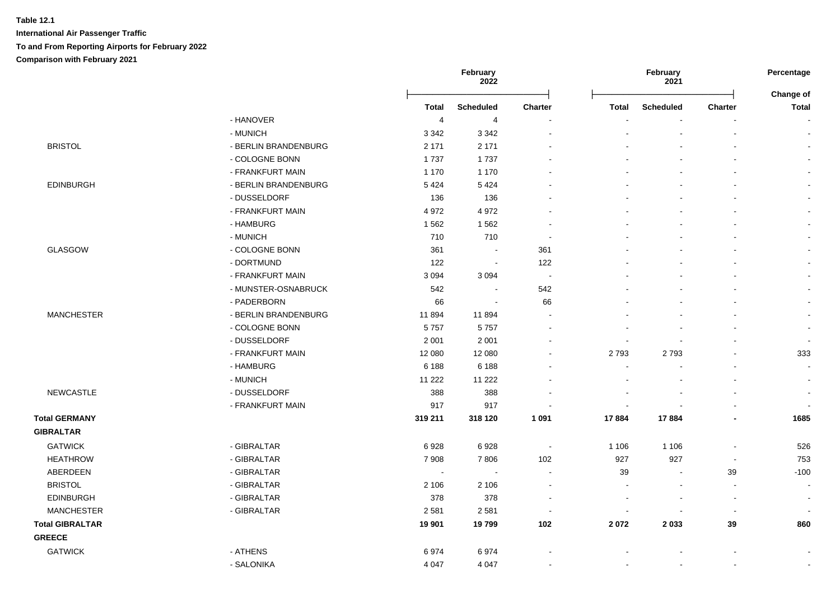|                        |                      |                | February<br>2022 |                          |                          | February<br>2021 |                          | Percentage                       |
|------------------------|----------------------|----------------|------------------|--------------------------|--------------------------|------------------|--------------------------|----------------------------------|
|                        |                      | <b>Total</b>   | <b>Scheduled</b> | <b>Charter</b>           | <b>Total</b>             | <b>Scheduled</b> | <b>Charter</b>           | <b>Change of</b><br><b>Total</b> |
|                        | - HANOVER            | $\overline{4}$ | $\overline{4}$   |                          |                          |                  |                          | $\blacksquare$                   |
|                        | - MUNICH             | 3 3 4 2        | 3 3 4 2          |                          |                          |                  | $\mathbf{r}$             | $\sim$                           |
| <b>BRISTOL</b>         | - BERLIN BRANDENBURG | 2 1 7 1        | 2 1 7 1          |                          |                          |                  | $\blacksquare$           | $\sim$                           |
|                        | - COLOGNE BONN       | 1737           | 1737             |                          |                          |                  |                          |                                  |
|                        | - FRANKFURT MAIN     | 1 1 7 0        | 1 1 7 0          |                          |                          |                  | $\blacksquare$           |                                  |
| <b>EDINBURGH</b>       | - BERLIN BRANDENBURG | 5 4 2 4        | 5 4 2 4          |                          |                          |                  |                          |                                  |
|                        | - DUSSELDORF         | 136            | 136              |                          |                          |                  |                          |                                  |
|                        | - FRANKFURT MAIN     | 4 9 7 2        | 4 9 7 2          |                          |                          |                  |                          |                                  |
|                        | - HAMBURG            | 1 5 6 2        | 1562             |                          |                          |                  | ÷.                       |                                  |
|                        | - MUNICH             | 710            | 710              |                          |                          |                  |                          |                                  |
| GLASGOW                | - COLOGNE BONN       | 361            | $\sim$           | 361                      |                          |                  |                          |                                  |
|                        | - DORTMUND           | 122            | $\sim$           | 122                      |                          |                  |                          |                                  |
|                        | - FRANKFURT MAIN     | 3 0 9 4        | 3 0 9 4          | $\blacksquare$           |                          |                  |                          | $\sim$                           |
|                        | - MUNSTER-OSNABRUCK  | 542            | $\sim$           | 542                      |                          |                  |                          | $\sim$                           |
|                        | - PADERBORN          | 66             | $\blacksquare$   | 66                       |                          |                  |                          | $\sim$                           |
| <b>MANCHESTER</b>      | - BERLIN BRANDENBURG | 11894          | 11894            | $\overline{\phantom{a}}$ |                          |                  | $\blacksquare$           | $\sim$                           |
|                        | - COLOGNE BONN       | 5757           | 5757             |                          |                          |                  | $\blacksquare$           | $\mathbf{r}$                     |
|                        | - DUSSELDORF         | 2 0 0 1        | 2 0 0 1          |                          |                          |                  | L,                       | $\sim$                           |
|                        | - FRANKFURT MAIN     | 12 080         | 12 080           |                          | 2793                     | 2793             | ÷.                       | 333                              |
|                        | - HAMBURG            | 6 1 8 8        | 6 1 8 8          |                          |                          |                  |                          | $\sim$                           |
|                        | - MUNICH             | 11 2 22        | 11 2 22          |                          |                          |                  |                          | $\sim$                           |
| <b>NEWCASTLE</b>       | - DUSSELDORF         | 388            | 388              |                          |                          |                  |                          | $\overline{\phantom{a}}$         |
|                        | - FRANKFURT MAIN     | 917            | 917              |                          | $\overline{a}$           |                  |                          |                                  |
| <b>Total GERMANY</b>   |                      | 319 211        | 318 120          | 1 0 9 1                  | 17884                    | 17884            | $\overline{a}$           | 1685                             |
| <b>GIBRALTAR</b>       |                      |                |                  |                          |                          |                  |                          |                                  |
| <b>GATWICK</b>         | - GIBRALTAR          | 6928           | 6928             | $\sim$                   | 1 1 0 6                  | 1 1 0 6          | $\blacksquare$           | 526                              |
| <b>HEATHROW</b>        | - GIBRALTAR          | 7 9 0 8        | 7806             | 102                      | 927                      | 927              | $\sim$                   | 753                              |
| ABERDEEN               | - GIBRALTAR          | $\sim$         | $\sim$           | $\sim$                   | 39                       | $\sim$           | 39                       | $-100$                           |
| <b>BRISTOL</b>         | - GIBRALTAR          | 2 106          | 2 1 0 6          | $\sim$                   | $\overline{\phantom{a}}$ |                  | $\blacksquare$           | $\blacksquare$                   |
| <b>EDINBURGH</b>       | - GIBRALTAR          | 378            | 378              | $\overline{\phantom{a}}$ |                          | $\sim$           | $\overline{\phantom{a}}$ | $\blacksquare$                   |
| <b>MANCHESTER</b>      | - GIBRALTAR          | 2 5 8 1        | 2581             | $\overline{\phantom{a}}$ |                          |                  | $\blacksquare$           | $\sim$                           |
| <b>Total GIBRALTAR</b> |                      | 19 901         | 19799            | 102                      | 2072                     | 2 0 3 3          | 39                       | 860                              |
| <b>GREECE</b>          |                      |                |                  |                          |                          |                  |                          |                                  |
| <b>GATWICK</b>         | - ATHENS             | 6974           | 6974             |                          |                          |                  |                          | $\overline{\phantom{a}}$         |
|                        | - SALONIKA           | 4 0 4 7        | 4 0 4 7          |                          |                          |                  | $\blacksquare$           | $\sim$                           |
|                        |                      |                |                  |                          |                          |                  |                          |                                  |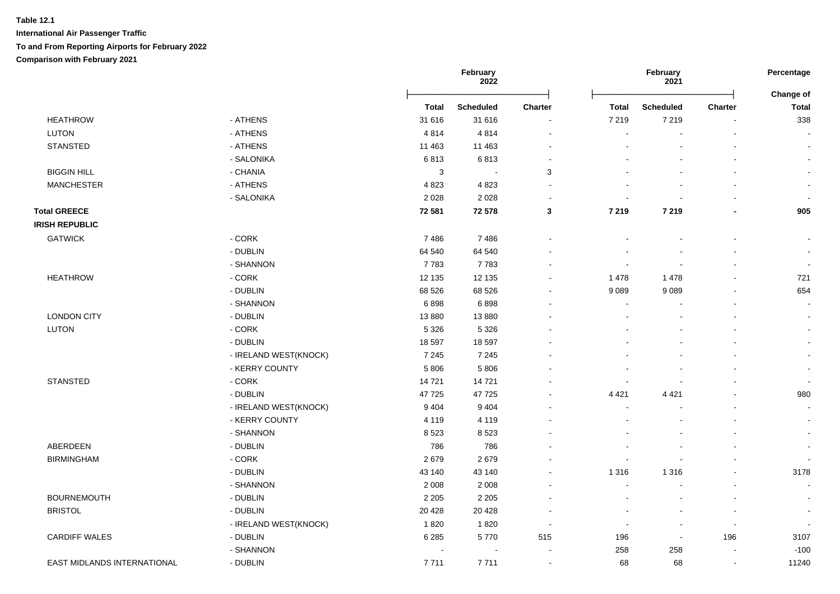|                             |                       | February<br>2022 |                          |                | February<br>2021         |                  | Percentage<br><b>Change of</b> |                          |
|-----------------------------|-----------------------|------------------|--------------------------|----------------|--------------------------|------------------|--------------------------------|--------------------------|
|                             |                       | <b>Total</b>     | <b>Scheduled</b>         | <b>Charter</b> | <b>Total</b>             | <b>Scheduled</b> | <b>Charter</b>                 | <b>Total</b>             |
| <b>HEATHROW</b>             | - ATHENS              | 31 616           | 31 616                   |                | 7 2 1 9                  | 7 2 1 9          |                                | 338                      |
| <b>LUTON</b>                | - ATHENS              | 4814             | 4814                     |                | $\overline{\phantom{a}}$ |                  |                                | $\sim$                   |
| <b>STANSTED</b>             | - ATHENS              | 11 463           | 11 4 63                  |                |                          |                  |                                | $\sim$                   |
|                             | - SALONIKA            | 6813             | 6813                     |                |                          |                  |                                | $\sim$                   |
| <b>BIGGIN HILL</b>          | - CHANIA              | $\sqrt{3}$       | $\overline{\phantom{a}}$ | 3              |                          |                  |                                | $\sim$                   |
| <b>MANCHESTER</b>           | - ATHENS              | 4823             | 4823                     |                |                          |                  |                                |                          |
|                             | - SALONIKA            | 2028             | 2028                     |                |                          |                  |                                |                          |
| <b>Total GREECE</b>         |                       | 72 581           | 72 578                   | 3              | 7 2 1 9                  | 7 2 1 9          |                                | 905                      |
| <b>IRISH REPUBLIC</b>       |                       |                  |                          |                |                          |                  |                                |                          |
| <b>GATWICK</b>              | - CORK                | 7486             | 7486                     |                |                          |                  |                                |                          |
|                             | - DUBLIN              | 64 540           | 64 540                   |                |                          |                  |                                |                          |
|                             | - SHANNON             | 7783             | 7783                     |                |                          |                  |                                |                          |
| <b>HEATHROW</b>             | - CORK                | 12 135           | 12 135                   |                | 1 4 7 8                  | 1 4 7 8          |                                | 721                      |
|                             | - DUBLIN              | 68 526           | 68 526                   |                | 9 0 8 9                  | 9089             |                                | 654                      |
|                             | - SHANNON             | 6898             | 6898                     |                |                          |                  |                                | $\overline{\phantom{a}}$ |
| <b>LONDON CITY</b>          | - DUBLIN              | 13880            | 13880                    |                |                          |                  |                                |                          |
| <b>LUTON</b>                | - CORK                | 5 3 2 6          | 5 3 2 6                  |                |                          |                  |                                |                          |
|                             | - DUBLIN              | 18 597           | 18 597                   |                |                          |                  |                                |                          |
|                             | - IRELAND WEST(KNOCK) | 7 2 4 5          | 7 2 4 5                  |                |                          |                  |                                |                          |
|                             | - KERRY COUNTY        | 5806             | 5 8 0 6                  |                |                          |                  |                                | $\overline{\phantom{a}}$ |
| <b>STANSTED</b>             | $-CORK$               | 14721            | 14721                    |                |                          |                  |                                | $\sim$                   |
|                             | - DUBLIN              | 47725            | 47725                    |                | 4 4 2 1                  | 4 4 2 1          |                                | 980                      |
|                             | - IRELAND WEST(KNOCK) | 9 4 0 4          | 9 4 0 4                  |                |                          |                  |                                | $\blacksquare$           |
|                             | - KERRY COUNTY        | 4 1 1 9          | 4 1 1 9                  |                |                          |                  |                                | $\sim$                   |
|                             | - SHANNON             | 8523             | 8523                     |                |                          |                  |                                | $\sim$                   |
| ABERDEEN                    | - DUBLIN              | 786              | 786                      |                |                          |                  |                                |                          |
| <b>BIRMINGHAM</b>           | - CORK                | 2679             | 2679                     |                |                          |                  |                                |                          |
|                             | - DUBLIN              | 43 140           | 43 140                   |                | 1 3 1 6                  | 1 3 1 6          |                                | 3178                     |
|                             | - SHANNON             | 2 0 0 8          | 2 0 0 8                  |                |                          |                  |                                |                          |
| <b>BOURNEMOUTH</b>          | - DUBLIN              | 2 2 0 5          | 2 2 0 5                  |                |                          |                  |                                | $\sim$                   |
| <b>BRISTOL</b>              | - DUBLIN              | 20 4 28          | 20 4 28                  |                |                          |                  |                                | $\overline{\phantom{a}}$ |
|                             | - IRELAND WEST(KNOCK) | 1820             | 1820                     |                | $\overline{\phantom{a}}$ | $\blacksquare$   | $\overline{\phantom{a}}$       |                          |
| <b>CARDIFF WALES</b>        | - DUBLIN              | 6 2 8 5          | 5770                     | 515            | 196                      | $\blacksquare$   | 196                            | 3107                     |
|                             | - SHANNON             |                  | $\blacksquare$           |                | 258                      | 258              |                                | $-100$                   |
| EAST MIDLANDS INTERNATIONAL | - DUBLIN              | 7711             | 7711                     | $\sim$         | 68                       | 68               | $\overline{\phantom{a}}$       | 11240                    |
|                             |                       |                  |                          |                |                          |                  |                                |                          |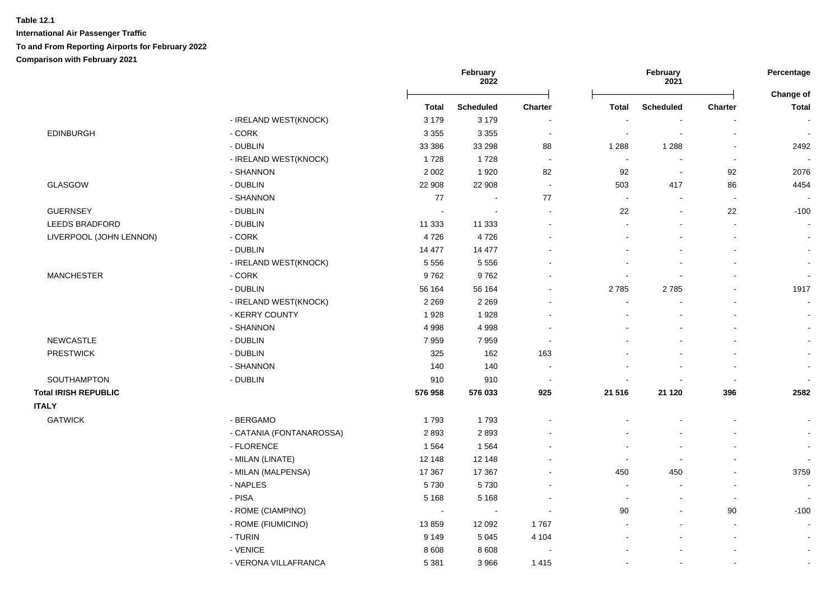|                             |                          |              | February<br>February<br>2022<br>2021 |                          | Percentage<br>Change of  |                  |                          |                          |
|-----------------------------|--------------------------|--------------|--------------------------------------|--------------------------|--------------------------|------------------|--------------------------|--------------------------|
|                             |                          | <b>Total</b> | <b>Scheduled</b>                     | Charter                  | <b>Total</b>             | <b>Scheduled</b> | <b>Charter</b>           | <b>Total</b>             |
|                             | - IRELAND WEST(KNOCK)    | 3 1 7 9      | 3 1 7 9                              | $\overline{\phantom{a}}$ |                          |                  |                          |                          |
| <b>EDINBURGH</b>            | - CORK                   | 3 3 5 5      | 3 3 5 5                              | $\blacksquare$           | $\overline{\phantom{a}}$ | $\blacksquare$   | $\overline{a}$           | $\sim$                   |
|                             | - DUBLIN                 | 33 386       | 33 298                               | 88                       | 1 2 8 8                  | 1 2 8 8          | $\blacksquare$           | 2492                     |
|                             | - IRELAND WEST(KNOCK)    | 1728         | 1728                                 | $\sim$                   | $\blacksquare$           |                  | $\blacksquare$           |                          |
|                             | - SHANNON                | 2 0 0 2      | 1920                                 | 82                       | 92                       | $\sim$           | 92                       | 2076                     |
| <b>GLASGOW</b>              | - DUBLIN                 | 22 908       | 22 908                               | $\sim$                   | 503                      | 417              | 86                       | 4454                     |
|                             | - SHANNON                | 77           | $\sim$                               | 77                       | $\sim$                   |                  | $\overline{\phantom{a}}$ |                          |
| <b>GUERNSEY</b>             | - DUBLIN                 | $\sim$       | $\overline{a}$                       | $\sim$                   | 22                       | $\blacksquare$   | 22                       | $-100$                   |
| <b>LEEDS BRADFORD</b>       | - DUBLIN                 | 11 333       | 11 333                               | $\sim$                   | ÷                        |                  | $\overline{a}$           |                          |
| LIVERPOOL (JOHN LENNON)     | $-CORK$                  | 4726         | 4726                                 |                          | $\overline{\phantom{a}}$ |                  | $\blacksquare$           |                          |
|                             | - DUBLIN                 | 14 477       | 14 477                               |                          |                          |                  |                          |                          |
|                             | - IRELAND WEST(KNOCK)    | 5 5 5 6      | 5 5 5 6                              |                          |                          |                  |                          |                          |
| <b>MANCHESTER</b>           | $-CORK$                  | 9762         | 9762                                 |                          |                          |                  |                          | $\overline{\phantom{a}}$ |
|                             | - DUBLIN                 | 56 164       | 56 164                               | $\overline{\phantom{a}}$ | 2785                     | 2785             |                          | 1917                     |
|                             | - IRELAND WEST(KNOCK)    | 2 2 6 9      | 2 2 6 9                              |                          |                          |                  |                          |                          |
|                             | - KERRY COUNTY           | 1928         | 1928                                 |                          |                          |                  |                          |                          |
|                             | - SHANNON                | 4 9 9 8      | 4998                                 |                          |                          |                  |                          |                          |
| <b>NEWCASTLE</b>            | - DUBLIN                 | 7959         | 7959                                 | $\overline{\phantom{a}}$ |                          |                  |                          |                          |
| <b>PRESTWICK</b>            | - DUBLIN                 | 325          | 162                                  | 163                      |                          |                  |                          |                          |
|                             | - SHANNON                | 140          | 140                                  | $\overline{\phantom{a}}$ |                          |                  |                          |                          |
| SOUTHAMPTON                 | - DUBLIN                 | 910          | 910                                  | $\sim$                   |                          |                  |                          |                          |
| <b>Total IRISH REPUBLIC</b> |                          | 576 958      | 576 033                              | 925                      | 21 516                   | 21 1 20          | 396                      | 2582                     |
| <b>ITALY</b>                |                          |              |                                      |                          |                          |                  |                          |                          |
| <b>GATWICK</b>              | - BERGAMO                | 1793         | 1793                                 | $\blacksquare$           |                          |                  |                          |                          |
|                             | - CATANIA (FONTANAROSSA) | 2893         | 2893                                 |                          |                          |                  |                          |                          |
|                             | - FLORENCE               | 1 5 6 4      | 1564                                 |                          |                          |                  |                          |                          |
|                             | - MILAN (LINATE)         | 12 148       | 12 148                               |                          | $\overline{\phantom{a}}$ |                  |                          |                          |
|                             | - MILAN (MALPENSA)       | 17 367       | 17 367                               |                          | 450                      | 450              |                          | 3759                     |
|                             | - NAPLES                 | 5730         | 5730                                 |                          | ÷,                       |                  |                          |                          |
|                             | - PISA                   | 5 1 6 8      | 5 1 6 8                              | $\overline{\phantom{a}}$ | $\sim$                   | $\blacksquare$   | $\overline{\phantom{a}}$ |                          |
|                             | - ROME (CIAMPINO)        | $\sim$       | $\sim$                               | $\sim$                   | 90                       | $\blacksquare$   | 90                       | $-100$                   |
|                             | - ROME (FIUMICINO)       | 13859        | 12 092                               | 1767                     |                          | $\blacksquare$   | $\overline{\phantom{a}}$ | $\sim$                   |
|                             | - TURIN                  | 9 1 4 9      | 5 0 4 5                              | 4 104                    | $\blacksquare$           |                  | $\overline{a}$           |                          |
|                             | - VENICE                 | 8608         | 8 6 0 8                              | $\overline{\phantom{a}}$ |                          |                  |                          | $\blacksquare$           |
|                             | - VERONA VILLAFRANCA     | 5 3 8 1      | 3966                                 | 1 4 1 5                  |                          |                  | $\blacksquare$           |                          |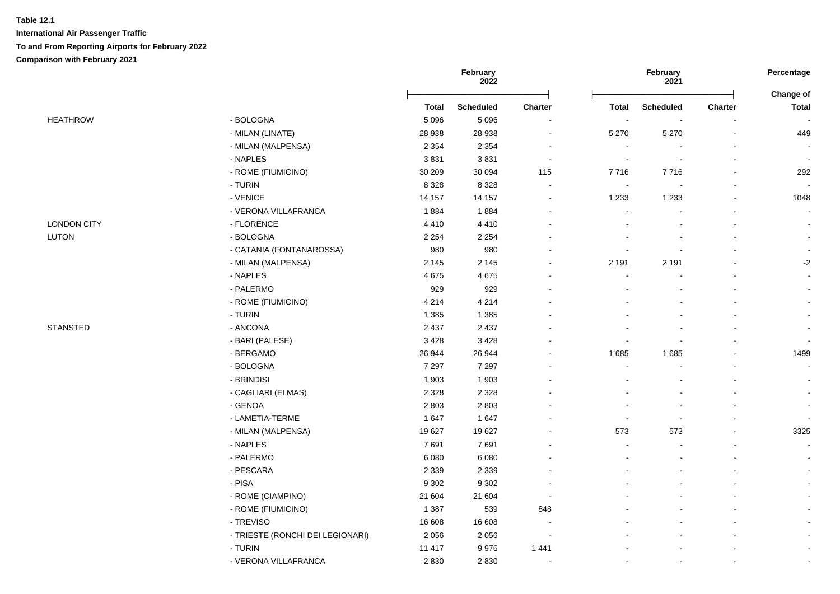|                    |                                  |              | February<br><b>2022</b> |                          |                          | February<br>2021 |                | Percentage                |
|--------------------|----------------------------------|--------------|-------------------------|--------------------------|--------------------------|------------------|----------------|---------------------------|
|                    |                                  | <b>Total</b> | <b>Scheduled</b>        | Charter                  | <b>Total</b>             | <b>Scheduled</b> | Charter        | Change of<br><b>Total</b> |
| <b>HEATHROW</b>    | - BOLOGNA                        | 5 0 9 6      | 5 0 9 6                 | $\sim$                   |                          |                  |                |                           |
|                    | - MILAN (LINATE)                 | 28 938       | 28 938                  | $\blacksquare$           | 5 2 7 0                  | 5 2 7 0          | $\blacksquare$ | 449                       |
|                    | - MILAN (MALPENSA)               | 2 3 5 4      | 2 3 5 4                 | $\blacksquare$           | $\blacksquare$           |                  | $\blacksquare$ |                           |
|                    | - NAPLES                         | 3831         | 3831                    | $\overline{\phantom{a}}$ | $\overline{\phantom{a}}$ |                  |                |                           |
|                    | - ROME (FIUMICINO)               | 30 209       | 30 094                  | 115                      | 7716                     | 7716             |                | 292                       |
|                    | - TURIN                          | 8 3 2 8      | 8 3 2 8                 | $\blacksquare$           | $\overline{\phantom{a}}$ |                  |                |                           |
|                    | - VENICE                         | 14 157       | 14 157                  | $\overline{a}$           | 1 2 3 3                  | 1 2 3 3          |                | 1048                      |
|                    | - VERONA VILLAFRANCA             | 1884         | 1884                    | ÷                        | $\sim$                   |                  |                |                           |
| <b>LONDON CITY</b> | - FLORENCE                       | 4410         | 4410                    |                          |                          |                  |                |                           |
| LUTON              | - BOLOGNA                        | 2 2 5 4      | 2 2 5 4                 |                          |                          |                  |                |                           |
|                    | - CATANIA (FONTANAROSSA)         | 980          | 980                     |                          |                          |                  |                | $\blacksquare$            |
|                    | - MILAN (MALPENSA)               | 2 1 4 5      | 2 1 4 5                 | $\blacksquare$           | 2 1 9 1                  | 2 1 9 1          |                | $-2$                      |
|                    | - NAPLES                         | 4675         | 4675                    |                          | $\blacksquare$           |                  |                | $\blacksquare$            |
|                    | - PALERMO                        | 929          | 929                     |                          |                          |                  |                |                           |
|                    | - ROME (FIUMICINO)               | 4 2 1 4      | 4 2 1 4                 |                          |                          |                  |                | $\blacksquare$            |
|                    | - TURIN                          | 1 3 8 5      | 1 3 8 5                 |                          |                          |                  |                |                           |
| <b>STANSTED</b>    | - ANCONA                         | 2 4 3 7      | 2 4 3 7                 |                          |                          |                  |                |                           |
|                    | - BARI (PALESE)                  | 3 4 2 8      | 3 4 2 8                 | $\blacksquare$           |                          |                  |                | $\blacksquare$            |
|                    | - BERGAMO                        | 26 944       | 26 944                  |                          | 1 6 8 5                  | 1685             |                | 1499                      |
|                    | - BOLOGNA                        | 7 2 9 7      | 7 2 9 7                 |                          | $\overline{\phantom{a}}$ |                  |                | $\sim$                    |
|                    | - BRINDISI                       | 1 903        | 1903                    |                          |                          |                  |                |                           |
|                    | - CAGLIARI (ELMAS)               | 2 3 2 8      | 2 3 2 8                 |                          |                          |                  |                |                           |
|                    | - GENOA                          | 2 8 0 3      | 2803                    |                          |                          |                  |                |                           |
|                    | - LAMETIA-TERME                  | 1647         | 1647                    |                          |                          |                  |                | $\overline{a}$            |
|                    | - MILAN (MALPENSA)               | 19 627       | 19 627                  |                          | 573                      | 573              |                | 3325                      |
|                    | - NAPLES                         | 7691         | 7691                    |                          | ÷,                       |                  |                | $\blacksquare$            |
|                    | - PALERMO                        | 6 0 8 0      | 6 0 8 0                 |                          | $\sim$                   |                  |                | $\blacksquare$            |
|                    | - PESCARA                        | 2 3 3 9      | 2 3 3 9                 |                          |                          |                  |                | $\blacksquare$            |
|                    | - PISA                           | 9 3 0 2      | 9 3 0 2                 |                          |                          |                  |                |                           |
|                    | - ROME (CIAMPINO)                | 21 604       | 21 604                  | $\overline{\phantom{a}}$ |                          |                  |                |                           |
|                    | - ROME (FIUMICINO)               | 1 3 8 7      | 539                     | 848                      |                          |                  |                |                           |
|                    | - TREVISO                        | 16 608       | 16 608                  | $\overline{\phantom{a}}$ |                          |                  |                |                           |
|                    | - TRIESTE (RONCHI DEI LEGIONARI) | 2 0 5 6      | 2056                    | $\overline{\phantom{a}}$ |                          |                  |                |                           |
|                    | - TURIN                          | 11 417       | 9976                    | 1 4 4 1                  |                          |                  |                | $\blacksquare$            |
|                    | - VERONA VILLAFRANCA             | 2830         | 2830                    |                          |                          |                  |                |                           |
|                    |                                  |              |                         |                          |                          |                  |                |                           |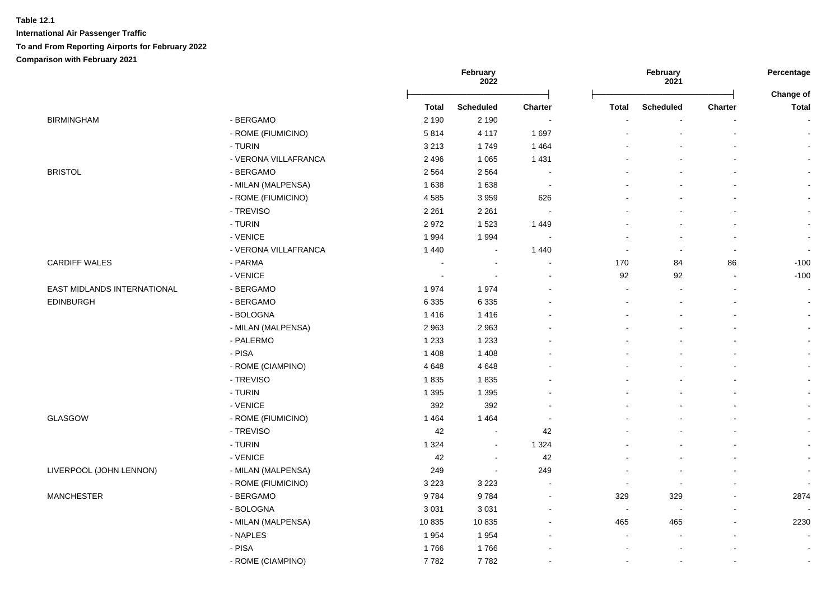|                             |                      | February<br>2022         |                  |                          | February<br>2021         |                  | Percentage<br>Change of |                      |
|-----------------------------|----------------------|--------------------------|------------------|--------------------------|--------------------------|------------------|-------------------------|----------------------|
|                             |                      | Total                    | <b>Scheduled</b> | <b>Charter</b>           | <b>Total</b>             | <b>Scheduled</b> | <b>Charter</b>          | Total                |
| <b>BIRMINGHAM</b>           | - BERGAMO            | 2 1 9 0                  | 2 1 9 0          |                          |                          |                  |                         |                      |
|                             | - ROME (FIUMICINO)   | 5814                     | 4 1 1 7          | 1697                     |                          |                  |                         | $\blacksquare$       |
|                             | - TURIN              | 3 2 1 3                  | 1749             | 1 4 6 4                  |                          |                  |                         | $\sim$               |
|                             | - VERONA VILLAFRANCA | 2 4 9 6                  | 1 0 6 5          | 1 4 3 1                  |                          |                  |                         | $\mathbf{r}$         |
| <b>BRISTOL</b>              | - BERGAMO            | 2 5 6 4                  | 2 5 6 4          | $\sim$                   |                          |                  |                         |                      |
|                             | - MILAN (MALPENSA)   | 1 6 3 8                  | 1 6 3 8          | $\sim$                   |                          |                  |                         |                      |
|                             | - ROME (FIUMICINO)   | 4585                     | 3959             | 626                      |                          |                  |                         |                      |
|                             | - TREVISO            | 2 2 6 1                  | 2 2 6 1          |                          |                          |                  |                         |                      |
|                             | - TURIN              | 2972                     | 1523             | 1 4 4 9                  |                          |                  |                         |                      |
|                             | - VENICE             | 1994                     | 1994             |                          |                          |                  |                         | $\blacksquare$       |
|                             | - VERONA VILLAFRANCA | 1 4 4 0                  | $\sim$           | 1 4 4 0                  | $\overline{a}$           | $\overline{a}$   |                         | $\sim$               |
| <b>CARDIFF WALES</b>        | - PARMA              | $\overline{\phantom{a}}$ | $\blacksquare$   | $\overline{\phantom{a}}$ | 170                      | 84               | 86                      | $-100$               |
|                             | - VENICE             | $\sim$                   | $\sim$           | $\blacksquare$           | 92                       | 92               |                         | $-100$               |
| EAST MIDLANDS INTERNATIONAL | - BERGAMO            | 1974                     | 1974             |                          | ÷,                       |                  |                         | $\sim$               |
| <b>EDINBURGH</b>            | - BERGAMO            | 6 3 3 5                  | 6 3 3 5          |                          | $\blacksquare$           | $\blacksquare$   |                         | $\blacksquare$       |
|                             | - BOLOGNA            | 1416                     | 1416             |                          |                          |                  |                         | $\blacksquare$       |
|                             | - MILAN (MALPENSA)   | 2963                     | 2963             |                          |                          |                  |                         | $\blacksquare$       |
|                             | - PALERMO            | 1 2 3 3                  | 1 2 3 3          |                          |                          |                  |                         | $\blacksquare$       |
|                             | - PISA               | 1 4 0 8                  | 1 4 0 8          |                          |                          |                  |                         | $\blacksquare$       |
|                             | - ROME (CIAMPINO)    | 4648                     | 4648             |                          |                          |                  |                         | $\blacksquare$       |
|                             | - TREVISO            | 1835                     | 1835             |                          |                          |                  |                         | $\blacksquare$       |
|                             | - TURIN              | 1 3 9 5                  | 1 3 9 5          |                          |                          |                  |                         | $\blacksquare$       |
|                             | - VENICE             | 392                      | 392              |                          |                          |                  |                         |                      |
| GLASGOW                     | - ROME (FIUMICINO)   | 1464                     | 1 4 6 4          |                          |                          |                  |                         |                      |
|                             | - TREVISO            | 42                       | $\sim$           | 42                       |                          |                  |                         |                      |
|                             | - TURIN              | 1 3 2 4                  | $\sim$           | 1 3 2 4                  |                          |                  |                         |                      |
|                             | - VENICE             | 42                       | $\blacksquare$   | 42                       |                          |                  |                         | $\ddot{\phantom{a}}$ |
| LIVERPOOL (JOHN LENNON)     | - MILAN (MALPENSA)   | 249                      | $\sim$           | 249                      |                          |                  |                         | $\sim$               |
|                             | - ROME (FIUMICINO)   | 3 2 2 3                  | 3 2 2 3          | $\blacksquare$           | $\overline{\phantom{a}}$ |                  |                         | $\blacksquare$       |
| <b>MANCHESTER</b>           | - BERGAMO            | 9784                     | 9784             | $\sim$                   | 329                      | 329              |                         | 2874                 |
|                             | - BOLOGNA            | 3 0 3 1                  | 3 0 3 1          | $\blacksquare$           | $\sim$                   |                  |                         |                      |
|                             | - MILAN (MALPENSA)   | 10835                    | 10835            | $\overline{a}$           | 465                      | 465              | $\overline{a}$          | 2230                 |
|                             | - NAPLES             | 1954                     | 1954             |                          | $\blacksquare$           |                  |                         | $\sim$               |
|                             | - PISA               | 1766                     | 1766             |                          |                          |                  |                         | $\sim$               |
|                             | - ROME (CIAMPINO)    | 7782                     | 7782             |                          |                          |                  |                         | $\blacksquare$       |
|                             |                      |                          |                  |                          |                          |                  |                         |                      |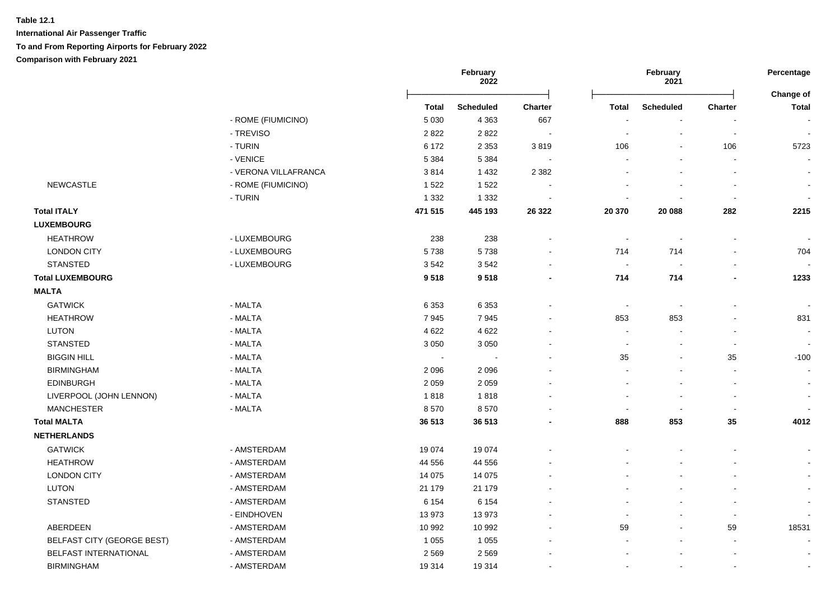|                                   |                      |              | February<br>2022 |                          |                | February<br>2021 |                          | Percentage<br>Change of |
|-----------------------------------|----------------------|--------------|------------------|--------------------------|----------------|------------------|--------------------------|-------------------------|
|                                   |                      | <b>Total</b> | <b>Scheduled</b> | Charter                  | <b>Total</b>   | <b>Scheduled</b> | <b>Charter</b>           | <b>Total</b>            |
|                                   | - ROME (FIUMICINO)   | 5 0 3 0      | 4 3 6 3          | 667                      |                |                  |                          |                         |
|                                   | - TREVISO            | 2822         | 2822             |                          |                | $\blacksquare$   | $\sim$                   |                         |
|                                   | - TURIN              | 6 172        | 2 3 5 3          | 3819                     | 106            | $\blacksquare$   | 106                      | 5723                    |
|                                   | - VENICE             | 5 3 8 4      | 5 3 8 4          | $\overline{\phantom{a}}$ |                |                  | $\blacksquare$           |                         |
|                                   | - VERONA VILLAFRANCA | 3814         | 1 4 3 2          | 2 3 8 2                  |                |                  |                          |                         |
| <b>NEWCASTLE</b>                  | - ROME (FIUMICINO)   | 1522         | 1522             |                          |                |                  |                          | $\sim$                  |
|                                   | - TURIN              | 1 3 3 2      | 1 3 3 2          |                          |                |                  | $\overline{\phantom{a}}$ | $\sim$                  |
| <b>Total ITALY</b>                |                      | 471 515      | 445 193          | 26 3 22                  | 20 370         | 20 088           | 282                      | 2215                    |
| <b>LUXEMBOURG</b>                 |                      |              |                  |                          |                |                  |                          |                         |
| <b>HEATHROW</b>                   | - LUXEMBOURG         | 238          | 238              | $\blacksquare$           | $\blacksquare$ | $\blacksquare$   |                          | $\blacksquare$          |
| <b>LONDON CITY</b>                | - LUXEMBOURG         | 5738         | 5738             | $\blacksquare$           | 714            | 714              |                          | 704                     |
| <b>STANSTED</b>                   | - LUXEMBOURG         | 3542         | 3542             |                          | $\sim$         |                  |                          |                         |
| <b>Total LUXEMBOURG</b>           |                      | 9518         | 9518             | -                        | 714            | 714              |                          | 1233                    |
| <b>MALTA</b>                      |                      |              |                  |                          |                |                  |                          |                         |
| <b>GATWICK</b>                    | - MALTA              | 6 3 5 3      | 6 3 5 3          |                          | $\blacksquare$ | $\blacksquare$   |                          | $\blacksquare$          |
| <b>HEATHROW</b>                   | - MALTA              | 7945         | 7945             |                          | 853            | 853              |                          | 831                     |
| <b>LUTON</b>                      | - MALTA              | 4 6 22       | 4 6 22           |                          |                |                  |                          |                         |
| <b>STANSTED</b>                   | - MALTA              | 3 0 5 0      | 3 0 5 0          |                          | $\sim$         |                  | ÷,                       |                         |
| <b>BIGGIN HILL</b>                | - MALTA              |              |                  |                          | 35             |                  | 35                       | $-100$                  |
| <b>BIRMINGHAM</b>                 | - MALTA              | 2096         | 2096             |                          |                |                  | $\overline{a}$           | $\overline{a}$          |
| <b>EDINBURGH</b>                  | - MALTA              | 2 0 5 9      | 2 0 5 9          |                          |                |                  |                          |                         |
| LIVERPOOL (JOHN LENNON)           | - MALTA              | 1818         | 1818             |                          |                |                  | ÷,                       |                         |
| <b>MANCHESTER</b>                 | - MALTA              | 8570         | 8570             |                          |                |                  | $\blacksquare$           |                         |
| <b>Total MALTA</b>                |                      | 36 513       | 36 513           |                          | 888            | 853              | 35                       | 4012                    |
| <b>NETHERLANDS</b>                |                      |              |                  |                          |                |                  |                          |                         |
| <b>GATWICK</b>                    | - AMSTERDAM          | 19 0 74      | 19 0 74          |                          |                |                  |                          |                         |
| <b>HEATHROW</b>                   | - AMSTERDAM          | 44 556       | 44 556           |                          |                |                  |                          |                         |
| <b>LONDON CITY</b>                | - AMSTERDAM          | 14 0 75      | 14 0 75          |                          |                |                  |                          |                         |
| LUTON                             | - AMSTERDAM          | 21 179       | 21 179           |                          |                |                  |                          | $\blacksquare$          |
| <b>STANSTED</b>                   | - AMSTERDAM          | 6 1 5 4      | 6 1 5 4          |                          |                |                  |                          | $\blacksquare$          |
|                                   | - EINDHOVEN          | 13973        | 13973            |                          |                |                  | $\blacksquare$           |                         |
| ABERDEEN                          | - AMSTERDAM          | 10 992       | 10 992           |                          | 59             |                  | 59                       | 18531                   |
| <b>BELFAST CITY (GEORGE BEST)</b> | - AMSTERDAM          | 1 0 5 5      | 1 0 5 5          |                          |                |                  |                          |                         |
| BELFAST INTERNATIONAL             | - AMSTERDAM          | 2 5 6 9      | 2569             |                          |                |                  |                          |                         |
| <b>BIRMINGHAM</b>                 | - AMSTERDAM          | 19 3 14      | 19314            |                          | $\overline{a}$ |                  | $\sim$                   | $\sim$                  |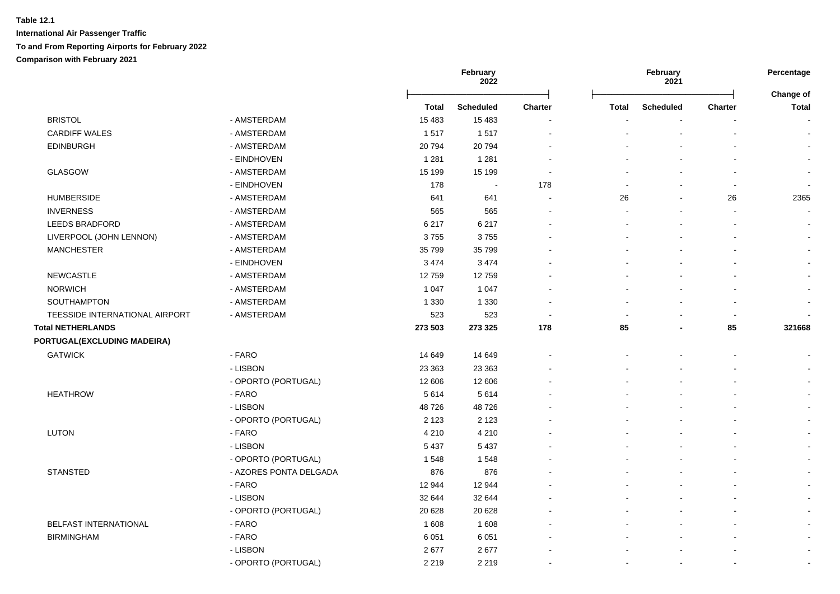|                                |                        |         | February<br>February<br>2022<br>2021 |                | Percentage<br><b>Change of</b> |                  |                          |                          |
|--------------------------------|------------------------|---------|--------------------------------------|----------------|--------------------------------|------------------|--------------------------|--------------------------|
|                                |                        | Total   | <b>Scheduled</b>                     | <b>Charter</b> | Total                          | <b>Scheduled</b> | Charter                  | <b>Total</b>             |
| <b>BRISTOL</b>                 | - AMSTERDAM            | 15 4 83 | 15 4 83                              |                |                                |                  |                          | $\blacksquare$           |
| <b>CARDIFF WALES</b>           | - AMSTERDAM            | 1517    | 1517                                 |                |                                |                  |                          | $\blacksquare$           |
| <b>EDINBURGH</b>               | - AMSTERDAM            | 20794   | 20794                                |                |                                |                  |                          | $\blacksquare$           |
|                                | - EINDHOVEN            | 1 2 8 1 | 1 2 8 1                              |                |                                |                  |                          | $\sim$                   |
| GLASGOW                        | - AMSTERDAM            | 15 199  | 15 199                               |                |                                |                  |                          | $\sim$                   |
|                                | - EINDHOVEN            | 178     | $\sim$                               | 178            |                                |                  | $\overline{\phantom{a}}$ | $\blacksquare$           |
| <b>HUMBERSIDE</b>              | - AMSTERDAM            | 641     | 641                                  |                | 26                             |                  | 26                       | 2365                     |
| <b>INVERNESS</b>               | - AMSTERDAM            | 565     | 565                                  |                |                                |                  |                          |                          |
| LEEDS BRADFORD                 | - AMSTERDAM            | 6 2 1 7 | 6 2 1 7                              |                |                                |                  |                          |                          |
| LIVERPOOL (JOHN LENNON)        | - AMSTERDAM            | 3755    | 3755                                 |                |                                |                  |                          |                          |
| <b>MANCHESTER</b>              | - AMSTERDAM            | 35 799  | 35 799                               |                |                                |                  |                          | $\blacksquare$           |
|                                | - EINDHOVEN            | 3 4 7 4 | 3474                                 |                |                                |                  |                          |                          |
| <b>NEWCASTLE</b>               | - AMSTERDAM            | 12759   | 12759                                |                |                                |                  |                          |                          |
| <b>NORWICH</b>                 | - AMSTERDAM            | 1 0 4 7 | 1 0 4 7                              |                |                                |                  |                          |                          |
| SOUTHAMPTON                    | - AMSTERDAM            | 1 3 3 0 | 1 3 3 0                              |                |                                |                  |                          | $\blacksquare$           |
| TEESSIDE INTERNATIONAL AIRPORT | - AMSTERDAM            | 523     | 523                                  |                |                                |                  |                          | $\overline{\phantom{a}}$ |
| <b>Total NETHERLANDS</b>       |                        | 273 503 | 273 325                              | 178            | 85                             |                  | 85                       | 321668                   |
| PORTUGAL(EXCLUDING MADEIRA)    |                        |         |                                      |                |                                |                  |                          |                          |
| <b>GATWICK</b>                 | - FARO                 | 14 649  | 14 649                               |                |                                |                  |                          |                          |
|                                | - LISBON               | 23 363  | 23 363                               |                |                                |                  |                          |                          |
|                                | - OPORTO (PORTUGAL)    | 12 606  | 12 606                               |                |                                |                  |                          |                          |
| <b>HEATHROW</b>                | - FARO                 | 5614    | 5614                                 |                |                                |                  |                          |                          |
|                                | - LISBON               | 48726   | 48726                                |                |                                |                  |                          | $\sim$                   |
|                                | - OPORTO (PORTUGAL)    | 2 1 2 3 | 2 1 2 3                              |                |                                |                  |                          | $\blacksquare$           |
| <b>LUTON</b>                   | - FARO                 | 4 2 1 0 | 4 2 1 0                              |                |                                |                  |                          | $\sim$                   |
|                                | - LISBON               | 5 4 3 7 | 5 4 3 7                              |                |                                |                  |                          | $\sim$                   |
|                                | - OPORTO (PORTUGAL)    | 1548    | 1548                                 |                |                                |                  |                          | $\sim$                   |
| <b>STANSTED</b>                | - AZORES PONTA DELGADA | 876     | 876                                  |                |                                |                  |                          | $\blacksquare$           |
|                                | - FARO                 | 12 944  | 12 944                               |                |                                |                  |                          | $\blacksquare$           |
|                                | - LISBON               | 32 644  | 32 644                               |                |                                |                  |                          | $\blacksquare$           |
|                                | - OPORTO (PORTUGAL)    | 20 6 28 | 20 6 28                              |                |                                |                  |                          |                          |
| <b>BELFAST INTERNATIONAL</b>   | - FARO                 | 1608    | 1 608                                |                |                                |                  |                          | $\blacksquare$           |
| <b>BIRMINGHAM</b>              | - FARO                 | 6 0 5 1 | 6 0 5 1                              |                |                                |                  |                          | $\blacksquare$           |
|                                | - LISBON               | 2677    | 2677                                 |                |                                |                  |                          | $\blacksquare$           |
|                                | - OPORTO (PORTUGAL)    | 2 2 1 9 | 2 2 1 9                              |                | $\blacksquare$                 |                  | $\overline{\phantom{a}}$ | $\sim$                   |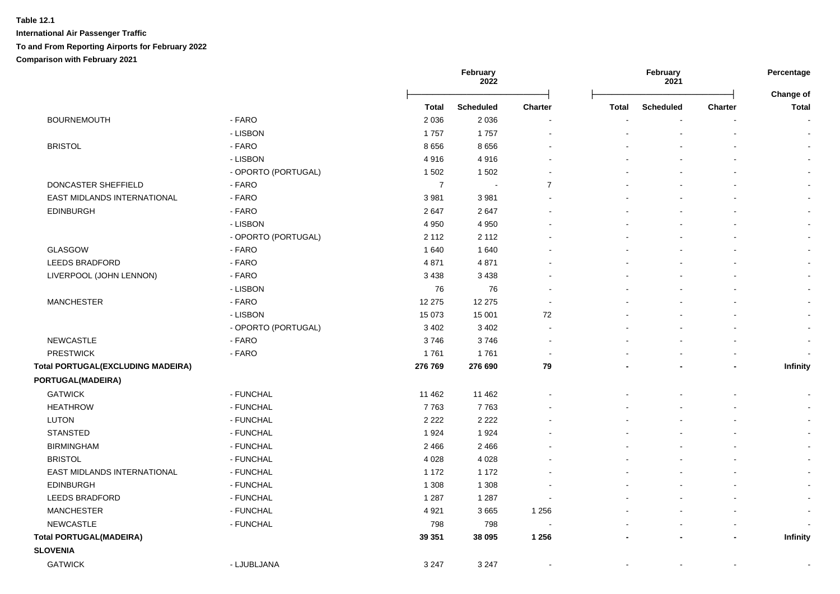|                                          |                     |                | February<br>2022 |                |              | February<br>2021 |                | Percentage<br>Change of  |  |
|------------------------------------------|---------------------|----------------|------------------|----------------|--------------|------------------|----------------|--------------------------|--|
|                                          |                     | Total          | <b>Scheduled</b> | <b>Charter</b> | <b>Total</b> | <b>Scheduled</b> | <b>Charter</b> | <b>Total</b>             |  |
| <b>BOURNEMOUTH</b>                       | - FARO              | 2 0 3 6        | 2 0 3 6          |                |              |                  |                | $\overline{\phantom{a}}$ |  |
|                                          | - LISBON            | 1757           | 1757             |                |              |                  |                |                          |  |
| <b>BRISTOL</b>                           | - FARO              | 8656           | 8656             |                |              |                  |                |                          |  |
|                                          | - LISBON            | 4916           | 4916             |                |              |                  |                |                          |  |
|                                          | - OPORTO (PORTUGAL) | 1 502          | 1502             |                |              |                  |                |                          |  |
| DONCASTER SHEFFIELD                      | - FARO              | $\overline{7}$ | $\sim$           | $\overline{7}$ |              |                  |                |                          |  |
| EAST MIDLANDS INTERNATIONAL              | - FARO              | 3 9 8 1        | 3981             |                |              |                  | $\blacksquare$ |                          |  |
| <b>EDINBURGH</b>                         | - FARO              | 2647           | 2647             |                |              |                  |                |                          |  |
|                                          | - LISBON            | 4 9 5 0        | 4 9 5 0          |                |              |                  |                |                          |  |
|                                          | - OPORTO (PORTUGAL) | 2 1 1 2        | 2 1 1 2          |                |              |                  |                |                          |  |
| GLASGOW                                  | - FARO              | 1640           | 1640             |                |              |                  |                |                          |  |
| LEEDS BRADFORD                           | - FARO              | 4871           | 4871             |                |              |                  |                |                          |  |
| LIVERPOOL (JOHN LENNON)                  | - FARO              | 3 4 3 8        | 3438             |                |              |                  |                |                          |  |
|                                          | - LISBON            | 76             | 76               |                |              |                  |                |                          |  |
| <b>MANCHESTER</b>                        | - FARO              | 12 275         | 12 275           |                |              |                  |                |                          |  |
|                                          | - LISBON            | 15 073         | 15 001           | 72             |              |                  |                |                          |  |
|                                          | - OPORTO (PORTUGAL) | 3 4 0 2        | 3 4 0 2          |                |              |                  |                |                          |  |
| <b>NEWCASTLE</b>                         | - FARO              | 3746           | 3746             |                |              |                  |                | $\sim$                   |  |
| <b>PRESTWICK</b>                         | - FARO              | 1761           | 1761             |                |              |                  |                | $\sim$                   |  |
| <b>Total PORTUGAL(EXCLUDING MADEIRA)</b> |                     | 276 769        | 276 690          | 79             |              |                  | ٠              | <b>Infinity</b>          |  |
| PORTUGAL(MADEIRA)                        |                     |                |                  |                |              |                  |                |                          |  |
| <b>GATWICK</b>                           | - FUNCHAL           | 11 4 6 2       | 11 4 62          |                |              |                  |                |                          |  |
| <b>HEATHROW</b>                          | - FUNCHAL           | 7763           | 7763             |                |              |                  |                |                          |  |
| <b>LUTON</b>                             | - FUNCHAL           | 2 2 2 2        | 2 2 2 2          |                |              |                  |                | $\sim$                   |  |
| <b>STANSTED</b>                          | - FUNCHAL           | 1924           | 1924             |                |              |                  |                | $\sim$                   |  |
| <b>BIRMINGHAM</b>                        | - FUNCHAL           | 2 4 6 6        | 2 4 6 6          |                |              |                  |                | $\blacksquare$           |  |
| <b>BRISTOL</b>                           | - FUNCHAL           | 4 0 28         | 4 0 28           |                |              |                  |                | $\blacksquare$           |  |
| EAST MIDLANDS INTERNATIONAL              | - FUNCHAL           | 1 1 7 2        | 1 1 7 2          |                |              |                  |                | $\blacksquare$           |  |
| <b>EDINBURGH</b>                         | - FUNCHAL           | 1 3 0 8        | 1 3 0 8          |                |              |                  |                |                          |  |
| LEEDS BRADFORD                           | - FUNCHAL           | 1 2 8 7        | 1 2 8 7          |                |              |                  |                |                          |  |
| <b>MANCHESTER</b>                        | - FUNCHAL           | 4 9 21         | 3665             | 1 2 5 6        |              |                  |                | $\sim$                   |  |
| <b>NEWCASTLE</b>                         | - FUNCHAL           | 798            | 798              |                |              |                  | ÷              |                          |  |
| <b>Total PORTUGAL(MADEIRA)</b>           |                     | 39 351         | 38 095           | 1 2 5 6        |              |                  | $\overline{a}$ | <b>Infinity</b>          |  |
| <b>SLOVENIA</b>                          |                     |                |                  |                |              |                  |                |                          |  |
| <b>GATWICK</b>                           | - LJUBLJANA         | 3 2 4 7        | 3 2 4 7          |                |              |                  |                |                          |  |
|                                          |                     |                |                  |                |              |                  |                |                          |  |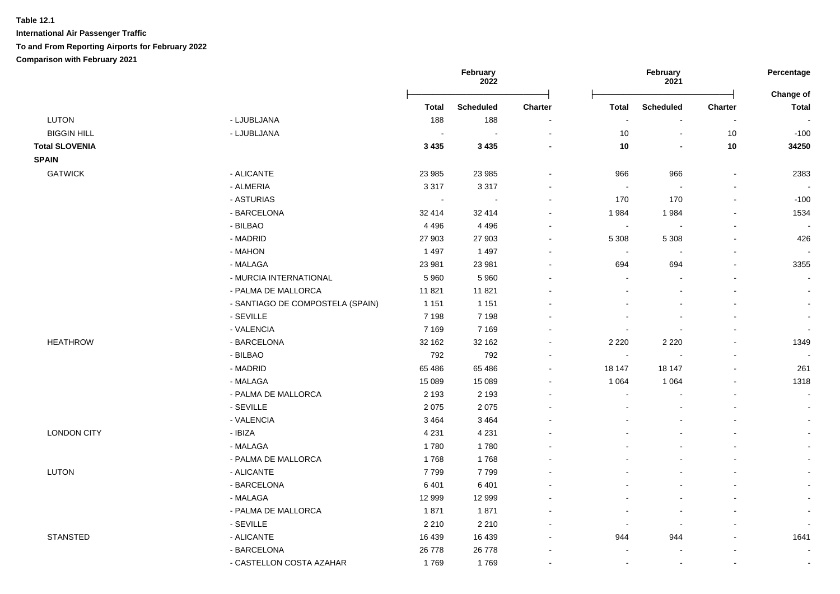|                       |                                  | February<br>2022           |                  |                          | February<br>2021         |                          | Percentage<br>Change of |                          |
|-----------------------|----------------------------------|----------------------------|------------------|--------------------------|--------------------------|--------------------------|-------------------------|--------------------------|
|                       |                                  | <b>Total</b>               | <b>Scheduled</b> | Charter                  | <b>Total</b>             | <b>Scheduled</b>         | Charter                 | <b>Total</b>             |
| LUTON                 | - LJUBLJANA                      | 188                        | 188              | $\sim$                   | ÷,                       |                          | $\blacksquare$          |                          |
| <b>BIGGIN HILL</b>    | - LJUBLJANA                      | $\mathcal{L}_{\mathbf{r}}$ | $\sim$           | $\blacksquare$           | $10$                     | $\mathbf{r}$             | 10                      | $-100$                   |
| <b>Total SLOVENIA</b> |                                  | 3 4 3 5                    | 3 4 3 5          | $\overline{\phantom{a}}$ | $10$                     | $\blacksquare$           | $10$                    | 34250                    |
| <b>SPAIN</b>          |                                  |                            |                  |                          |                          |                          |                         |                          |
| <b>GATWICK</b>        | - ALICANTE                       | 23 985                     | 23 985           | $\blacksquare$           | 966                      | 966                      | $\blacksquare$          | 2383                     |
|                       | - ALMERIA                        | 3 3 1 7                    | 3317             | $\sim$                   | $\sim$                   | $\overline{\phantom{a}}$ | $\blacksquare$          |                          |
|                       | - ASTURIAS                       | $\blacksquare$             | $\sim$           | $\blacksquare$           | 170                      | 170                      | $\blacksquare$          | $-100$                   |
|                       | - BARCELONA                      | 32 414                     | 32 414           | $\overline{a}$           | 1984                     | 1984                     | $\blacksquare$          | 1534                     |
|                       | - BILBAO                         | 4 4 9 6                    | 4 4 9 6          | $\blacksquare$           | $\sim$                   |                          | $\sim$                  |                          |
|                       | - MADRID                         | 27 903                     | 27 903           | $\blacksquare$           | 5 3 0 8                  | 5 3 0 8                  | $\blacksquare$          | 426                      |
|                       | - MAHON                          | 1 4 9 7                    | 1 4 9 7          | $\blacksquare$           | $\overline{\phantom{a}}$ |                          |                         |                          |
|                       | - MALAGA                         | 23 981                     | 23 981           | ÷                        | 694                      | 694                      | $\sim$                  | 3355                     |
|                       | - MURCIA INTERNATIONAL           | 5 9 6 0                    | 5 9 6 0          | $\blacksquare$           | $\blacksquare$           |                          |                         |                          |
|                       | - PALMA DE MALLORCA              | 11 821                     | 11 821           | ÷                        | ÷                        |                          |                         | $\overline{a}$           |
|                       | - SANTIAGO DE COMPOSTELA (SPAIN) | 1 1 5 1                    | 1 1 5 1          | $\blacksquare$           |                          |                          |                         | $\sim$                   |
|                       | - SEVILLE                        | 7 1 9 8                    | 7 1 9 8          | $\blacksquare$           |                          |                          |                         | $\blacksquare$           |
|                       | - VALENCIA                       | 7 1 6 9                    | 7 1 6 9          | $\blacksquare$           | $\overline{\phantom{a}}$ | $\blacksquare$           | $\blacksquare$          | $\blacksquare$           |
| <b>HEATHROW</b>       | - BARCELONA                      | 32 162                     | 32 162           | $\sim$                   | 2 2 2 0                  | 2 2 2 0                  | $\sim$                  | 1349                     |
|                       | - BILBAO                         | 792                        | 792              | $\blacksquare$           | $\blacksquare$           |                          | $\blacksquare$          | $\sim$                   |
|                       | - MADRID                         | 65 486                     | 65 48 6          | $\blacksquare$           | 18 147                   | 18 147                   |                         | 261                      |
|                       | - MALAGA                         | 15 089                     | 15 089           | $\mathbf{r}$             | 1 0 6 4                  | 1 0 6 4                  |                         | 1318                     |
|                       | - PALMA DE MALLORCA              | 2 1 9 3                    | 2 1 9 3          | $\blacksquare$           | $\blacksquare$           |                          |                         | $\blacksquare$           |
|                       | - SEVILLE                        | 2075                       | 2075             | $\blacksquare$           |                          |                          |                         |                          |
|                       | - VALENCIA                       | 3464                       | 3 4 6 4          |                          |                          |                          |                         | $\blacksquare$           |
| <b>LONDON CITY</b>    | - IBIZA                          | 4 2 3 1                    | 4 2 3 1          |                          |                          |                          |                         |                          |
|                       | - MALAGA                         | 1780                       | 1780             |                          |                          |                          |                         | $\blacksquare$           |
|                       | - PALMA DE MALLORCA              | 1768                       | 1768             |                          |                          |                          |                         |                          |
| <b>LUTON</b>          | - ALICANTE                       | 7799                       | 7799             | ÷                        |                          |                          |                         | $\mathbf{r}$             |
|                       | - BARCELONA                      | 6401                       | 6401             |                          |                          |                          |                         | $\blacksquare$           |
|                       | - MALAGA                         | 12 999                     | 12 999           | ÷                        | ÷                        |                          |                         | $\sim$                   |
|                       | - PALMA DE MALLORCA              | 1871                       | 1871             | $\blacksquare$           | $\overline{\phantom{a}}$ |                          |                         | $\blacksquare$           |
|                       | - SEVILLE                        | 2 2 1 0                    | 2 2 1 0          | $\blacksquare$           | $\overline{\phantom{a}}$ | $\blacksquare$           | $\blacksquare$          | $\overline{\phantom{a}}$ |
| <b>STANSTED</b>       | - ALICANTE                       | 16 439                     | 16 439           | $\blacksquare$           | 944                      | 944                      | $\blacksquare$          | 1641                     |
|                       | - BARCELONA                      | 26 778                     | 26 778           | $\blacksquare$           | $\overline{\phantom{a}}$ |                          | $\blacksquare$          | $\blacksquare$           |
|                       | - CASTELLON COSTA AZAHAR         | 1769                       | 1769             | $\blacksquare$           | $\blacksquare$           | $\blacksquare$           | $\blacksquare$          | $\blacksquare$           |
|                       |                                  |                            |                  |                          |                          |                          |                         |                          |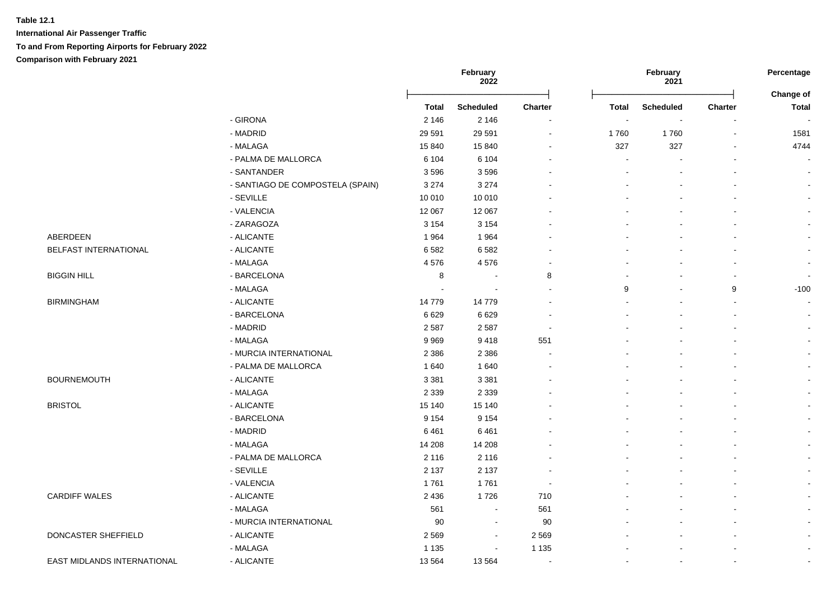|                             |                                  |         | February<br>2022 |                |              | February<br>2021 |                          | Percentage                |
|-----------------------------|----------------------------------|---------|------------------|----------------|--------------|------------------|--------------------------|---------------------------|
|                             |                                  | Total   | <b>Scheduled</b> | Charter        | <b>Total</b> | <b>Scheduled</b> | Charter                  | Change of<br><b>Total</b> |
|                             | - GIRONA                         | 2 1 4 6 | 2 1 4 6          |                | $\sim$       |                  |                          |                           |
|                             | - MADRID                         | 29 5 91 | 29 5 91          | $\sim$         | 1760         | 1760             | $\overline{\phantom{a}}$ | 1581                      |
|                             | - MALAGA                         | 15 840  | 15 840           |                | 327          | 327              |                          | 4744                      |
|                             | - PALMA DE MALLORCA              | 6 1 0 4 | 6 1 0 4          |                |              |                  |                          | ÷,                        |
|                             | - SANTANDER                      | 3596    | 3596             |                |              |                  |                          | $\blacksquare$            |
|                             | - SANTIAGO DE COMPOSTELA (SPAIN) | 3 2 7 4 | 3 2 7 4          |                |              |                  |                          | $\sim$                    |
|                             | - SEVILLE                        | 10 010  | 10 010           |                |              |                  |                          | $\sim$                    |
|                             | - VALENCIA                       | 12 067  | 12 067           |                |              |                  |                          | $\sim$                    |
|                             | - ZARAGOZA                       | 3 1 5 4 | 3 1 5 4          |                |              |                  |                          |                           |
| ABERDEEN                    | - ALICANTE                       | 1964    | 1964             |                |              |                  |                          | $\blacksquare$            |
| BELFAST INTERNATIONAL       | - ALICANTE                       | 6582    | 6582             |                |              |                  |                          |                           |
|                             | - MALAGA                         | 4576    | 4576             |                |              |                  |                          | $\blacksquare$            |
| <b>BIGGIN HILL</b>          | - BARCELONA                      | 8       |                  | 8              |              |                  |                          |                           |
|                             | - MALAGA                         |         |                  |                | 9            |                  | 9                        | $-100$                    |
| <b>BIRMINGHAM</b>           | - ALICANTE                       | 14779   | 14779            |                |              |                  |                          | $\overline{a}$            |
|                             | - BARCELONA                      | 6629    | 6629             |                |              |                  |                          |                           |
|                             | - MADRID                         | 2 5 8 7 | 2587             |                |              |                  |                          |                           |
|                             | - MALAGA                         | 9969    | 9418             | 551            |              |                  |                          |                           |
|                             | - MURCIA INTERNATIONAL           | 2 3 8 6 | 2 3 8 6          |                |              |                  |                          |                           |
|                             | - PALMA DE MALLORCA              | 1640    | 1 640            |                |              |                  |                          |                           |
| <b>BOURNEMOUTH</b>          | - ALICANTE                       | 3 3 8 1 | 3 3 8 1          |                |              |                  |                          | $\blacksquare$            |
|                             | - MALAGA                         | 2 3 3 9 | 2 3 3 9          |                |              |                  |                          | $\blacksquare$            |
| <b>BRISTOL</b>              | - ALICANTE                       | 15 140  | 15 140           |                |              |                  |                          | $\blacksquare$            |
|                             | - BARCELONA                      | 9 1 5 4 | 9 1 5 4          |                |              |                  |                          | $\sim$                    |
|                             | - MADRID                         | 6461    | 6461             |                |              |                  |                          | $\blacksquare$            |
|                             | - MALAGA                         | 14 208  | 14 208           |                |              |                  |                          | $\sim$                    |
|                             | - PALMA DE MALLORCA              | 2 1 1 6 | 2 1 1 6          |                |              |                  |                          | $\blacksquare$            |
|                             | - SEVILLE                        | 2 1 3 7 | 2 1 3 7          |                |              |                  |                          | $\blacksquare$            |
|                             | - VALENCIA                       | 1761    | 1761             |                |              |                  |                          | $\blacksquare$            |
| <b>CARDIFF WALES</b>        | - ALICANTE                       | 2 4 3 6 | 1726             | 710            |              |                  |                          | $\mathbf{r}$              |
|                             | - MALAGA                         | 561     | $\sim$           | 561            |              |                  |                          |                           |
|                             | - MURCIA INTERNATIONAL           | 90      | $\blacksquare$   | 90             |              |                  |                          | $\blacksquare$            |
| DONCASTER SHEFFIELD         | - ALICANTE                       | 2569    | $\sim$           | 2 5 6 9        |              |                  |                          | $\sim$                    |
|                             | - MALAGA                         | 1 1 3 5 |                  | 1 1 3 5        |              |                  |                          | $\blacksquare$            |
| EAST MIDLANDS INTERNATIONAL | - ALICANTE                       | 13 5 64 | 13 5 64          | $\overline{a}$ |              |                  | $\sim$                   | $\blacksquare$            |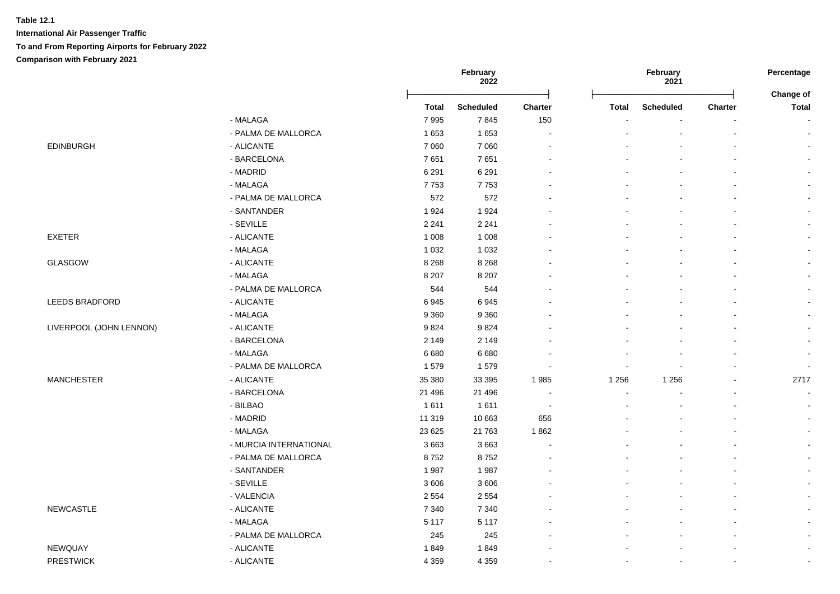|                         |                        |              | February<br>2022 |                |              | February<br>2021 |                | Percentage<br>Change of  |  |
|-------------------------|------------------------|--------------|------------------|----------------|--------------|------------------|----------------|--------------------------|--|
|                         |                        | <b>Total</b> | <b>Scheduled</b> | <b>Charter</b> | <b>Total</b> | <b>Scheduled</b> | <b>Charter</b> | <b>Total</b>             |  |
|                         | - MALAGA               | 7995         | 7845             | 150            |              |                  |                | $\sim$                   |  |
|                         | - PALMA DE MALLORCA    | 1653         | 1653             | $\sim$         |              |                  |                | $\sim$                   |  |
| <b>EDINBURGH</b>        | - ALICANTE             | 7 0 6 0      | 7 0 6 0          |                |              |                  |                | $\sim$                   |  |
|                         | - BARCELONA            | 7651         | 7651             |                |              |                  |                | $\sim$                   |  |
|                         | - MADRID               | 6 2 9 1      | 6 2 9 1          |                |              |                  |                | $\blacksquare$           |  |
|                         | - MALAGA               | 7753         | 7753             |                |              |                  |                | $\blacksquare$           |  |
|                         | - PALMA DE MALLORCA    | 572          | 572              |                |              |                  |                | $\blacksquare$           |  |
|                         | - SANTANDER            | 1924         | 1924             |                |              |                  |                | $\sim$                   |  |
|                         | - SEVILLE              | 2 2 4 1      | 2 2 4 1          |                |              |                  |                | $\mathbf{r}$             |  |
| <b>EXETER</b>           | - ALICANTE             | 1 0 0 8      | 1 0 0 8          |                |              |                  |                |                          |  |
|                         | - MALAGA               | 1 0 3 2      | 1 0 3 2          |                |              |                  |                |                          |  |
| <b>GLASGOW</b>          | - ALICANTE             | 8 2 6 8      | 8 2 6 8          |                |              |                  |                | $\mathbf{r}$             |  |
|                         | - MALAGA               | 8 2 0 7      | 8 2 0 7          |                |              |                  |                |                          |  |
|                         | - PALMA DE MALLORCA    | 544          | 544              |                |              |                  |                | $\blacksquare$           |  |
| LEEDS BRADFORD          | - ALICANTE             | 6945         | 6945             |                |              |                  |                |                          |  |
|                         | - MALAGA               | 9 3 6 0      | 9 3 6 0          |                |              |                  |                | $\sim$                   |  |
| LIVERPOOL (JOHN LENNON) | - ALICANTE             | 9824         | 9824             |                |              |                  |                | $\mathbf{r}$             |  |
|                         | - BARCELONA            | 2 1 4 9      | 2 1 4 9          |                |              |                  |                | $\blacksquare$           |  |
|                         | - MALAGA               | 6 6 8 0      | 6 6 8 0          |                |              |                  |                | $\sim$                   |  |
|                         | - PALMA DE MALLORCA    | 1579         | 1579             |                |              |                  |                | $\overline{\phantom{a}}$ |  |
| <b>MANCHESTER</b>       | - ALICANTE             | 35 380       | 33 3 95          | 1985           | 1 2 5 6      | 1 2 5 6          |                | 2717                     |  |
|                         | - BARCELONA            | 21 4 9 6     | 21 4 9 6         | $\sim$         |              |                  |                | $\sim$                   |  |
|                         | - BILBAO               | 1611         | 1611             | $\sim$         |              |                  |                | $\blacksquare$           |  |
|                         | - MADRID               | 11 319       | 10 663           | 656            |              |                  |                | $\blacksquare$           |  |
|                         | - MALAGA               | 23 6 25      | 21 7 63          | 1862           |              |                  |                | $\sim$                   |  |
|                         | - MURCIA INTERNATIONAL | 3663         | 3663             |                |              |                  |                | $\blacksquare$           |  |
|                         | - PALMA DE MALLORCA    | 8752         | 8752             |                |              |                  |                | $\blacksquare$           |  |
|                         | - SANTANDER            | 1987         | 1987             |                |              |                  |                | $\blacksquare$           |  |
|                         | - SEVILLE              | 3606         | 3 6 0 6          |                |              |                  |                | $\blacksquare$           |  |
|                         | - VALENCIA             | 2 5 5 4      | 2 5 5 4          |                |              |                  |                | $\sim$                   |  |
| <b>NEWCASTLE</b>        | - ALICANTE             | 7 3 4 0      | 7 3 4 0          |                |              |                  |                | $\blacksquare$           |  |
|                         | - MALAGA               | 5 1 1 7      | 5 1 1 7          |                |              |                  |                | $\blacksquare$           |  |
|                         | - PALMA DE MALLORCA    | 245          | 245              |                |              |                  |                | $\blacksquare$           |  |
| NEWQUAY                 | - ALICANTE             | 1849         | 1849             |                |              |                  |                | $\blacksquare$           |  |
| <b>PRESTWICK</b>        | - ALICANTE             | 4 3 5 9      | 4 3 5 9          |                |              | $\blacksquare$   |                | $\blacksquare$           |  |
|                         |                        |              |                  |                |              |                  |                |                          |  |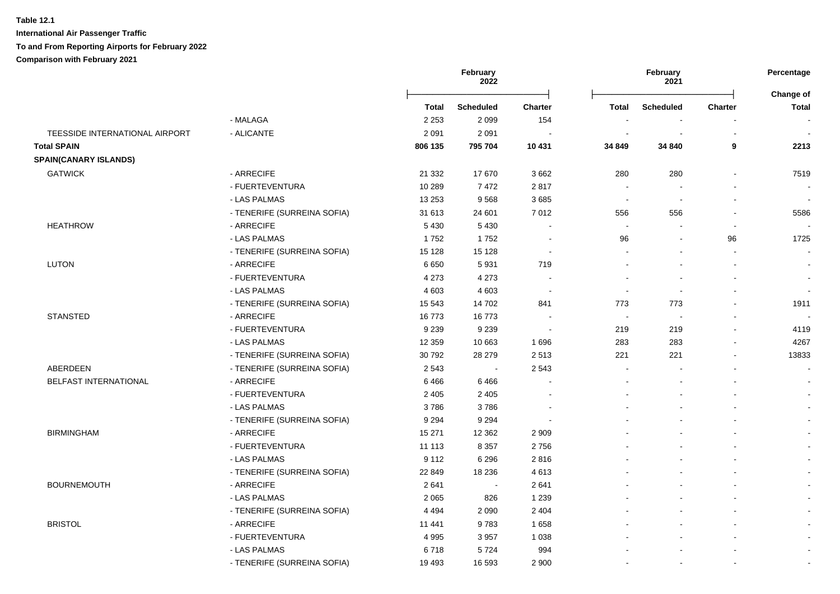**International Air Passenger Traffic To and From Reporting Airports for February 2022**

### **Comparison with February 2021**

|                                |                             |          | February<br>2022 |                          | February<br>2021         |                          | Percentage<br>Change of |                          |
|--------------------------------|-----------------------------|----------|------------------|--------------------------|--------------------------|--------------------------|-------------------------|--------------------------|
|                                |                             | Total    | <b>Scheduled</b> | <b>Charter</b>           | <b>Total</b>             | <b>Scheduled</b>         | Charter                 | <b>Total</b>             |
|                                | - MALAGA                    | 2 2 5 3  | 2099             | 154                      |                          |                          |                         |                          |
| TEESSIDE INTERNATIONAL AIRPORT | - ALICANTE                  | 2 0 9 1  | 2 0 9 1          |                          | $\overline{\phantom{a}}$ |                          |                         |                          |
| <b>Total SPAIN</b>             |                             | 806 135  | 795 704          | 10 431                   | 34 849                   | 34 840                   | 9                       | 2213                     |
| <b>SPAIN(CANARY ISLANDS)</b>   |                             |          |                  |                          |                          |                          |                         |                          |
| <b>GATWICK</b>                 | - ARRECIFE                  | 21 3 32  | 17670            | 3662                     | 280                      | 280                      |                         | 7519                     |
|                                | - FUERTEVENTURA             | 10 289   | 7472             | 2817                     | $\sim$                   | $\sim$                   |                         | $\overline{\phantom{a}}$ |
|                                | - LAS PALMAS                | 13 253   | 9568             | 3685                     | $\sim$                   | $\blacksquare$           |                         | $\blacksquare$           |
|                                | - TENERIFE (SURREINA SOFIA) | 31 613   | 24 601           | 7 0 1 2                  | 556                      | 556                      |                         | 5586                     |
| <b>HEATHROW</b>                | - ARRECIFE                  | 5 4 3 0  | 5 4 3 0          |                          | $\overline{a}$           |                          | $\sim$                  |                          |
|                                | - LAS PALMAS                | 1752     | 1752             |                          | 96                       |                          | 96                      | 1725                     |
|                                | - TENERIFE (SURREINA SOFIA) | 15 1 28  | 15 1 28          | $\overline{\phantom{a}}$ | $\sim$                   |                          |                         | $\sim$                   |
| <b>LUTON</b>                   | - ARRECIFE                  | 6650     | 5931             | 719                      |                          |                          |                         | $\blacksquare$           |
|                                | - FUERTEVENTURA             | 4 2 7 3  | 4 2 7 3          |                          |                          | $\overline{\phantom{a}}$ |                         | $\blacksquare$           |
|                                | - LAS PALMAS                | 4 6 0 3  | 4 6 0 3          |                          | $\sim$                   | ÷,                       |                         | $\blacksquare$           |
|                                | - TENERIFE (SURREINA SOFIA) | 15 5 43  | 14 702           | 841                      | 773                      | 773                      |                         | 1911                     |
| <b>STANSTED</b>                | - ARRECIFE                  | 16773    | 16773            |                          | $\overline{\phantom{a}}$ |                          |                         |                          |
|                                | - FUERTEVENTURA             | 9 2 3 9  | 9 2 3 9          |                          | 219                      | 219                      |                         | 4119                     |
|                                | - LAS PALMAS                | 12 3 5 9 | 10 663           | 1696                     | 283                      | 283                      |                         | 4267                     |
|                                | - TENERIFE (SURREINA SOFIA) | 30792    | 28 279           | 2513                     | 221                      | 221                      |                         | 13833                    |
| ABERDEEN                       | - TENERIFE (SURREINA SOFIA) | 2 5 4 3  | $\sim$           | 2 5 4 3                  |                          |                          |                         | $\sim$                   |
| <b>BELFAST INTERNATIONAL</b>   | - ARRECIFE                  | 6466     | 6466             |                          |                          |                          |                         | $\blacksquare$           |
|                                | - FUERTEVENTURA             | 2 4 0 5  | 2 4 0 5          |                          |                          |                          |                         |                          |
|                                | - LAS PALMAS                | 3786     | 3786             |                          |                          |                          |                         | $\mathbf{r}$             |
|                                | - TENERIFE (SURREINA SOFIA) | 9 2 9 4  | 9 2 9 4          |                          |                          |                          |                         | $\blacksquare$           |
| <b>BIRMINGHAM</b>              | - ARRECIFE                  | 15 271   | 12 3 62          | 2 9 0 9                  |                          |                          |                         | $\sim$                   |
|                                | - FUERTEVENTURA             | 11 113   | 8 3 5 7          | 2756                     |                          |                          |                         | $\sim$                   |
|                                | - LAS PALMAS                | 9 1 1 2  | 6 2 9 6          | 2816                     |                          |                          |                         | $\blacksquare$           |
|                                | - TENERIFE (SURREINA SOFIA) | 22 849   | 18 236           | 4613                     |                          |                          |                         |                          |
| <b>BOURNEMOUTH</b>             | - ARRECIFE                  | 2641     | $\blacksquare$   | 2641                     |                          |                          |                         | $\blacksquare$           |
|                                | - LAS PALMAS                | 2 0 6 5  | 826              | 1 2 3 9                  |                          |                          |                         |                          |
|                                | - TENERIFE (SURREINA SOFIA) | 4 4 9 4  | 2 0 9 0          | 2 4 0 4                  |                          |                          |                         | $\blacksquare$           |
| <b>BRISTOL</b>                 | - ARRECIFE                  | 11 441   | 9783             | 1658                     |                          |                          |                         | $\blacksquare$           |
|                                | - FUERTEVENTURA             | 4 9 9 5  | 3957             | 1 0 38                   |                          |                          |                         | $\blacksquare$           |
|                                | - LAS PALMAS                | 6718     | 5724             | 994                      |                          |                          |                         | $\blacksquare$           |
|                                | - TENERIFE (SURREINA SOFIA) | 19 4 93  | 16 593           | 2 9 0 0                  |                          |                          |                         | $\blacksquare$           |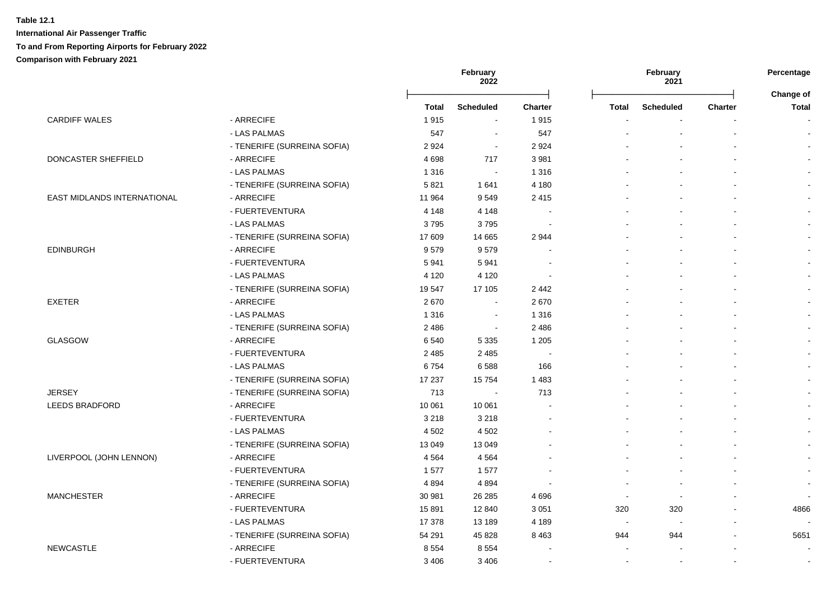|                             |                             | February<br>February<br>2022<br>2021 |                          | Percentage     |                |                          |                |                    |
|-----------------------------|-----------------------------|--------------------------------------|--------------------------|----------------|----------------|--------------------------|----------------|--------------------|
|                             |                             | Total                                | <b>Scheduled</b>         | <b>Charter</b> | <b>Total</b>   | <b>Scheduled</b>         | <b>Charter</b> | Change of<br>Total |
| <b>CARDIFF WALES</b>        | - ARRECIFE                  | 1915                                 | $\sim$                   | 1915           |                |                          |                |                    |
|                             | - LAS PALMAS                | 547                                  | $\sim$                   | 547            |                |                          | $\blacksquare$ |                    |
|                             | - TENERIFE (SURREINA SOFIA) | 2924                                 | $\sim$                   | 2 9 2 4        |                |                          |                |                    |
| DONCASTER SHEFFIELD         | - ARRECIFE                  | 4698                                 | 717                      | 3 9 8 1        |                |                          | $\sim$         |                    |
|                             | - LAS PALMAS                | 1 3 1 6                              | $\sim$                   | 1 3 1 6        |                |                          | $\blacksquare$ |                    |
|                             | - TENERIFE (SURREINA SOFIA) | 5821                                 | 1641                     | 4 180          |                |                          |                |                    |
| EAST MIDLANDS INTERNATIONAL | - ARRECIFE                  | 11 964                               | 9549                     | 2 4 1 5        |                |                          | $\sim$         |                    |
|                             | - FUERTEVENTURA             | 4 1 4 8                              | 4 1 4 8                  |                |                |                          |                |                    |
|                             | - LAS PALMAS                | 3795                                 | 3795                     |                |                |                          |                |                    |
|                             | - TENERIFE (SURREINA SOFIA) | 17 609                               | 14 6 65                  | 2 9 4 4        |                |                          |                |                    |
| <b>EDINBURGH</b>            | - ARRECIFE                  | 9579                                 | 9579                     |                |                |                          |                |                    |
|                             | - FUERTEVENTURA             | 5941                                 | 5941                     |                |                |                          |                |                    |
|                             | - LAS PALMAS                | 4 1 2 0                              | 4 1 2 0                  |                |                |                          |                |                    |
|                             | - TENERIFE (SURREINA SOFIA) | 19547                                | 17 105                   | 2 4 4 2        |                |                          |                |                    |
| <b>EXETER</b>               | - ARRECIFE                  | 2670                                 | $\overline{\phantom{a}}$ | 2670           |                |                          | $\overline{a}$ |                    |
|                             | - LAS PALMAS                | 1 3 1 6                              | $\sim$                   | 1 3 1 6        |                |                          | $\overline{a}$ |                    |
|                             | - TENERIFE (SURREINA SOFIA) | 2486                                 | $\sim$                   | 2 4 8 6        |                |                          |                |                    |
| <b>GLASGOW</b>              | - ARRECIFE                  | 6 5 4 0                              | 5 3 3 5                  | 1 2 0 5        |                |                          |                |                    |
|                             | - FUERTEVENTURA             | 2 4 8 5                              | 2 4 8 5                  | $\sim$         |                |                          | $\blacksquare$ |                    |
|                             | - LAS PALMAS                | 6754                                 | 6588                     | 166            |                |                          | $\sim$         |                    |
|                             | - TENERIFE (SURREINA SOFIA) | 17 237                               | 15754                    | 1 4 8 3        |                |                          | $\sim$         |                    |
| <b>JERSEY</b>               | - TENERIFE (SURREINA SOFIA) | 713                                  | $\sim$                   | 713            |                |                          | $\blacksquare$ |                    |
| <b>LEEDS BRADFORD</b>       | - ARRECIFE                  | 10 061                               | 10 061                   |                |                |                          | $\blacksquare$ |                    |
|                             | - FUERTEVENTURA             | 3 2 1 8                              | 3 2 1 8                  |                |                |                          |                |                    |
|                             | - LAS PALMAS                | 4 5 0 2                              | 4 5 0 2                  |                |                |                          |                |                    |
|                             | - TENERIFE (SURREINA SOFIA) | 13 049                               | 13 0 49                  |                |                |                          |                |                    |
| LIVERPOOL (JOHN LENNON)     | - ARRECIFE                  | 4 5 6 4                              | 4 5 6 4                  |                |                |                          | $\blacksquare$ |                    |
|                             | - FUERTEVENTURA             | 1577                                 | 1577                     |                |                |                          | $\overline{a}$ |                    |
|                             | - TENERIFE (SURREINA SOFIA) | 4894                                 | 4894                     |                |                |                          | $\overline{a}$ |                    |
| <b>MANCHESTER</b>           | - ARRECIFE                  | 30 981                               | 26 28 5                  | 4 6 9 6        | $\sim$         | $\overline{\phantom{a}}$ | $\blacksquare$ |                    |
|                             | - FUERTEVENTURA             | 15891                                | 12 840                   | 3 0 5 1        | 320            | 320                      | $\blacksquare$ | 4866               |
|                             | - LAS PALMAS                | 17 378                               | 13 189                   | 4 1 8 9        | $\blacksquare$ | $\blacksquare$           |                |                    |
|                             | - TENERIFE (SURREINA SOFIA) | 54 291                               | 45 828                   | 8 4 6 3        | 944            | 944                      |                | 5651               |
| <b>NEWCASTLE</b>            | - ARRECIFE                  | 8554                                 | 8554                     |                |                |                          |                |                    |
|                             | - FUERTEVENTURA             | 3 4 0 6                              | 3 4 0 6                  |                | $\overline{a}$ | $\overline{\phantom{a}}$ |                |                    |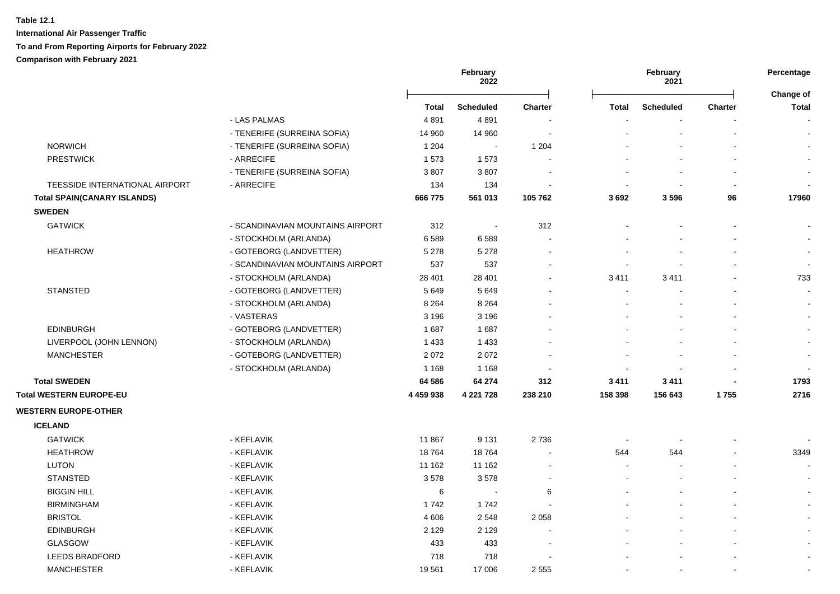|                                    |                                  | February<br>February<br>2022<br>2021 |                  |                | Percentage<br>Change of  |                  |                |              |
|------------------------------------|----------------------------------|--------------------------------------|------------------|----------------|--------------------------|------------------|----------------|--------------|
|                                    |                                  | <b>Total</b>                         | <b>Scheduled</b> | <b>Charter</b> | <b>Total</b>             | <b>Scheduled</b> | <b>Charter</b> | <b>Total</b> |
|                                    | - LAS PALMAS                     | 4891                                 | 4891             |                |                          |                  |                | $\sim$       |
|                                    | - TENERIFE (SURREINA SOFIA)      | 14 960                               | 14 960           |                |                          |                  |                | $\sim$       |
| <b>NORWICH</b>                     | - TENERIFE (SURREINA SOFIA)      | 1 2 0 4                              | $\sim$           | 1 204          |                          |                  |                | $\sim$       |
| <b>PRESTWICK</b>                   | - ARRECIFE                       | 1573                                 | 1573             |                |                          |                  |                |              |
|                                    | - TENERIFE (SURREINA SOFIA)      | 3807                                 | 3807             |                |                          |                  |                |              |
| TEESSIDE INTERNATIONAL AIRPORT     | - ARRECIFE                       | 134                                  | 134              |                |                          |                  |                |              |
| <b>Total SPAIN(CANARY ISLANDS)</b> |                                  | 666 775                              | 561 013          | 105 762        | 3692                     | 3596             | 96             | 17960        |
| <b>SWEDEN</b>                      |                                  |                                      |                  |                |                          |                  |                |              |
| <b>GATWICK</b>                     | - SCANDINAVIAN MOUNTAINS AIRPORT | 312                                  | $\sim$           | 312            |                          |                  |                |              |
|                                    | - STOCKHOLM (ARLANDA)            | 6589                                 | 6589             |                |                          |                  |                |              |
| <b>HEATHROW</b>                    | - GOTEBORG (LANDVETTER)          | 5 2 7 8                              | 5 2 7 8          |                |                          |                  |                |              |
|                                    | - SCANDINAVIAN MOUNTAINS AIRPORT | 537                                  | 537              |                |                          |                  |                | $\sim$       |
|                                    | - STOCKHOLM (ARLANDA)            | 28 4 01                              | 28 401           |                | 3411                     | 3411             |                | 733          |
| <b>STANSTED</b>                    | - GOTEBORG (LANDVETTER)          | 5649                                 | 5649             |                | $\overline{\phantom{a}}$ |                  |                | $\sim$       |
|                                    | - STOCKHOLM (ARLANDA)            | 8 2 6 4                              | 8 2 6 4          |                |                          |                  |                |              |
|                                    | - VASTERAS                       | 3 1 9 6                              | 3 1 9 6          |                |                          |                  |                | $\sim$       |
| <b>EDINBURGH</b>                   | - GOTEBORG (LANDVETTER)          | 1687                                 | 1687             |                |                          |                  |                | $\sim$       |
| LIVERPOOL (JOHN LENNON)            | - STOCKHOLM (ARLANDA)            | 1 4 3 3                              | 1 4 3 3          |                |                          |                  |                | $\sim$       |
| <b>MANCHESTER</b>                  | - GOTEBORG (LANDVETTER)          | 2072                                 | 2072             |                |                          |                  |                | $\sim$       |
|                                    | - STOCKHOLM (ARLANDA)            | 1 1 6 8                              | 1 1 6 8          |                |                          |                  |                | $\sim$       |
| <b>Total SWEDEN</b>                |                                  | 64 586                               | 64 274           | 312            | 3 4 1 1                  | 3 4 1 1          |                | 1793         |
| Total WESTERN EUROPE-EU            |                                  | 4 459 938                            | 4 221 728        | 238 210        | 158 398                  | 156 643          | 1755           | 2716         |
| <b>WESTERN EUROPE-OTHER</b>        |                                  |                                      |                  |                |                          |                  |                |              |
| <b>ICELAND</b>                     |                                  |                                      |                  |                |                          |                  |                |              |
| <b>GATWICK</b>                     | - KEFLAVIK                       | 11 867                               | 9 1 3 1          | 2 7 3 6        |                          |                  |                |              |
| <b>HEATHROW</b>                    | - KEFLAVIK                       | 18764                                | 18764            |                | 544                      | 544              |                | 3349         |
| <b>LUTON</b>                       | - KEFLAVIK                       | 11 162                               | 11 162           |                | $\blacksquare$           |                  |                |              |
| <b>STANSTED</b>                    | - KEFLAVIK                       | 3578                                 | 3578             |                |                          |                  |                |              |
| <b>BIGGIN HILL</b>                 | - KEFLAVIK                       | 6                                    | $\sim$           | 6              |                          |                  |                |              |
| <b>BIRMINGHAM</b>                  | - KEFLAVIK                       | 1742                                 | 1742             |                |                          |                  |                | $\sim$       |
| <b>BRISTOL</b>                     | - KEFLAVIK                       | 4 60 6                               | 2548             | 2 0 5 8        |                          |                  |                | $\sim$       |
| <b>EDINBURGH</b>                   | - KEFLAVIK                       | 2 1 2 9                              | 2 1 2 9          |                |                          |                  |                | $\sim$       |
| <b>GLASGOW</b>                     | - KEFLAVIK                       | 433                                  | 433              |                |                          |                  |                | $\sim$       |
| <b>LEEDS BRADFORD</b>              | - KEFLAVIK                       | 718                                  | 718              |                |                          |                  |                |              |
| <b>MANCHESTER</b>                  | - KEFLAVIK                       | 19561                                | 17 006           | 2 5 5 5        |                          |                  |                |              |
|                                    |                                  |                                      |                  |                |                          |                  |                |              |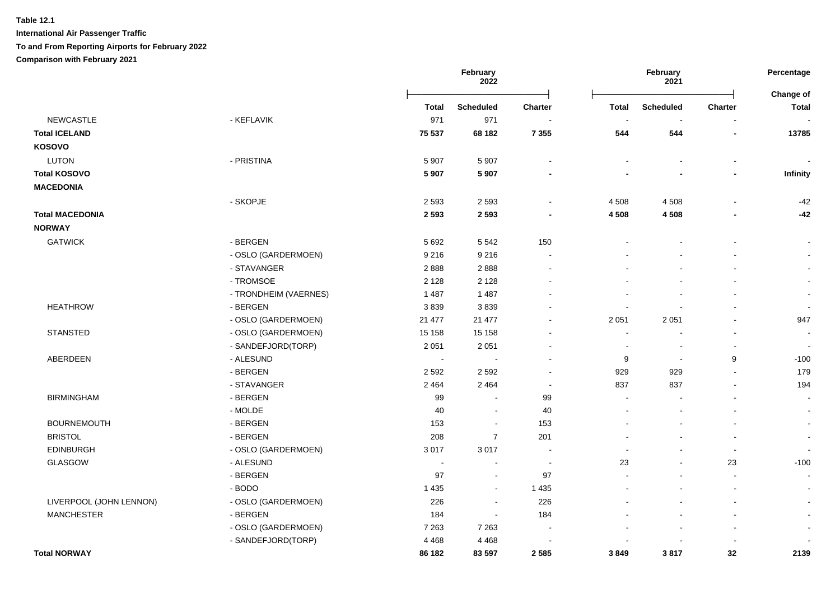**International Air Passenger Traffic**

### **To and From Reporting Airports for February 2022**

**Comparison with February 2021**

|                         |                       |              | February<br>2022 |                          |                          | February<br>2021 |                | Percentage                |
|-------------------------|-----------------------|--------------|------------------|--------------------------|--------------------------|------------------|----------------|---------------------------|
|                         |                       | <b>Total</b> | <b>Scheduled</b> | <b>Charter</b>           | <b>Total</b>             | <b>Scheduled</b> | <b>Charter</b> | Change of<br><b>Total</b> |
| <b>NEWCASTLE</b>        | - KEFLAVIK            | 971          | 971              |                          | $\overline{\phantom{a}}$ | $\blacksquare$   |                |                           |
| <b>Total ICELAND</b>    |                       | 75 537       | 68 182           | 7 3 5 5                  | 544                      | 544              |                | 13785                     |
| <b>KOSOVO</b>           |                       |              |                  |                          |                          |                  |                |                           |
| <b>LUTON</b>            | - PRISTINA            | 5 9 0 7      | 5 9 0 7          |                          |                          |                  |                |                           |
| <b>Total KOSOVO</b>     |                       | 5 907        | 5 9 0 7          |                          |                          |                  |                | Infinity                  |
| <b>MACEDONIA</b>        |                       |              |                  |                          |                          |                  |                |                           |
|                         | - SKOPJE              | 2 5 9 3      | 2 5 9 3          |                          | 4 5 0 8                  | 4508             |                | $-42$                     |
| <b>Total MACEDONIA</b>  |                       | 2 5 9 3      | 2 5 9 3          |                          | 4 5 0 8                  | 4 5 0 8          |                | $-42$                     |
| <b>NORWAY</b>           |                       |              |                  |                          |                          |                  |                |                           |
| <b>GATWICK</b>          | - BERGEN              | 5 6 9 2      | 5 5 4 2          | 150                      |                          |                  |                |                           |
|                         | - OSLO (GARDERMOEN)   | 9 2 1 6      | 9 2 1 6          |                          |                          |                  |                | $\sim$                    |
|                         | - STAVANGER           | 2888         | 2888             |                          |                          |                  |                | $\sim$                    |
|                         | - TROMSOE             | 2 1 2 8      | 2 1 2 8          |                          |                          |                  |                | $\sim$                    |
|                         | - TRONDHEIM (VAERNES) | 1 4 8 7      | 1 4 8 7          |                          |                          |                  |                | $\sim$                    |
| <b>HEATHROW</b>         | - BERGEN              | 3839         | 3839             |                          |                          |                  |                | $\sim$                    |
|                         | - OSLO (GARDERMOEN)   | 21 477       | 21 477           |                          | 2 0 5 1                  | 2 0 5 1          |                | 947                       |
| <b>STANSTED</b>         | - OSLO (GARDERMOEN)   | 15 158       | 15 158           |                          | $\overline{a}$           |                  |                | $\blacksquare$            |
|                         | - SANDEFJORD(TORP)    | 2 0 5 1      | 2 0 5 1          |                          |                          |                  |                | $\sim$                    |
| ABERDEEN                | - ALESUND             | $\sim$       | $\blacksquare$   |                          | 9                        | $\sim$           | 9              | $-100$                    |
|                         | - BERGEN              | 2 5 9 2      | 2592             |                          | 929                      | 929              |                | 179                       |
|                         | - STAVANGER           | 2 4 6 4      | 2 4 6 4          | $\overline{\phantom{a}}$ | 837                      | 837              |                | 194                       |
| <b>BIRMINGHAM</b>       | - BERGEN              | 99           | $\blacksquare$   | 99                       | ÷                        |                  |                | $\blacksquare$            |
|                         | - MOLDE               | 40           | $\blacksquare$   | 40                       |                          |                  |                | $\sim$                    |
| <b>BOURNEMOUTH</b>      | - BERGEN              | 153          | $\blacksquare$   | 153                      |                          |                  |                | $\sim$                    |
| <b>BRISTOL</b>          | - BERGEN              | 208          | $\overline{7}$   | 201                      |                          |                  |                | $\sim$                    |
| <b>EDINBURGH</b>        | - OSLO (GARDERMOEN)   | 3017         | 3017             |                          |                          |                  |                | $\overline{\phantom{a}}$  |
| GLASGOW                 | - ALESUND             |              | $\blacksquare$   |                          | 23                       |                  | 23             | $-100$                    |
|                         | - BERGEN              | 97           | $\sim$           | 97                       |                          |                  |                | $\sim$                    |
|                         | - BODO                | 1 4 3 5      | $\blacksquare$   | 1 4 3 5                  |                          |                  |                | $\sim$                    |
| LIVERPOOL (JOHN LENNON) | - OSLO (GARDERMOEN)   | 226          | $\blacksquare$   | 226                      |                          |                  |                | $\sim$                    |
| <b>MANCHESTER</b>       | - BERGEN              | 184          | $\blacksquare$   | 184                      |                          |                  |                | $\sim$                    |
|                         | - OSLO (GARDERMOEN)   | 7 2 6 3      | 7 2 6 3          |                          |                          |                  |                | $\blacksquare$            |
|                         | - SANDEFJORD(TORP)    | 4 4 6 8      | 4 4 6 8          |                          |                          |                  |                |                           |
| <b>Total NORWAY</b>     |                       | 86 182       | 83 597           | 2 5 8 5                  | 3849                     | 3817             | 32             | 2139                      |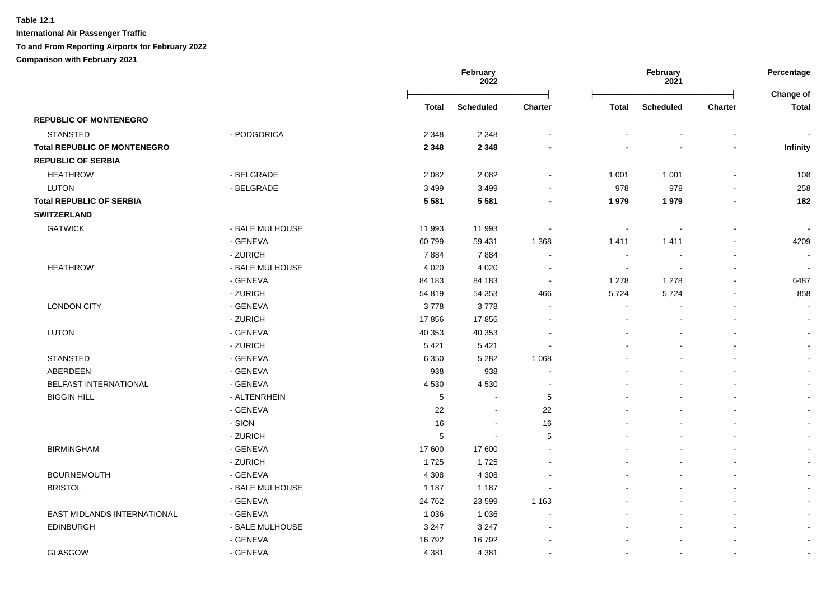|                                     |                 |         | <b>February</b><br>2022 |                |                          | February<br>2021         |                          | Percentage                |
|-------------------------------------|-----------------|---------|-------------------------|----------------|--------------------------|--------------------------|--------------------------|---------------------------|
|                                     |                 | Total   | <b>Scheduled</b>        | <b>Charter</b> | <b>Total</b>             | <b>Scheduled</b>         | Charter                  | Change of<br><b>Total</b> |
| <b>REPUBLIC OF MONTENEGRO</b>       |                 |         |                         |                |                          |                          |                          |                           |
| <b>STANSTED</b>                     | - PODGORICA     | 2 3 4 8 | 2 3 4 8                 |                |                          |                          |                          |                           |
| <b>Total REPUBLIC OF MONTENEGRO</b> |                 | 2 3 4 8 | 2 3 4 8                 |                |                          |                          |                          | Infinity                  |
| <b>REPUBLIC OF SERBIA</b>           |                 |         |                         |                |                          |                          |                          |                           |
| <b>HEATHROW</b>                     | - BELGRADE      | 2 0 8 2 | 2 0 8 2                 |                | 1 0 0 1                  | 1 0 0 1                  |                          | 108                       |
| <b>LUTON</b>                        | - BELGRADE      | 3 4 9 9 | 3 4 9 9                 |                | 978                      | 978                      |                          | 258                       |
| <b>Total REPUBLIC OF SERBIA</b>     |                 | 5 5 8 1 | 5581                    | $\blacksquare$ | 1979                     | 1979                     |                          | 182                       |
| <b>SWITZERLAND</b>                  |                 |         |                         |                |                          |                          |                          |                           |
| <b>GATWICK</b>                      | - BALE MULHOUSE | 11 993  | 11 993                  |                | $\overline{a}$           |                          |                          |                           |
|                                     | - GENEVA        | 60799   | 59 431                  | 1 3 6 8        | 1411                     | 1411                     |                          | 4209                      |
|                                     | - ZURICH        | 7884    | 7884                    |                | $\overline{\phantom{a}}$ |                          |                          |                           |
| <b>HEATHROW</b>                     | - BALE MULHOUSE | 4 0 20  | 4 0 20                  | $\sim$         | ÷                        |                          |                          |                           |
|                                     | - GENEVA        | 84 183  | 84 183                  | $\sim$         | 1 2 7 8                  | 1 2 7 8                  |                          | 6487                      |
|                                     | - ZURICH        | 54 819  | 54 353                  | 466            | 5724                     | 5724                     |                          | 858                       |
| <b>LONDON CITY</b>                  | - GENEVA        | 3778    | 3778                    |                |                          |                          |                          |                           |
|                                     | - ZURICH        | 17856   | 17856                   |                |                          |                          |                          | $\blacksquare$            |
| <b>LUTON</b>                        | - GENEVA        | 40 353  | 40 353                  |                |                          |                          |                          | $\blacksquare$            |
|                                     | - ZURICH        | 5 4 21  | 5 4 21                  |                |                          |                          |                          | $\blacksquare$            |
| <b>STANSTED</b>                     | - GENEVA        | 6 3 5 0 | 5 2 8 2                 | 1 0 6 8        |                          |                          |                          | $\blacksquare$            |
| ABERDEEN                            | - GENEVA        | 938     | 938                     |                |                          |                          |                          | $\blacksquare$            |
| <b>BELFAST INTERNATIONAL</b>        | - GENEVA        | 4530    | 4530                    |                |                          |                          |                          | $\blacksquare$            |
| <b>BIGGIN HILL</b>                  | - ALTENRHEIN    | 5       | $\sim$                  | 5              |                          |                          |                          | $\blacksquare$            |
|                                     | - GENEVA        | 22      | $\sim$                  | 22             |                          |                          |                          | $\sim$                    |
|                                     | - SION          | 16      | $\sim$                  | 16             |                          |                          |                          | $\blacksquare$            |
|                                     | - ZURICH        | 5       | $\sim$                  | 5              |                          |                          |                          | $\blacksquare$            |
| <b>BIRMINGHAM</b>                   | - GENEVA        | 17 600  | 17 600                  |                |                          |                          |                          | $\blacksquare$            |
|                                     | - ZURICH        | 1725    | 1725                    |                |                          |                          |                          | $\blacksquare$            |
| <b>BOURNEMOUTH</b>                  | - GENEVA        | 4 3 0 8 | 4 3 0 8                 |                |                          |                          |                          | $\sim$                    |
| <b>BRISTOL</b>                      | - BALE MULHOUSE | 1 1 8 7 | 1 1 8 7                 |                |                          |                          |                          | $\sim$                    |
|                                     | - GENEVA        | 24 7 62 | 23 599                  | 1 1 6 3        |                          |                          |                          | $\sim$                    |
| EAST MIDLANDS INTERNATIONAL         | - GENEVA        | 1 0 3 6 | 1 0 3 6                 |                |                          |                          |                          | $\blacksquare$            |
| EDINBURGH                           | - BALE MULHOUSE | 3 2 4 7 | 3 2 4 7                 |                |                          |                          |                          | $\sim$                    |
|                                     | - GENEVA        | 16792   | 16792                   |                |                          |                          |                          | $\blacksquare$            |
| <b>GLASGOW</b>                      | - GENEVA        | 4 3 8 1 | 4 3 8 1                 |                | $\sim$                   | $\overline{\phantom{a}}$ | $\overline{\phantom{a}}$ | $\sim$                    |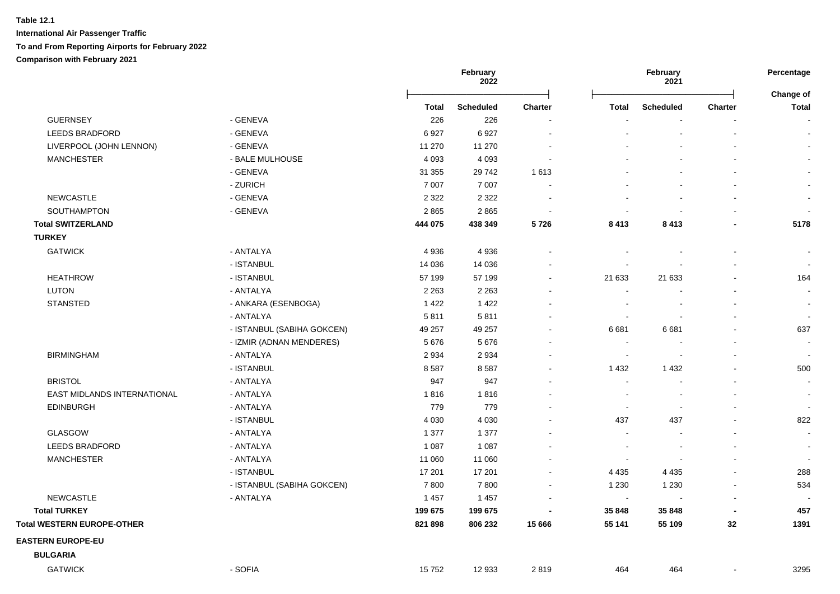|                                   |                            |         | February<br>2022 |                |                          | February<br>2021         |         | Percentage<br>Change of  |
|-----------------------------------|----------------------------|---------|------------------|----------------|--------------------------|--------------------------|---------|--------------------------|
|                                   |                            | Total   | <b>Scheduled</b> | <b>Charter</b> | <b>Total</b>             | <b>Scheduled</b>         | Charter | <b>Total</b>             |
| <b>GUERNSEY</b>                   | - GENEVA                   | 226     | 226              |                |                          |                          |         | $\sim$                   |
| <b>LEEDS BRADFORD</b>             | - GENEVA                   | 6927    | 6927             |                |                          |                          |         | $\sim$                   |
| LIVERPOOL (JOHN LENNON)           | - GENEVA                   | 11 270  | 11 270           |                |                          |                          |         |                          |
| <b>MANCHESTER</b>                 | - BALE MULHOUSE            | 4 0 9 3 | 4 0 9 3          |                |                          |                          |         |                          |
|                                   | - GENEVA                   | 31 355  | 29742            | 1 6 1 3        |                          |                          |         |                          |
|                                   | - ZURICH                   | 7 0 0 7 | 7 0 0 7          |                |                          |                          |         |                          |
| <b>NEWCASTLE</b>                  | - GENEVA                   | 2 3 2 2 | 2 3 2 2          |                |                          |                          |         |                          |
| SOUTHAMPTON                       | - GENEVA                   | 2865    | 2865             |                |                          |                          |         |                          |
| <b>Total SWITZERLAND</b>          |                            | 444 075 | 438 349          | 5726           | 8 4 1 3                  | 8413                     |         | 5178                     |
| <b>TURKEY</b>                     |                            |         |                  |                |                          |                          |         |                          |
| <b>GATWICK</b>                    | - ANTALYA                  | 4 9 3 6 | 4936             |                |                          |                          |         |                          |
|                                   | - ISTANBUL                 | 14 0 36 | 14 036           |                |                          |                          |         | $\overline{\phantom{a}}$ |
| <b>HEATHROW</b>                   | - ISTANBUL                 | 57 199  | 57 199           |                | 21 633                   | 21 633                   |         | 164                      |
| <b>LUTON</b>                      | - ANTALYA                  | 2 2 6 3 | 2 2 6 3          |                | $\sim$                   |                          |         | $\sim$                   |
| <b>STANSTED</b>                   | - ANKARA (ESENBOGA)        | 1422    | 1422             |                |                          |                          |         | $\blacksquare$           |
|                                   | - ANTALYA                  | 5811    | 5811             |                | $\overline{\phantom{a}}$ |                          |         | $\sim$                   |
|                                   | - ISTANBUL (SABIHA GOKCEN) | 49 257  | 49 257           |                | 6681                     | 6681                     |         | 637                      |
|                                   | - IZMIR (ADNAN MENDERES)   | 5676    | 5676             |                |                          |                          |         |                          |
| <b>BIRMINGHAM</b>                 | - ANTALYA                  | 2934    | 2934             |                | $\overline{\phantom{a}}$ |                          |         |                          |
|                                   | - ISTANBUL                 | 8587    | 8587             |                | 1 4 3 2                  | 1 4 3 2                  |         | 500                      |
| <b>BRISTOL</b>                    | - ANTALYA                  | 947     | 947              |                | $\sim$                   |                          |         | $\overline{\phantom{a}}$ |
| EAST MIDLANDS INTERNATIONAL       | - ANTALYA                  | 1816    | 1816             |                | $\overline{\phantom{a}}$ |                          |         | $\blacksquare$           |
| <b>EDINBURGH</b>                  | - ANTALYA                  | 779     | 779              |                | $\sim$                   | $\overline{\phantom{a}}$ |         | $\overline{\phantom{a}}$ |
|                                   | - ISTANBUL                 | 4 0 3 0 | 4 0 3 0          |                | 437                      | 437                      |         | 822                      |
| <b>GLASGOW</b>                    | - ANTALYA                  | 1 377   | 1 377            |                |                          |                          |         | $\overline{a}$           |
| <b>LEEDS BRADFORD</b>             | - ANTALYA                  | 1 0 8 7 | 1 0 8 7          |                | $\overline{\phantom{a}}$ |                          |         | $\overline{\phantom{a}}$ |
| <b>MANCHESTER</b>                 | - ANTALYA                  | 11 060  | 11 060           |                | $\overline{\phantom{a}}$ |                          |         | $\sim$                   |
|                                   | - ISTANBUL                 | 17 201  | 17 201           |                | 4 4 3 5                  | 4 4 3 5                  |         | 288                      |
|                                   | - ISTANBUL (SABIHA GOKCEN) | 7800    | 7800             |                | 1 2 3 0                  | 1 2 3 0                  |         | 534                      |
| NEWCASTLE                         | - ANTALYA                  | 1 4 5 7 | 1 4 5 7          |                | $\blacksquare$           |                          |         |                          |
| <b>Total TURKEY</b>               |                            | 199 675 | 199 675          |                | 35 848                   | 35 848                   |         | 457                      |
| <b>Total WESTERN EUROPE-OTHER</b> |                            | 821 898 | 806 232          | 15 6 66        | 55 141                   | 55 109                   | 32      | 1391                     |
| <b>EASTERN EUROPE-EU</b>          |                            |         |                  |                |                          |                          |         |                          |
| <b>BULGARIA</b>                   |                            |         |                  |                |                          |                          |         |                          |
| <b>GATWICK</b>                    | - SOFIA                    | 15752   | 12 933           | 2819           | 464                      | 464                      |         | 3295                     |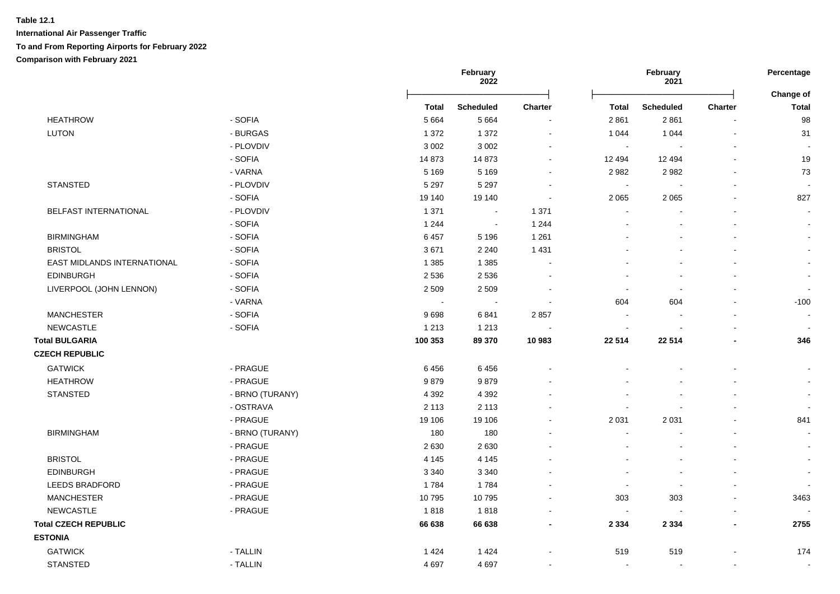|                             |                 |              | February<br>2022 |                      |                          | February<br>2021 |                | Percentage                |
|-----------------------------|-----------------|--------------|------------------|----------------------|--------------------------|------------------|----------------|---------------------------|
|                             |                 | <b>Total</b> | <b>Scheduled</b> | Charter              | <b>Total</b>             | <b>Scheduled</b> | Charter        | Change of<br><b>Total</b> |
| <b>HEATHROW</b>             | - SOFIA         | 5 6 6 4      | 5 6 6 4          |                      | 2861                     | 2861             |                | 98                        |
| <b>LUTON</b>                | - BURGAS        | 1 3 7 2      | 1 3 7 2          | $\sim$               | 1 0 4 4                  | 1 0 4 4          | $\blacksquare$ | 31                        |
|                             | - PLOVDIV       | 3 0 0 2      | 3 0 0 2          |                      | $\sim$                   |                  | $\blacksquare$ | $\overline{\phantom{a}}$  |
|                             | - SOFIA         | 14 873       | 14 873           | ۰                    | 12 4 94                  | 12 4 94          |                | 19                        |
|                             | - VARNA         | 5 1 6 9      | 5 1 6 9          |                      | 2 9 8 2                  | 2982             |                | 73                        |
| <b>STANSTED</b>             | - PLOVDIV       | 5 2 9 7      | 5 2 9 7          |                      | $\sim$                   |                  |                |                           |
|                             | - SOFIA         | 19 140       | 19 140           |                      | 2 0 6 5                  | 2 0 6 5          |                | 827                       |
| BELFAST INTERNATIONAL       | - PLOVDIV       | 1 3 7 1      | $\sim$           | 1 3 7 1              | $\overline{\phantom{a}}$ |                  |                | $\blacksquare$            |
|                             | - SOFIA         | 1 2 4 4      | $\sim$           | 1 2 4 4              |                          |                  |                | $\overline{a}$            |
| <b>BIRMINGHAM</b>           | - SOFIA         | 6457         | 5 1 9 6          | 1 2 6 1              |                          |                  |                |                           |
| <b>BRISTOL</b>              | - SOFIA         | 3671         | 2 2 4 0          | 1 4 3 1              |                          |                  |                |                           |
| EAST MIDLANDS INTERNATIONAL | - SOFIA         | 1 3 8 5      | 1 3 8 5          | $\ddot{\phantom{a}}$ |                          |                  |                | $\ddot{\phantom{a}}$      |
| <b>EDINBURGH</b>            | - SOFIA         | 2 5 3 6      | 2536             |                      |                          |                  |                | $\sim$                    |
| LIVERPOOL (JOHN LENNON)     | - SOFIA         | 2 5 0 9      | 2 5 0 9          |                      |                          |                  |                | $\blacksquare$            |
|                             | - VARNA         |              |                  |                      | 604                      | 604              |                | $-100$                    |
| <b>MANCHESTER</b>           | - SOFIA         | 9698         | 6841             | 2857                 | $\sim$                   |                  |                | $\sim$                    |
| <b>NEWCASTLE</b>            | - SOFIA         | 1 2 1 3      | 1 2 1 3          |                      | $\blacksquare$           |                  |                | $\overline{\phantom{a}}$  |
| <b>Total BULGARIA</b>       |                 | 100 353      | 89 370           | 10 983               | 22 514                   | 22 514           |                | 346                       |
| <b>CZECH REPUBLIC</b>       |                 |              |                  |                      |                          |                  |                |                           |
| <b>GATWICK</b>              | - PRAGUE        | 6456         | 6456             |                      |                          |                  |                | $\blacksquare$            |
| <b>HEATHROW</b>             | - PRAGUE        | 9879         | 9879             |                      |                          |                  |                | $\blacksquare$            |
| <b>STANSTED</b>             | - BRNO (TURANY) | 4 3 9 2      | 4 3 9 2          |                      |                          |                  |                | $\blacksquare$            |
|                             | - OSTRAVA       | 2 1 1 3      | 2 1 1 3          |                      |                          |                  |                | $\sim$                    |
|                             | - PRAGUE        | 19 106       | 19 10 6          |                      | 2 0 3 1                  | 2 0 3 1          |                | 841                       |
| <b>BIRMINGHAM</b>           | - BRNO (TURANY) | 180          | 180              |                      |                          |                  |                |                           |
|                             | - PRAGUE        | 2630         | 2630             |                      |                          |                  |                |                           |
| <b>BRISTOL</b>              | - PRAGUE        | 4 1 4 5      | 4 1 4 5          |                      |                          |                  |                | $\blacksquare$            |
| <b>EDINBURGH</b>            | - PRAGUE        | 3 3 4 0      | 3 3 4 0          |                      |                          |                  |                | $\overline{a}$            |
| <b>LEEDS BRADFORD</b>       | - PRAGUE        | 1784         | 1784             |                      | $\overline{\phantom{a}}$ | $\sim$           | $\sim$         |                           |
| <b>MANCHESTER</b>           | - PRAGUE        | 10795        | 10795            |                      | 303                      | 303              | $\sim$         | 3463                      |
| NEWCASTLE                   | - PRAGUE        | 1818         | 1818             | $\blacksquare$       | $\blacksquare$           |                  |                |                           |
| <b>Total CZECH REPUBLIC</b> |                 | 66 638       | 66 638           | $\blacksquare$       | 2 3 3 4                  | 2 3 3 4          | $\overline{a}$ | 2755                      |
| <b>ESTONIA</b>              |                 |              |                  |                      |                          |                  |                |                           |
| <b>GATWICK</b>              | - TALLIN        | 1424         | 1 4 2 4          |                      | 519                      | 519              |                | 174                       |
| <b>STANSTED</b>             | - TALLIN        | 4697         | 4697             |                      | $\sim$                   | $\blacksquare$   | $\blacksquare$ | $\sim$                    |
|                             |                 |              |                  |                      |                          |                  |                |                           |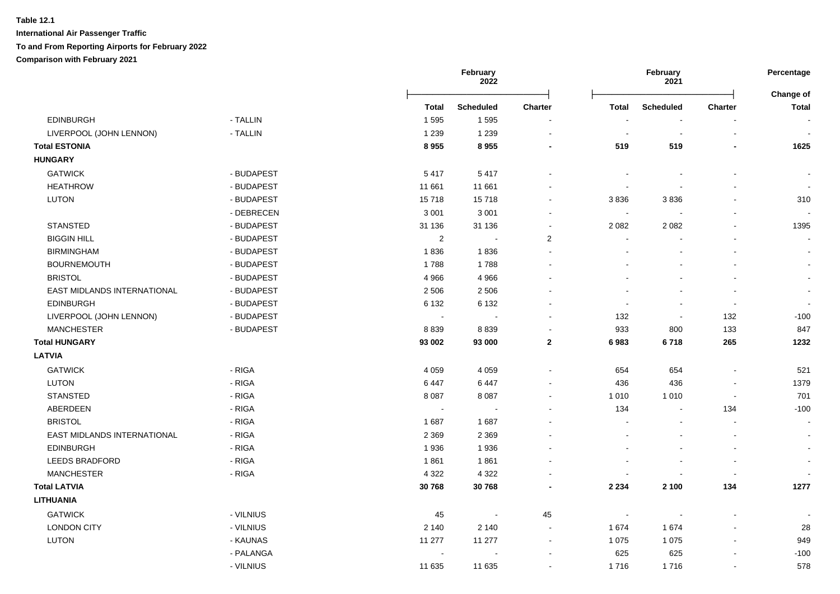| <b>Scheduled</b><br><b>Charter</b><br><b>Total</b><br><b>Scheduled</b><br><b>Charter</b><br>Total<br><b>EDINBURGH</b><br>- TALLIN<br>1595<br>1595<br>1 2 3 9<br>LIVERPOOL (JOHN LENNON)<br>- TALLIN<br>1 2 3 9<br>$\blacksquare$<br>$\overline{\phantom{a}}$<br>$\blacksquare$<br><b>Total ESTONIA</b><br>8955<br>8955<br>519<br>519<br>$\blacksquare$<br><b>HUNGARY</b><br><b>GATWICK</b><br>- BUDAPEST<br>5417<br>5417<br><b>HEATHROW</b><br>- BUDAPEST<br>11 661<br>11 661<br>$\sim$<br><b>LUTON</b><br>15718<br>- BUDAPEST<br>15718<br>3836<br>3836<br>$\blacksquare$<br>- DEBRECEN<br>3 0 0 1<br>3 0 0 1<br>$\blacksquare$<br>$\blacksquare$<br><b>STANSTED</b><br>- BUDAPEST<br>31 136<br>31 136<br>2 0 8 2<br>2 0 8 2<br>$\blacksquare$<br><b>BIGGIN HILL</b><br>- BUDAPEST<br>2<br>2<br><b>BIRMINGHAM</b><br>- BUDAPEST<br>1836<br>1836<br><b>BOURNEMOUTH</b><br>- BUDAPEST<br>1788<br>1788<br><b>BRISTOL</b><br>- BUDAPEST<br>4 9 6 6<br>4 9 6 6<br>EAST MIDLANDS INTERNATIONAL<br>- BUDAPEST<br>2 5 0 6<br>2 5 0 6<br><b>EDINBURGH</b><br>6 1 3 2<br>6 1 3 2<br>- BUDAPEST<br>$\blacksquare$<br>LIVERPOOL (JOHN LENNON)<br>132<br>- BUDAPEST<br>132<br>$\mathcal{L}_{\mathbf{r}}$<br>$\sim$<br>$\blacksquare$<br><b>MANCHESTER</b><br>- BUDAPEST<br>133<br>8839<br>8839<br>933<br>800<br>$\blacksquare$<br><b>Total HUNGARY</b><br>93 002<br>93 000<br>$\mathbf{2}$<br>6983<br>6718<br>265<br><b>LATVIA</b><br><b>GATWICK</b><br>- RIGA<br>4 0 5 9<br>4 0 5 9<br>654<br>654<br>$\mathbf{r}$<br><b>LUTON</b><br>- RIGA<br>436<br>6 4 4 7<br>6447<br>436<br><b>STANSTED</b><br>- RIGA<br>8 0 8 7<br>8 0 8 7<br>1 0 1 0<br>1 0 1 0<br>$\blacksquare$<br>$\blacksquare$<br>ABERDEEN<br>- RIGA<br>134<br>134<br>$\sim$<br>$\sim$<br><b>BRISTOL</b><br>- RIGA<br>1687<br>1687<br>EAST MIDLANDS INTERNATIONAL<br>- RIGA<br>2 3 6 9<br>2 3 6 9<br><b>EDINBURGH</b><br>- RIGA<br>1936<br>1936 | Change of<br><b>Total</b><br>$\sim$<br>$\sim$<br>1625<br>310<br>1395 |
|------------------------------------------------------------------------------------------------------------------------------------------------------------------------------------------------------------------------------------------------------------------------------------------------------------------------------------------------------------------------------------------------------------------------------------------------------------------------------------------------------------------------------------------------------------------------------------------------------------------------------------------------------------------------------------------------------------------------------------------------------------------------------------------------------------------------------------------------------------------------------------------------------------------------------------------------------------------------------------------------------------------------------------------------------------------------------------------------------------------------------------------------------------------------------------------------------------------------------------------------------------------------------------------------------------------------------------------------------------------------------------------------------------------------------------------------------------------------------------------------------------------------------------------------------------------------------------------------------------------------------------------------------------------------------------------------------------------------------------------------------------------------------------------------------------------------------------------------------------------------------------------------|----------------------------------------------------------------------|
|                                                                                                                                                                                                                                                                                                                                                                                                                                                                                                                                                                                                                                                                                                                                                                                                                                                                                                                                                                                                                                                                                                                                                                                                                                                                                                                                                                                                                                                                                                                                                                                                                                                                                                                                                                                                                                                                                                |                                                                      |
|                                                                                                                                                                                                                                                                                                                                                                                                                                                                                                                                                                                                                                                                                                                                                                                                                                                                                                                                                                                                                                                                                                                                                                                                                                                                                                                                                                                                                                                                                                                                                                                                                                                                                                                                                                                                                                                                                                |                                                                      |
|                                                                                                                                                                                                                                                                                                                                                                                                                                                                                                                                                                                                                                                                                                                                                                                                                                                                                                                                                                                                                                                                                                                                                                                                                                                                                                                                                                                                                                                                                                                                                                                                                                                                                                                                                                                                                                                                                                |                                                                      |
|                                                                                                                                                                                                                                                                                                                                                                                                                                                                                                                                                                                                                                                                                                                                                                                                                                                                                                                                                                                                                                                                                                                                                                                                                                                                                                                                                                                                                                                                                                                                                                                                                                                                                                                                                                                                                                                                                                |                                                                      |
|                                                                                                                                                                                                                                                                                                                                                                                                                                                                                                                                                                                                                                                                                                                                                                                                                                                                                                                                                                                                                                                                                                                                                                                                                                                                                                                                                                                                                                                                                                                                                                                                                                                                                                                                                                                                                                                                                                |                                                                      |
|                                                                                                                                                                                                                                                                                                                                                                                                                                                                                                                                                                                                                                                                                                                                                                                                                                                                                                                                                                                                                                                                                                                                                                                                                                                                                                                                                                                                                                                                                                                                                                                                                                                                                                                                                                                                                                                                                                |                                                                      |
|                                                                                                                                                                                                                                                                                                                                                                                                                                                                                                                                                                                                                                                                                                                                                                                                                                                                                                                                                                                                                                                                                                                                                                                                                                                                                                                                                                                                                                                                                                                                                                                                                                                                                                                                                                                                                                                                                                |                                                                      |
|                                                                                                                                                                                                                                                                                                                                                                                                                                                                                                                                                                                                                                                                                                                                                                                                                                                                                                                                                                                                                                                                                                                                                                                                                                                                                                                                                                                                                                                                                                                                                                                                                                                                                                                                                                                                                                                                                                |                                                                      |
|                                                                                                                                                                                                                                                                                                                                                                                                                                                                                                                                                                                                                                                                                                                                                                                                                                                                                                                                                                                                                                                                                                                                                                                                                                                                                                                                                                                                                                                                                                                                                                                                                                                                                                                                                                                                                                                                                                |                                                                      |
|                                                                                                                                                                                                                                                                                                                                                                                                                                                                                                                                                                                                                                                                                                                                                                                                                                                                                                                                                                                                                                                                                                                                                                                                                                                                                                                                                                                                                                                                                                                                                                                                                                                                                                                                                                                                                                                                                                |                                                                      |
|                                                                                                                                                                                                                                                                                                                                                                                                                                                                                                                                                                                                                                                                                                                                                                                                                                                                                                                                                                                                                                                                                                                                                                                                                                                                                                                                                                                                                                                                                                                                                                                                                                                                                                                                                                                                                                                                                                |                                                                      |
|                                                                                                                                                                                                                                                                                                                                                                                                                                                                                                                                                                                                                                                                                                                                                                                                                                                                                                                                                                                                                                                                                                                                                                                                                                                                                                                                                                                                                                                                                                                                                                                                                                                                                                                                                                                                                                                                                                |                                                                      |
|                                                                                                                                                                                                                                                                                                                                                                                                                                                                                                                                                                                                                                                                                                                                                                                                                                                                                                                                                                                                                                                                                                                                                                                                                                                                                                                                                                                                                                                                                                                                                                                                                                                                                                                                                                                                                                                                                                |                                                                      |
|                                                                                                                                                                                                                                                                                                                                                                                                                                                                                                                                                                                                                                                                                                                                                                                                                                                                                                                                                                                                                                                                                                                                                                                                                                                                                                                                                                                                                                                                                                                                                                                                                                                                                                                                                                                                                                                                                                |                                                                      |
|                                                                                                                                                                                                                                                                                                                                                                                                                                                                                                                                                                                                                                                                                                                                                                                                                                                                                                                                                                                                                                                                                                                                                                                                                                                                                                                                                                                                                                                                                                                                                                                                                                                                                                                                                                                                                                                                                                |                                                                      |
|                                                                                                                                                                                                                                                                                                                                                                                                                                                                                                                                                                                                                                                                                                                                                                                                                                                                                                                                                                                                                                                                                                                                                                                                                                                                                                                                                                                                                                                                                                                                                                                                                                                                                                                                                                                                                                                                                                |                                                                      |
|                                                                                                                                                                                                                                                                                                                                                                                                                                                                                                                                                                                                                                                                                                                                                                                                                                                                                                                                                                                                                                                                                                                                                                                                                                                                                                                                                                                                                                                                                                                                                                                                                                                                                                                                                                                                                                                                                                | $-100$                                                               |
|                                                                                                                                                                                                                                                                                                                                                                                                                                                                                                                                                                                                                                                                                                                                                                                                                                                                                                                                                                                                                                                                                                                                                                                                                                                                                                                                                                                                                                                                                                                                                                                                                                                                                                                                                                                                                                                                                                | 847                                                                  |
|                                                                                                                                                                                                                                                                                                                                                                                                                                                                                                                                                                                                                                                                                                                                                                                                                                                                                                                                                                                                                                                                                                                                                                                                                                                                                                                                                                                                                                                                                                                                                                                                                                                                                                                                                                                                                                                                                                | 1232                                                                 |
|                                                                                                                                                                                                                                                                                                                                                                                                                                                                                                                                                                                                                                                                                                                                                                                                                                                                                                                                                                                                                                                                                                                                                                                                                                                                                                                                                                                                                                                                                                                                                                                                                                                                                                                                                                                                                                                                                                |                                                                      |
|                                                                                                                                                                                                                                                                                                                                                                                                                                                                                                                                                                                                                                                                                                                                                                                                                                                                                                                                                                                                                                                                                                                                                                                                                                                                                                                                                                                                                                                                                                                                                                                                                                                                                                                                                                                                                                                                                                | 521                                                                  |
|                                                                                                                                                                                                                                                                                                                                                                                                                                                                                                                                                                                                                                                                                                                                                                                                                                                                                                                                                                                                                                                                                                                                                                                                                                                                                                                                                                                                                                                                                                                                                                                                                                                                                                                                                                                                                                                                                                | 1379                                                                 |
|                                                                                                                                                                                                                                                                                                                                                                                                                                                                                                                                                                                                                                                                                                                                                                                                                                                                                                                                                                                                                                                                                                                                                                                                                                                                                                                                                                                                                                                                                                                                                                                                                                                                                                                                                                                                                                                                                                | 701                                                                  |
|                                                                                                                                                                                                                                                                                                                                                                                                                                                                                                                                                                                                                                                                                                                                                                                                                                                                                                                                                                                                                                                                                                                                                                                                                                                                                                                                                                                                                                                                                                                                                                                                                                                                                                                                                                                                                                                                                                | $-100$                                                               |
|                                                                                                                                                                                                                                                                                                                                                                                                                                                                                                                                                                                                                                                                                                                                                                                                                                                                                                                                                                                                                                                                                                                                                                                                                                                                                                                                                                                                                                                                                                                                                                                                                                                                                                                                                                                                                                                                                                | $\blacksquare$                                                       |
|                                                                                                                                                                                                                                                                                                                                                                                                                                                                                                                                                                                                                                                                                                                                                                                                                                                                                                                                                                                                                                                                                                                                                                                                                                                                                                                                                                                                                                                                                                                                                                                                                                                                                                                                                                                                                                                                                                | $\blacksquare$                                                       |
|                                                                                                                                                                                                                                                                                                                                                                                                                                                                                                                                                                                                                                                                                                                                                                                                                                                                                                                                                                                                                                                                                                                                                                                                                                                                                                                                                                                                                                                                                                                                                                                                                                                                                                                                                                                                                                                                                                | $\blacksquare$                                                       |
| - RIGA<br><b>LEEDS BRADFORD</b><br>1861<br>1861                                                                                                                                                                                                                                                                                                                                                                                                                                                                                                                                                                                                                                                                                                                                                                                                                                                                                                                                                                                                                                                                                                                                                                                                                                                                                                                                                                                                                                                                                                                                                                                                                                                                                                                                                                                                                                                |                                                                      |
| <b>MANCHESTER</b><br>- RIGA<br>4 3 2 2<br>4 3 2 2<br>$\overline{\phantom{a}}$                                                                                                                                                                                                                                                                                                                                                                                                                                                                                                                                                                                                                                                                                                                                                                                                                                                                                                                                                                                                                                                                                                                                                                                                                                                                                                                                                                                                                                                                                                                                                                                                                                                                                                                                                                                                                  |                                                                      |
| <b>Total LATVIA</b><br>30768<br>2 100<br>134<br>30768<br>2 2 3 4                                                                                                                                                                                                                                                                                                                                                                                                                                                                                                                                                                                                                                                                                                                                                                                                                                                                                                                                                                                                                                                                                                                                                                                                                                                                                                                                                                                                                                                                                                                                                                                                                                                                                                                                                                                                                               | 1277                                                                 |
| <b>LITHUANIA</b>                                                                                                                                                                                                                                                                                                                                                                                                                                                                                                                                                                                                                                                                                                                                                                                                                                                                                                                                                                                                                                                                                                                                                                                                                                                                                                                                                                                                                                                                                                                                                                                                                                                                                                                                                                                                                                                                               |                                                                      |
| <b>GATWICK</b><br>- VILNIUS<br>45<br>45<br>$\sim$<br>$\blacksquare$                                                                                                                                                                                                                                                                                                                                                                                                                                                                                                                                                                                                                                                                                                                                                                                                                                                                                                                                                                                                                                                                                                                                                                                                                                                                                                                                                                                                                                                                                                                                                                                                                                                                                                                                                                                                                            |                                                                      |
| <b>LONDON CITY</b><br>- VILNIUS<br>2 1 4 0<br>2 1 4 0<br>1674<br>1674                                                                                                                                                                                                                                                                                                                                                                                                                                                                                                                                                                                                                                                                                                                                                                                                                                                                                                                                                                                                                                                                                                                                                                                                                                                                                                                                                                                                                                                                                                                                                                                                                                                                                                                                                                                                                          | 28                                                                   |
| LUTON<br>- KAUNAS<br>11 277<br>11 277<br>1 0 7 5<br>1 0 7 5<br>$\blacksquare$<br>$\overline{\phantom{a}}$                                                                                                                                                                                                                                                                                                                                                                                                                                                                                                                                                                                                                                                                                                                                                                                                                                                                                                                                                                                                                                                                                                                                                                                                                                                                                                                                                                                                                                                                                                                                                                                                                                                                                                                                                                                      | 949                                                                  |
| - PALANGA<br>625<br>625                                                                                                                                                                                                                                                                                                                                                                                                                                                                                                                                                                                                                                                                                                                                                                                                                                                                                                                                                                                                                                                                                                                                                                                                                                                                                                                                                                                                                                                                                                                                                                                                                                                                                                                                                                                                                                                                        | $-100$                                                               |
| - VILNIUS<br>11 635<br>1716<br>1716<br>11 635<br>$\blacksquare$                                                                                                                                                                                                                                                                                                                                                                                                                                                                                                                                                                                                                                                                                                                                                                                                                                                                                                                                                                                                                                                                                                                                                                                                                                                                                                                                                                                                                                                                                                                                                                                                                                                                                                                                                                                                                                |                                                                      |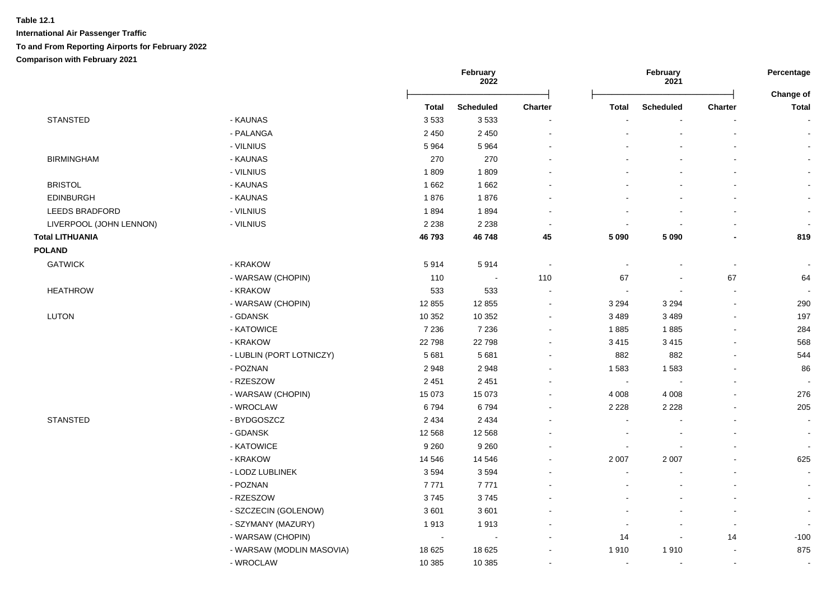|                         |                           | February<br><b>2022</b> |                  |                          | February<br>2021         |                          |                          |                                  |
|-------------------------|---------------------------|-------------------------|------------------|--------------------------|--------------------------|--------------------------|--------------------------|----------------------------------|
|                         |                           | <b>Total</b>            | <b>Scheduled</b> | Charter                  | <b>Total</b>             | <b>Scheduled</b>         | Charter                  | <b>Change of</b><br><b>Total</b> |
| <b>STANSTED</b>         | - KAUNAS                  | 3533                    | 3533             | $\blacksquare$           |                          |                          |                          |                                  |
|                         | - PALANGA                 | 2 4 5 0                 | 2 4 5 0          | $\blacksquare$           |                          |                          |                          |                                  |
|                         | - VILNIUS                 | 5964                    | 5964             |                          |                          |                          |                          |                                  |
| <b>BIRMINGHAM</b>       | - KAUNAS                  | 270                     | 270              |                          |                          |                          |                          |                                  |
|                         | - VILNIUS                 | 1809                    | 1809             |                          |                          |                          |                          |                                  |
| <b>BRISTOL</b>          | - KAUNAS                  | 1 6 6 2                 | 1662             |                          |                          |                          |                          |                                  |
| <b>EDINBURGH</b>        | - KAUNAS                  | 1876                    | 1876             |                          |                          |                          |                          |                                  |
| <b>LEEDS BRADFORD</b>   | - VILNIUS                 | 1894                    | 1894             | $\blacksquare$           |                          |                          |                          |                                  |
| LIVERPOOL (JOHN LENNON) | - VILNIUS                 | 2 2 3 8                 | 2 2 3 8          | $\sim$                   |                          |                          |                          |                                  |
| <b>Total LITHUANIA</b>  |                           | 46793                   | 46748            | 45                       | 5 0 9 0                  | 5 0 9 0                  | $\overline{\phantom{a}}$ | 819                              |
| <b>POLAND</b>           |                           |                         |                  |                          |                          |                          |                          |                                  |
| <b>GATWICK</b>          | - KRAKOW                  | 5914                    | 5914             | $\sim$                   | $\overline{\phantom{a}}$ |                          | $\sim$                   |                                  |
|                         | - WARSAW (CHOPIN)         | 110                     | $\sim$           | 110                      | 67                       | $\overline{\phantom{a}}$ | 67                       | 64                               |
| <b>HEATHROW</b>         | - KRAKOW                  | 533                     | 533              | $\sim$                   | $\blacksquare$           | $\sim$                   | $\blacksquare$           | $\sim$                           |
|                         | - WARSAW (CHOPIN)         | 12 8 55                 | 12 8 55          | $\blacksquare$           | 3 2 9 4                  | 3 2 9 4                  | $\blacksquare$           | 290                              |
| <b>LUTON</b>            | - GDANSK                  | 10 352                  | 10 352           | $\blacksquare$           | 3 4 8 9                  | 3 4 8 9                  | $\blacksquare$           | 197                              |
|                         | - KATOWICE                | 7 2 3 6                 | 7 2 3 6          | $\blacksquare$           | 1885                     | 1885                     |                          | 284                              |
|                         | - KRAKOW                  | 22798                   | 22798            | $\blacksquare$           | 3 4 1 5                  | 3 4 1 5                  |                          | 568                              |
|                         | - LUBLIN (PORT LOTNICZY)  | 5 6 8 1                 | 5 6 8 1          | $\blacksquare$           | 882                      | 882                      | $\overline{\phantom{a}}$ | 544                              |
|                         | - POZNAN                  | 2948                    | 2948             | $\blacksquare$           | 1583                     | 1583                     |                          | 86                               |
|                         | - RZESZOW                 | 2 4 5 1                 | 2 4 5 1          | $\overline{\phantom{a}}$ | $\sim$                   | $\blacksquare$           | $\overline{\phantom{a}}$ | $\sim$                           |
|                         | - WARSAW (CHOPIN)         | 15 073                  | 15 0 73          | $\blacksquare$           | 4 0 0 8                  | 4 0 0 8                  |                          | 276                              |
|                         | - WROCLAW                 | 6794                    | 6794             | $\blacksquare$           | 2 2 2 8                  | 2 2 2 8                  |                          | 205                              |
| <b>STANSTED</b>         | - BYDGOSZCZ               | 2 4 3 4                 | 2 4 3 4          |                          |                          |                          |                          |                                  |
|                         | - GDANSK                  | 12 5 68                 | 12 5 68          |                          |                          |                          |                          |                                  |
|                         | - KATOWICE                | 9 2 6 0                 | 9 2 6 0          | $\blacksquare$           |                          |                          |                          | $\blacksquare$                   |
|                         | - KRAKOW                  | 14 5 46                 | 14 5 46          | ÷                        | 2 0 0 7                  | 2 0 0 7                  |                          | 625                              |
|                         | - LODZ LUBLINEK           | 3594                    | 3594             | $\blacksquare$           |                          |                          |                          | $\blacksquare$                   |
|                         | - POZNAN                  | 7771                    | 7771             |                          |                          |                          |                          | $\blacksquare$                   |
|                         | - RZESZOW                 | 3745                    | 3745             |                          |                          |                          | $\overline{\phantom{a}}$ |                                  |
|                         | - SZCZECIN (GOLENOW)      | 3601                    | 3601             |                          |                          |                          | $\overline{\phantom{a}}$ |                                  |
|                         | - SZYMANY (MAZURY)        | 1913                    | 1913             |                          |                          |                          | $\blacksquare$           |                                  |
|                         | - WARSAW (CHOPIN)         | $\sim$                  |                  |                          | 14                       |                          | 14                       | $-100$                           |
|                         | - WARSAW (MODLIN MASOVIA) | 18 625                  | 18 6 25          |                          | 1910                     | 1910                     | $\blacksquare$           | 875                              |
|                         | - WROCLAW                 | 10 385                  | 10 385           | $\blacksquare$           | $\sim$                   |                          | $\blacksquare$           |                                  |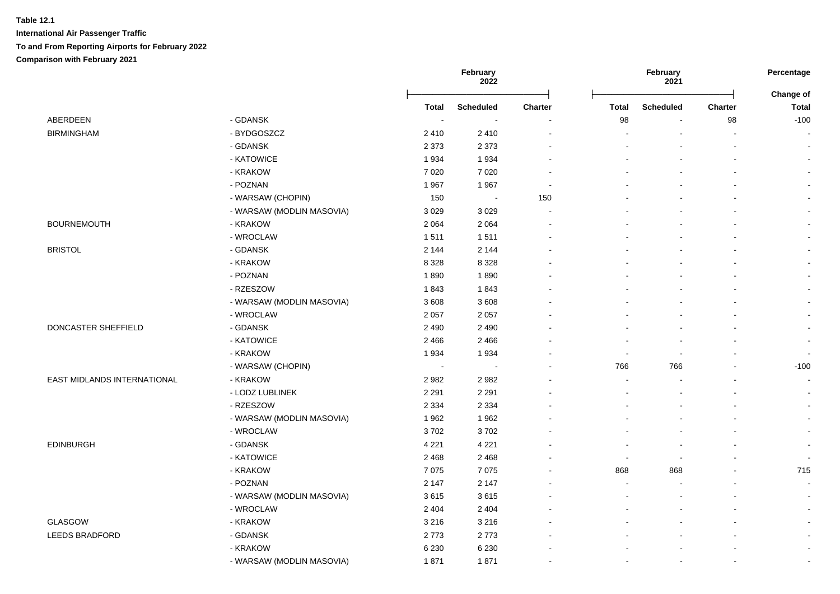|                             |                           |                          | February<br>2022 |         |       | February<br>2021 |                |                           |
|-----------------------------|---------------------------|--------------------------|------------------|---------|-------|------------------|----------------|---------------------------|
|                             |                           | <b>Total</b>             | <b>Scheduled</b> | Charter | Total | <b>Scheduled</b> | Charter        | Change of<br><b>Total</b> |
| ABERDEEN                    | - GDANSK                  | $\overline{\phantom{a}}$ |                  |         | 98    |                  | 98             | $-100$                    |
| <b>BIRMINGHAM</b>           | - BYDGOSZCZ               | 2410                     | 2410             |         |       |                  | $\blacksquare$ | $\sim$                    |
|                             | - GDANSK                  | 2 3 7 3                  | 2 3 7 3          |         |       |                  |                | $\sim$                    |
|                             | - KATOWICE                | 1934                     | 1934             |         |       |                  |                | $\sim$                    |
|                             | - KRAKOW                  | 7020                     | 7020             |         |       |                  |                | $\sim$                    |
|                             | - POZNAN                  | 1967                     | 1967             |         |       |                  |                | $\sim$                    |
|                             | - WARSAW (CHOPIN)         | 150                      | $\sim$           | 150     |       |                  |                | $\overline{\phantom{a}}$  |
|                             | - WARSAW (MODLIN MASOVIA) | 3 0 2 9                  | 3 0 2 9          |         |       |                  |                | $\blacksquare$            |
| <b>BOURNEMOUTH</b>          | - KRAKOW                  | 2 0 6 4                  | 2 0 6 4          |         |       |                  |                | $\blacksquare$            |
|                             | - WROCLAW                 | 1511                     | 1511             |         |       |                  |                |                           |
| <b>BRISTOL</b>              | - GDANSK                  | 2 1 4 4                  | 2 1 4 4          |         |       |                  |                |                           |
|                             | - KRAKOW                  | 8 3 2 8                  | 8 3 2 8          |         |       |                  |                |                           |
|                             | - POZNAN                  | 1890                     | 1890             |         |       |                  |                | $\sim$                    |
|                             | - RZESZOW                 | 1843                     | 1843             |         |       |                  |                |                           |
|                             | - WARSAW (MODLIN MASOVIA) | 3608                     | 3608             |         |       |                  |                |                           |
|                             | - WROCLAW                 | 2 0 5 7                  | 2 0 5 7          |         |       |                  |                |                           |
| DONCASTER SHEFFIELD         | - GDANSK                  | 2 4 9 0                  | 2 4 9 0          |         |       |                  |                |                           |
|                             | - KATOWICE                | 2 4 6 6                  | 2466             |         |       |                  |                | $\sim$                    |
|                             | - KRAKOW                  | 1934                     | 1934             |         |       | $\blacksquare$   |                | $\overline{\phantom{a}}$  |
|                             | - WARSAW (CHOPIN)         | $\overline{\phantom{a}}$ |                  |         | 766   | 766              |                | $-100$                    |
| EAST MIDLANDS INTERNATIONAL | - KRAKOW                  | 2982                     | 2982             |         |       |                  |                | $\sim$                    |
|                             | - LODZ LUBLINEK           | 2 2 9 1                  | 2 2 9 1          |         |       |                  |                | $\blacksquare$            |
|                             | - RZESZOW                 | 2 3 3 4                  | 2 3 3 4          |         |       |                  |                | $\sim$                    |
|                             | - WARSAW (MODLIN MASOVIA) | 1962                     | 1962             |         |       |                  |                | $\sim$                    |
|                             | - WROCLAW                 | 3702                     | 3702             |         |       |                  |                | $\sim$                    |
| EDINBURGH                   | - GDANSK                  | 4 2 2 1                  | 4 2 2 1          |         |       |                  |                | $\blacksquare$            |
|                             | - KATOWICE                | 2 4 6 8                  | 2 4 6 8          |         |       |                  |                | $\overline{\phantom{a}}$  |
|                             | - KRAKOW                  | 7075                     | 7075             |         | 868   | 868              |                | 715                       |
|                             | - POZNAN                  | 2 1 4 7                  | 2 1 4 7          |         |       |                  |                | $\sim$                    |
|                             | - WARSAW (MODLIN MASOVIA) | 3615                     | 3615             |         |       |                  |                | $\mathbf{r}$              |
|                             | - WROCLAW                 | 2 4 0 4                  | 2 4 0 4          |         |       |                  |                | $\sim$                    |
| GLASGOW                     | - KRAKOW                  | 3 2 1 6                  | 3 2 1 6          |         |       |                  |                | $\blacksquare$            |
| <b>LEEDS BRADFORD</b>       | - GDANSK                  | 2773                     | 2773             |         |       |                  |                | $\sim$                    |
|                             | - KRAKOW                  | 6 2 3 0                  | 6 2 3 0          |         |       |                  |                | $\blacksquare$            |
|                             | - WARSAW (MODLIN MASOVIA) | 1871                     | 1871             |         |       |                  | $\blacksquare$ | $\sim$                    |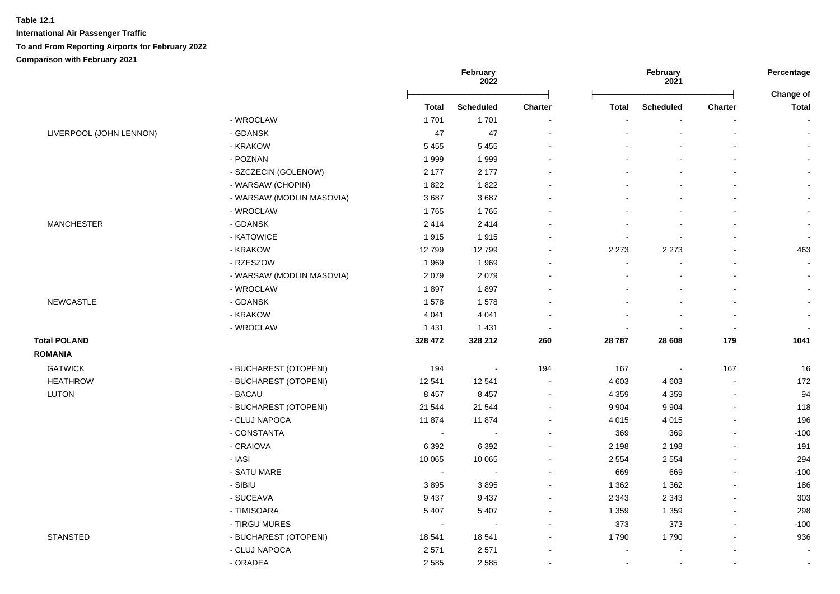|                         |                           |              | February<br>2022 |                          | February<br>2021 |                  |                          | Percentage<br>Change of |
|-------------------------|---------------------------|--------------|------------------|--------------------------|------------------|------------------|--------------------------|-------------------------|
|                         |                           | <b>Total</b> | <b>Scheduled</b> | <b>Charter</b>           | <b>Total</b>     | <b>Scheduled</b> | <b>Charter</b>           | <b>Total</b>            |
|                         | - WROCLAW                 | 1701         | 1701             | $\overline{\phantom{a}}$ |                  |                  |                          |                         |
| LIVERPOOL (JOHN LENNON) | - GDANSK                  | 47           | 47               | $\blacksquare$           |                  |                  |                          |                         |
|                         | - KRAKOW                  | 5 4 5 5      | 5 4 5 5          | $\sim$                   |                  |                  |                          |                         |
|                         | - POZNAN                  | 1999         | 1999             | ä,                       |                  |                  |                          |                         |
|                         | - SZCZECIN (GOLENOW)      | 2 1 7 7      | 2 1 7 7          | $\blacksquare$           |                  |                  |                          |                         |
|                         | - WARSAW (CHOPIN)         | 1822         | 1822             |                          |                  |                  |                          |                         |
|                         | - WARSAW (MODLIN MASOVIA) | 3687         | 3687             |                          |                  |                  |                          |                         |
|                         | - WROCLAW                 | 1765         | 1765             | $\overline{a}$           |                  |                  |                          |                         |
| <b>MANCHESTER</b>       | - GDANSK                  | 2414         | 2414             | ÷                        |                  |                  |                          |                         |
|                         | - KATOWICE                | 1915         | 1915             | ä,                       |                  |                  |                          |                         |
|                         | - KRAKOW                  | 12799        | 12799            | ä,                       | 2 2 7 3          | 2 2 7 3          |                          | 463                     |
|                         | - RZESZOW                 | 1969         | 1969             | ä,                       |                  |                  |                          | $\blacksquare$          |
|                         | - WARSAW (MODLIN MASOVIA) | 2079         | 2079             | $\overline{a}$           |                  |                  |                          | $\overline{a}$          |
|                         | - WROCLAW                 | 1897         | 1897             | $\blacksquare$           |                  |                  |                          | $\sim$                  |
| <b>NEWCASTLE</b>        | - GDANSK                  | 1578         | 1578             |                          |                  |                  |                          |                         |
|                         | - KRAKOW                  | 4 0 4 1      | 4 0 4 1          |                          |                  |                  |                          |                         |
|                         | - WROCLAW                 | 1431         | 1431             | $\blacksquare$           |                  |                  | $\overline{\phantom{a}}$ |                         |
| <b>Total POLAND</b>     |                           | 328 472      | 328 212          | 260                      | 28 787           | 28 608           | 179                      | 1041                    |
| <b>ROMANIA</b>          |                           |              |                  |                          |                  |                  |                          |                         |
| <b>GATWICK</b>          | - BUCHAREST (OTOPENI)     | 194          | $\sim$           | 194                      | 167              | $\sim$           | 167                      | 16                      |
| <b>HEATHROW</b>         | - BUCHAREST (OTOPENI)     | 12 541       | 12 5 41          | $\blacksquare$           | 4 603            | 4 6 0 3          |                          | 172                     |
| <b>LUTON</b>            | - BACAU                   | 8 4 5 7      | 8 4 5 7          | $\blacksquare$           | 4 3 5 9          | 4 3 5 9          | $\overline{\phantom{a}}$ | 94                      |
|                         | - BUCHAREST (OTOPENI)     | 21 544       | 21 544           | $\sim$                   | 9 9 0 4          | 9 9 0 4          | $\sim$                   | 118                     |
|                         | - CLUJ NAPOCA             | 11874        | 11874            | $\blacksquare$           | 4 0 1 5          | 4 0 1 5          | $\sim$                   | 196                     |
|                         | - CONSTANTA               | $\sim$       | $\blacksquare$   | ä,                       | 369              | 369              | $\blacksquare$           | $-100$                  |
|                         | - CRAIOVA                 | 6 3 9 2      | 6 3 9 2          | $\blacksquare$           | 2 1 9 8          | 2 1 9 8          |                          | 191                     |
|                         | - IASI                    | 10 065       | 10 065           | $\blacksquare$           | 2 5 5 4          | 2 5 5 4          |                          | 294                     |
|                         | - SATU MARE               | $\sim$       | $\overline{a}$   |                          | 669              | 669              |                          | $-100$                  |
|                         | - SIBIU                   | 3895         | 3895             | ä,                       | 1 3 6 2          | 1 3 6 2          |                          | 186                     |
|                         | - SUCEAVA                 | 9437         | 9 4 3 7          | $\blacksquare$           | 2 3 4 3          | 2 3 4 3          | $\sim$                   | 303                     |
|                         | - TIMISOARA               | 5 4 0 7      | 5 4 0 7          | $\sim$                   | 1 3 5 9          | 1 3 5 9          | $\sim$                   | 298                     |
|                         | - TIRGU MURES             | $\sim$       | $\sim$           | $\blacksquare$           | 373              | 373              | $\sim$                   | $-100$                  |
| <b>STANSTED</b>         | - BUCHAREST (OTOPENI)     | 18541        | 18 541           | ä,                       | 1790             | 1790             | $\blacksquare$           | 936                     |
|                         | - CLUJ NAPOCA             | 2571         | 2571             | $\blacksquare$           |                  |                  | $\sim$                   | $\blacksquare$          |
|                         | - ORADEA                  | 2 5 8 5      | 2585             | $\sim$                   |                  |                  |                          | $\blacksquare$          |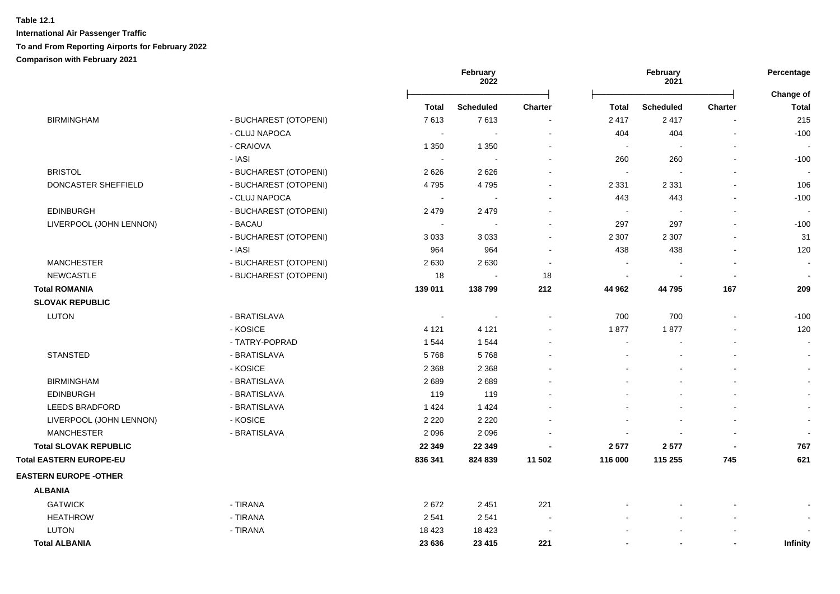|                                |                       |              | February<br>2022         |                          |                | February<br>2021 |                          | Percentage                |
|--------------------------------|-----------------------|--------------|--------------------------|--------------------------|----------------|------------------|--------------------------|---------------------------|
|                                |                       | <b>Total</b> | <b>Scheduled</b>         | <b>Charter</b>           | <b>Total</b>   | <b>Scheduled</b> | <b>Charter</b>           | Change of<br><b>Total</b> |
| <b>BIRMINGHAM</b>              | - BUCHAREST (OTOPENI) | 7613         | 7613                     |                          | 2 4 1 7        | 2417             |                          | 215                       |
|                                | - CLUJ NAPOCA         |              |                          |                          | 404            | 404              |                          | $-100$                    |
|                                | - CRAIOVA             | 1 3 5 0      | 1 3 5 0                  | $\blacksquare$           | $\sim$         | $\blacksquare$   | $\blacksquare$           |                           |
|                                | - IASI                | $\sim$       |                          |                          | 260            | 260              |                          | $-100$                    |
| <b>BRISTOL</b>                 | - BUCHAREST (OTOPENI) | 2626         | 2626                     |                          | $\sim$         |                  |                          |                           |
| DONCASTER SHEFFIELD            | - BUCHAREST (OTOPENI) | 4795         | 4795                     | $\blacksquare$           | 2 3 3 1        | 2 3 3 1          | $\blacksquare$           | 106                       |
|                                | - CLUJ NAPOCA         | $\sim$       |                          | ä,                       | 443            | 443              | $\blacksquare$           | $-100$                    |
| <b>EDINBURGH</b>               | - BUCHAREST (OTOPENI) | 2 4 7 9      | 2 4 7 9                  |                          | $\sim$         |                  | ÷,                       |                           |
| LIVERPOOL (JOHN LENNON)        | - BACAU               | $\sim$       | ÷                        | $\sim$                   | 297            | 297              | $\overline{a}$           | $-100$                    |
|                                | - BUCHAREST (OTOPENI) | 3 0 3 3      | 3 0 3 3                  | $\blacksquare$           | 2 3 0 7        | 2 3 0 7          | $\overline{a}$           | 31                        |
|                                | - IASI                | 964          | 964                      | ۰                        | 438            | 438              | $\blacksquare$           | 120                       |
| <b>MANCHESTER</b>              | - BUCHAREST (OTOPENI) | 2630         | 2630                     | $\blacksquare$           |                |                  | $\overline{\phantom{a}}$ | $\blacksquare$            |
| <b>NEWCASTLE</b>               | - BUCHAREST (OTOPENI) | 18           | $\overline{\phantom{a}}$ | 18                       | $\blacksquare$ | $\blacksquare$   | $\blacksquare$           | $\blacksquare$            |
| <b>Total ROMANIA</b>           |                       | 139 011      | 138799                   | 212                      | 44 962         | 44795            | 167                      | 209                       |
| <b>SLOVAK REPUBLIC</b>         |                       |              |                          |                          |                |                  |                          |                           |
| <b>LUTON</b>                   | - BRATISLAVA          |              | $\sim$                   | $\blacksquare$           | 700            | 700              | $\blacksquare$           | $-100$                    |
|                                | - KOSICE              | 4 1 2 1      | 4 1 2 1                  | $\blacksquare$           | 1877           | 1877             |                          | 120                       |
|                                | - TATRY-POPRAD        | 1 5 4 4      | 1544                     |                          | $\sim$         |                  |                          | $\sim$                    |
| <b>STANSTED</b>                | - BRATISLAVA          | 5768         | 5768                     |                          |                |                  |                          | $\sim$                    |
|                                | - KOSICE              | 2 3 6 8      | 2 3 6 8                  |                          |                |                  | $\blacksquare$           | $\sim$                    |
| <b>BIRMINGHAM</b>              | - BRATISLAVA          | 2689         | 2689                     |                          |                |                  |                          | $\sim$                    |
| <b>EDINBURGH</b>               | - BRATISLAVA          | 119          | 119                      |                          |                |                  | $\blacksquare$           |                           |
| <b>LEEDS BRADFORD</b>          | - BRATISLAVA          | 1 4 2 4      | 1424                     |                          |                |                  | $\blacksquare$           | $\sim$                    |
| LIVERPOOL (JOHN LENNON)        | - KOSICE              | 2 2 2 0      | 2 2 2 0                  |                          |                |                  | $\blacksquare$           | $\sim$                    |
| <b>MANCHESTER</b>              | - BRATISLAVA          | 2096         | 2096                     |                          |                |                  | $\blacksquare$           | $\sim$                    |
| <b>Total SLOVAK REPUBLIC</b>   |                       | 22 349       | 22 349                   | ٠                        | 2577           | 2577             | $\overline{\phantom{a}}$ | 767                       |
| <b>Total EASTERN EUROPE-EU</b> |                       | 836 341      | 824 839                  | 11 502                   | 116 000        | 115 255          | 745                      | 621                       |
| <b>EASTERN EUROPE - OTHER</b>  |                       |              |                          |                          |                |                  |                          |                           |
| <b>ALBANIA</b>                 |                       |              |                          |                          |                |                  |                          |                           |
| <b>GATWICK</b>                 | - TIRANA              | 2672         | 2 4 5 1                  | 221                      |                |                  |                          |                           |
| <b>HEATHROW</b>                | - TIRANA              | 2541         | 2541                     | $\sim$                   |                |                  | $\blacksquare$           | $\sim$                    |
| <b>LUTON</b>                   | - TIRANA              | 18 4 23      | 18 4 23                  | $\overline{\phantom{a}}$ |                |                  |                          |                           |
| <b>Total ALBANIA</b>           |                       | 23 636       | 23 4 15                  | 221                      | $\blacksquare$ | $\blacksquare$   | $\blacksquare$           | <b>Infinity</b>           |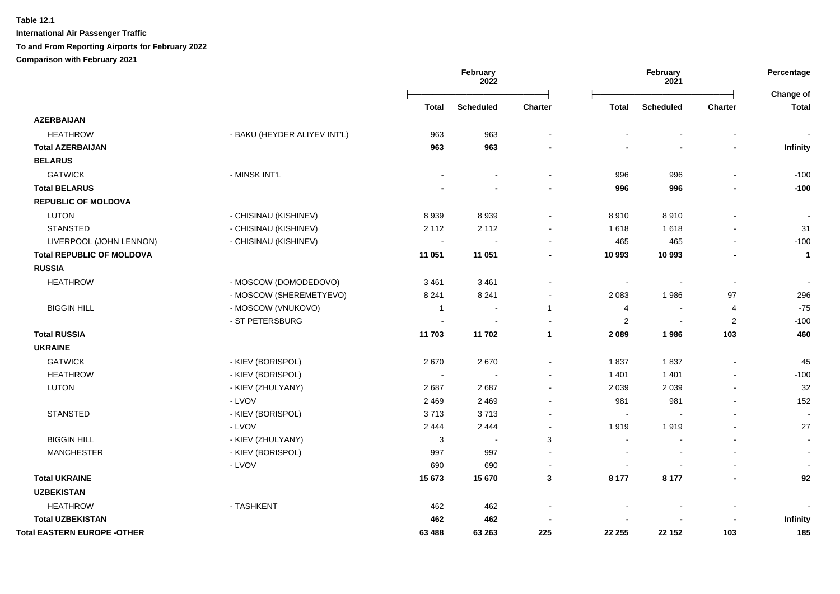|                                    |                              |                | <b>February</b><br>2022 |                |                | February<br>2021 |                          | Percentage<br>Change of  |
|------------------------------------|------------------------------|----------------|-------------------------|----------------|----------------|------------------|--------------------------|--------------------------|
|                                    |                              | Total          | <b>Scheduled</b>        | Charter        | <b>Total</b>   | <b>Scheduled</b> | Charter                  | <b>Total</b>             |
| <b>AZERBAIJAN</b>                  |                              |                |                         |                |                |                  |                          |                          |
| <b>HEATHROW</b>                    | - BAKU (HEYDER ALIYEV INT'L) | 963            | 963                     |                |                |                  |                          |                          |
| <b>Total AZERBAIJAN</b>            |                              | 963            | 963                     |                |                |                  |                          | Infinity                 |
| <b>BELARUS</b>                     |                              |                |                         |                |                |                  |                          |                          |
| <b>GATWICK</b>                     | - MINSK INT'L                |                |                         | $\blacksquare$ | 996            | 996              |                          | $-100$                   |
| <b>Total BELARUS</b>               |                              |                |                         |                | 996            | 996              |                          | $-100$                   |
| <b>REPUBLIC OF MOLDOVA</b>         |                              |                |                         |                |                |                  |                          |                          |
| <b>LUTON</b>                       | - CHISINAU (KISHINEV)        | 8939           | 8939                    | $\sim$         | 8910           | 8910             |                          | $\overline{\phantom{a}}$ |
| <b>STANSTED</b>                    | - CHISINAU (KISHINEV)        | 2 1 1 2        | 2 1 1 2                 | $\blacksquare$ | 1618           | 1618             |                          | 31                       |
| LIVERPOOL (JOHN LENNON)            | - CHISINAU (KISHINEV)        |                |                         | $\sim$         | 465            | 465              |                          | $-100$                   |
| <b>Total REPUBLIC OF MOLDOVA</b>   |                              | 11 051         | 11 051                  | ٠              | 10 993         | 10 993           |                          | $\mathbf{1}$             |
| <b>RUSSIA</b>                      |                              |                |                         |                |                |                  |                          |                          |
| <b>HEATHROW</b>                    | - MOSCOW (DOMODEDOVO)        | 3 4 6 1        | 3 4 6 1                 |                |                |                  | $\overline{\phantom{a}}$ |                          |
|                                    | - MOSCOW (SHEREMETYEVO)      | 8 2 4 1        | 8 2 4 1                 | $\blacksquare$ | 2 0 8 3        | 1986             | 97                       | 296                      |
| <b>BIGGIN HILL</b>                 | - MOSCOW (VNUKOVO)           | $\overline{1}$ | $\sim$                  | $\mathbf{1}$   | 4              | $\sim$           | $\overline{4}$           | $-75$                    |
|                                    | - ST PETERSBURG              |                |                         | ÷.             | $\overline{2}$ | $\overline{a}$   | 2                        | $-100$                   |
| <b>Total RUSSIA</b>                |                              | 11703          | 11702                   | $\mathbf{1}$   | 2 0 8 9        | 1986             | 103                      | 460                      |
| <b>UKRAINE</b>                     |                              |                |                         |                |                |                  |                          |                          |
| <b>GATWICK</b>                     | - KIEV (BORISPOL)            | 2670           | 2670                    | $\blacksquare$ | 1837           | 1837             |                          | 45                       |
| <b>HEATHROW</b>                    | - KIEV (BORISPOL)            |                |                         |                | 1 4 0 1        | 1 4 0 1          |                          | $-100$                   |
| <b>LUTON</b>                       | - KIEV (ZHULYANY)            | 2687           | 2687                    | $\blacksquare$ | 2 0 3 9        | 2 0 3 9          |                          | 32                       |
|                                    | - LVOV                       | 2 4 6 9        | 2 4 6 9                 | $\sim$         | 981            | 981              |                          | 152                      |
| <b>STANSTED</b>                    | - KIEV (BORISPOL)            | 3713           | 3713                    | $\blacksquare$ | $\sim$         |                  |                          | $\overline{\phantom{a}}$ |
|                                    | - LVOV                       | 2 4 4 4        | 2 4 4 4                 | $\blacksquare$ | 1919           | 1919             |                          | 27                       |
| <b>BIGGIN HILL</b>                 | - KIEV (ZHULYANY)            | 3              | $\sim$                  | 3              | $\sim$         |                  |                          | $\blacksquare$           |
| <b>MANCHESTER</b>                  | - KIEV (BORISPOL)            | 997            | 997                     | $\blacksquare$ | $\sim$         |                  |                          | $\sim$                   |
|                                    | - LVOV                       | 690            | 690                     | $\overline{a}$ | ÷              |                  |                          |                          |
| <b>Total UKRAINE</b>               |                              | 15 673         | 15 670                  | $\mathbf{3}$   | 8 177          | 8 1 7 7          |                          | 92                       |
| <b>UZBEKISTAN</b>                  |                              |                |                         |                |                |                  |                          |                          |
| <b>HEATHROW</b>                    | - TASHKENT                   | 462            | 462                     |                |                |                  |                          |                          |
| <b>Total UZBEKISTAN</b>            |                              | 462            | 462                     |                |                |                  |                          | Infinity                 |
| <b>Total EASTERN EUROPE -OTHER</b> |                              | 63 488         | 63 263                  | 225            | 22 255         | 22 152           | 103                      | 185                      |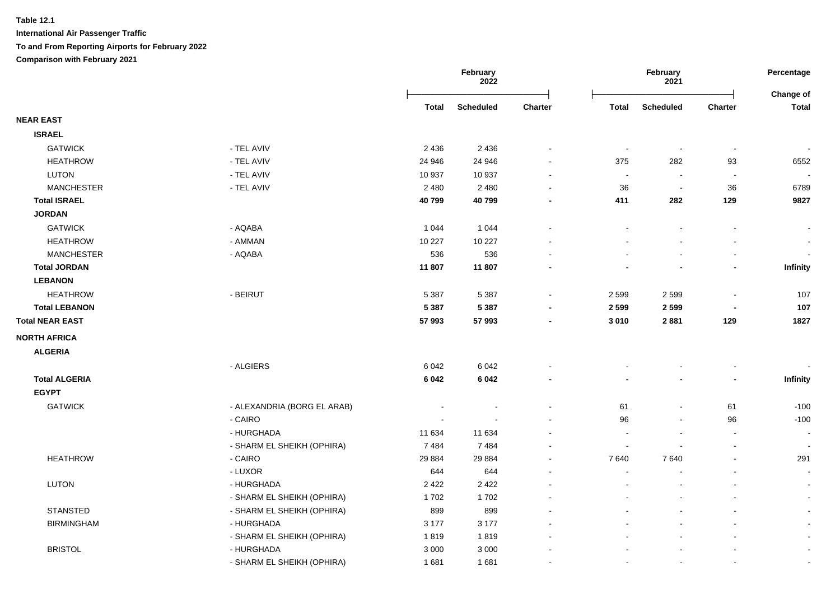|                        |                             |         | February<br>2022 |                | February<br>2021         |                          |                          | Percentage<br><b>Change of</b> |
|------------------------|-----------------------------|---------|------------------|----------------|--------------------------|--------------------------|--------------------------|--------------------------------|
|                        |                             | Total   | <b>Scheduled</b> | <b>Charter</b> | <b>Total</b>             | <b>Scheduled</b>         | <b>Charter</b>           | <b>Total</b>                   |
| <b>NEAR EAST</b>       |                             |         |                  |                |                          |                          |                          |                                |
| <b>ISRAEL</b>          |                             |         |                  |                |                          |                          |                          |                                |
| <b>GATWICK</b>         | - TEL AVIV                  | 2 4 3 6 | 2 4 3 6          |                | $\sim$                   | $\overline{\phantom{a}}$ | $\overline{\phantom{a}}$ |                                |
| <b>HEATHROW</b>        | - TEL AVIV                  | 24 946  | 24 946           |                | 375                      | 282                      | 93                       | 6552                           |
| <b>LUTON</b>           | - TEL AVIV                  | 10 937  | 10 937           |                | $\blacksquare$           | $\blacksquare$           | $\overline{\phantom{a}}$ |                                |
| <b>MANCHESTER</b>      | - TEL AVIV                  | 2 4 8 0 | 2 4 8 0          |                | 36                       | $\blacksquare$           | 36                       | 6789                           |
| <b>Total ISRAEL</b>    |                             | 40799   | 40799            |                | 411                      | 282                      | 129                      | 9827                           |
| <b>JORDAN</b>          |                             |         |                  |                |                          |                          |                          |                                |
| <b>GATWICK</b>         | - AQABA                     | 1 0 4 4 | 1 0 4 4          |                |                          |                          |                          |                                |
| <b>HEATHROW</b>        | - AMMAN                     | 10 227  | 10 227           |                |                          |                          |                          | $\sim$                         |
| <b>MANCHESTER</b>      | - AQABA                     | 536     | 536              |                |                          |                          |                          |                                |
| <b>Total JORDAN</b>    |                             | 11 807  | 11 807           |                |                          |                          | $\overline{\phantom{a}}$ | Infinity                       |
| <b>LEBANON</b>         |                             |         |                  |                |                          |                          |                          |                                |
| <b>HEATHROW</b>        | - BEIRUT                    | 5 3 8 7 | 5 3 8 7          |                | 2 5 9 9                  | 2 5 9 9                  |                          | 107                            |
| <b>Total LEBANON</b>   |                             | 5 3 8 7 | 5 3 8 7          |                | 2 5 9 9                  | 2599                     | $\blacksquare$           | 107                            |
| <b>Total NEAR EAST</b> |                             | 57 993  | 57 993           |                | 3 0 1 0                  | 2881                     | 129                      | 1827                           |
| <b>NORTH AFRICA</b>    |                             |         |                  |                |                          |                          |                          |                                |
| <b>ALGERIA</b>         |                             |         |                  |                |                          |                          |                          |                                |
|                        | - ALGIERS                   | 6 0 4 2 | 6 0 4 2          |                |                          |                          |                          |                                |
| <b>Total ALGERIA</b>   |                             | 6 0 4 2 | 6 0 4 2          |                |                          |                          |                          | Infinity                       |
| <b>EGYPT</b>           |                             |         |                  |                |                          |                          |                          |                                |
| <b>GATWICK</b>         | - ALEXANDRIA (BORG EL ARAB) |         |                  |                | 61                       |                          | 61                       | $-100$                         |
|                        | - CAIRO                     |         |                  |                | 96                       |                          | 96                       | $-100$                         |
|                        | - HURGHADA                  | 11 634  | 11 634           |                |                          |                          | $\overline{\phantom{a}}$ | $\blacksquare$                 |
|                        | - SHARM EL SHEIKH (OPHIRA)  | 7484    | 7484             |                | $\overline{\phantom{a}}$ |                          |                          | $\sim$                         |
| <b>HEATHROW</b>        | - CAIRO                     | 29 8 84 | 29 8 84          |                | 7640                     | 7640                     |                          | 291                            |
|                        | - LUXOR                     | 644     | 644              |                | $\blacksquare$           |                          |                          | $\blacksquare$                 |
| <b>LUTON</b>           | - HURGHADA                  | 2 4 2 2 | 2 4 2 2          |                |                          |                          |                          | $\sim$                         |
|                        | - SHARM EL SHEIKH (OPHIRA)  | 1702    | 1702             |                |                          |                          |                          | $\sim$                         |
| <b>STANSTED</b>        | - SHARM EL SHEIKH (OPHIRA)  | 899     | 899              |                |                          |                          |                          | $\blacksquare$                 |
| <b>BIRMINGHAM</b>      | - HURGHADA                  | 3 1 7 7 | 3 1 7 7          |                |                          |                          |                          |                                |
|                        | - SHARM EL SHEIKH (OPHIRA)  | 1819    | 1819             |                |                          |                          |                          | $\blacksquare$                 |
| <b>BRISTOL</b>         | - HURGHADA                  | 3 0 0 0 | 3 0 0 0          |                |                          |                          |                          | $\blacksquare$                 |
|                        | - SHARM EL SHEIKH (OPHIRA)  | 1681    | 1681             |                | $\overline{\phantom{a}}$ |                          |                          | $\sim$                         |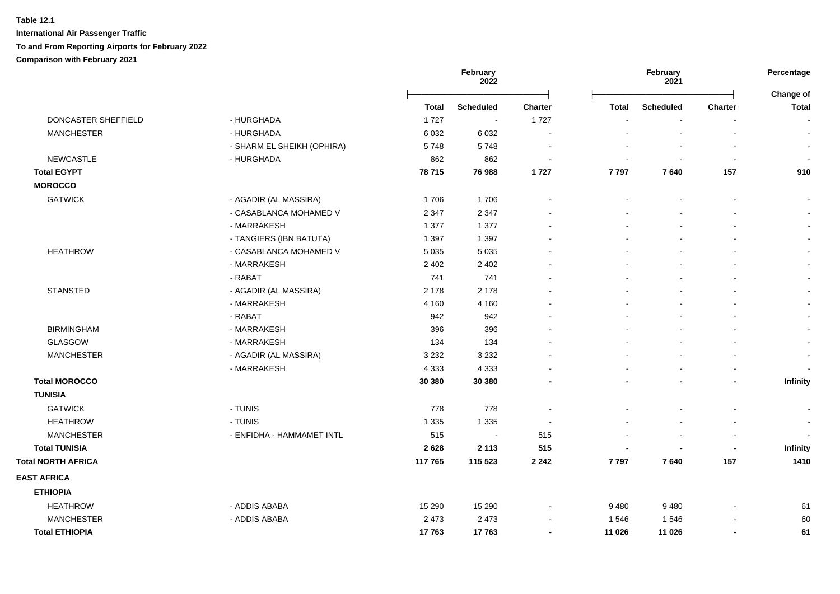|                           |                            |              | February<br>2022 |                          |                | February<br>2021         |                          | Percentage<br>Change of |
|---------------------------|----------------------------|--------------|------------------|--------------------------|----------------|--------------------------|--------------------------|-------------------------|
|                           |                            | <b>Total</b> | <b>Scheduled</b> | Charter                  | <b>Total</b>   | <b>Scheduled</b>         | Charter                  | <b>Total</b>            |
| DONCASTER SHEFFIELD       | - HURGHADA                 | 1727         | $\sim$           | 1727                     |                |                          |                          |                         |
| <b>MANCHESTER</b>         | - HURGHADA                 | 6 0 3 2      | 6 0 3 2          |                          |                |                          |                          |                         |
|                           | - SHARM EL SHEIKH (OPHIRA) | 5748         | 5748             | $\overline{\phantom{a}}$ |                |                          | $\blacksquare$           |                         |
| <b>NEWCASTLE</b>          | - HURGHADA                 | 862          | 862              | $\overline{\phantom{a}}$ |                | $\blacksquare$           | $\blacksquare$           |                         |
| <b>Total EGYPT</b>        |                            | 78 715       | 76 988           | 1727                     | 7797           | 7640                     | 157                      | 910                     |
| <b>MOROCCO</b>            |                            |              |                  |                          |                |                          |                          |                         |
| <b>GATWICK</b>            | - AGADIR (AL MASSIRA)      | 1706         | 1706             | $\overline{\phantom{a}}$ |                |                          | $\blacksquare$           |                         |
|                           | - CASABLANCA MOHAMED V     | 2 3 4 7      | 2 3 4 7          |                          |                |                          |                          |                         |
|                           | - MARRAKESH                | 1 3 7 7      | 1 3 7 7          |                          |                |                          |                          |                         |
|                           | - TANGIERS (IBN BATUTA)    | 1 3 9 7      | 1 3 9 7          |                          |                |                          |                          |                         |
| <b>HEATHROW</b>           | - CASABLANCA MOHAMED V     | 5 0 3 5      | 5 0 3 5          |                          |                |                          |                          |                         |
|                           | - MARRAKESH                | 2 4 0 2      | 2 4 0 2          |                          |                |                          |                          |                         |
|                           | - RABAT                    | 741          | 741              |                          |                |                          |                          |                         |
| <b>STANSTED</b>           | - AGADIR (AL MASSIRA)      | 2 1 7 8      | 2 1 7 8          |                          |                |                          |                          |                         |
|                           | - MARRAKESH                | 4 1 6 0      | 4 1 6 0          |                          |                |                          | $\blacksquare$           |                         |
|                           | - RABAT                    | 942          | 942              |                          |                |                          | $\blacksquare$           |                         |
| <b>BIRMINGHAM</b>         | - MARRAKESH                | 396          | 396              |                          |                |                          | $\blacksquare$           |                         |
| GLASGOW                   | - MARRAKESH                | 134          | 134              |                          |                |                          | $\sim$                   |                         |
| <b>MANCHESTER</b>         | - AGADIR (AL MASSIRA)      | 3 2 3 2      | 3 2 3 2          |                          |                |                          | $\sim$                   | $\overline{a}$          |
|                           | - MARRAKESH                | 4 3 3 3      | 4 3 3 3          |                          |                |                          | $\overline{a}$           |                         |
| <b>Total MOROCCO</b>      |                            | 30 380       | 30 380           |                          |                | $\blacksquare$           | $\overline{\phantom{0}}$ | Infinity                |
| <b>TUNISIA</b>            |                            |              |                  |                          |                |                          |                          |                         |
| <b>GATWICK</b>            | - TUNIS                    | 778          | 778              |                          |                |                          |                          |                         |
| <b>HEATHROW</b>           | - TUNIS                    | 1 3 3 5      | 1 3 3 5          | $\overline{\phantom{a}}$ |                |                          |                          | $\sim$                  |
| <b>MANCHESTER</b>         | - ENFIDHA - HAMMAMET INTL  | 515          | $\sim$           | 515                      |                |                          |                          |                         |
| <b>Total TUNISIA</b>      |                            | 2628         | 2 1 1 3          | 515                      | $\blacksquare$ | $\overline{\phantom{0}}$ | $\blacksquare$           | Infinity                |
| <b>Total NORTH AFRICA</b> |                            | 117765       | 115 523          | 2 2 4 2                  | 7797           | 7640                     | 157                      | 1410                    |
| <b>EAST AFRICA</b>        |                            |              |                  |                          |                |                          |                          |                         |
| <b>ETHIOPIA</b>           |                            |              |                  |                          |                |                          |                          |                         |
| <b>HEATHROW</b>           | - ADDIS ABABA              | 15 290       | 15 2 9 0         | $\sim$                   | 9480           | 9 4 8 0                  | $\overline{a}$           | 61                      |
| <b>MANCHESTER</b>         | - ADDIS ABABA              | 2 4 7 3      | 2 4 7 3          | $\overline{\phantom{a}}$ | 1546           | 1546                     |                          | 60                      |
| <b>Total ETHIOPIA</b>     |                            | 17763        | 17763            | $\blacksquare$           | 11 026         | 11 0 26                  | $\overline{\phantom{0}}$ | 61                      |
|                           |                            |              |                  |                          |                |                          |                          |                         |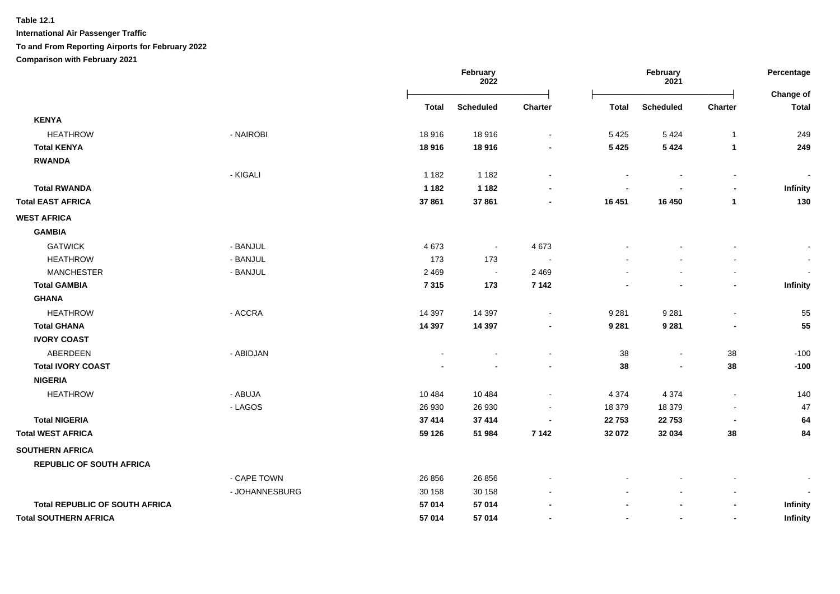**International Air Passenger Traffic**

**To and From Reporting Airports for February 2022**

**Comparison with February 2021**

|                                       |                |          | February<br>2022 |                |                          | February<br>2021         |                          | Percentage<br><b>Change of</b> |
|---------------------------------------|----------------|----------|------------------|----------------|--------------------------|--------------------------|--------------------------|--------------------------------|
|                                       |                | Total    | <b>Scheduled</b> | <b>Charter</b> | <b>Total</b>             | <b>Scheduled</b>         | Charter                  | <b>Total</b>                   |
| <b>KENYA</b>                          |                |          |                  |                |                          |                          |                          |                                |
| <b>HEATHROW</b>                       | - NAIROBI      | 18916    | 18916            | $\sim$         | 5 4 2 5                  | 5 4 2 4                  | $\mathbf 1$              | 249                            |
| <b>Total KENYA</b>                    |                | 18916    | 18916            |                | 5 4 2 5                  | 5 4 2 4                  | 1                        | 249                            |
| <b>RWANDA</b>                         |                |          |                  |                |                          |                          |                          |                                |
|                                       | - KIGALI       | 1 1 8 2  | 1 1 8 2          |                | $\overline{\phantom{a}}$ |                          | $\blacksquare$           |                                |
| <b>Total RWANDA</b>                   |                | 1 1 8 2  | 1 1 8 2          |                |                          |                          | $\blacksquare$           | Infinity                       |
| <b>Total EAST AFRICA</b>              |                | 37 861   | 37861            |                | 16 451                   | 16 450                   | $\mathbf{1}$             | 130                            |
| <b>WEST AFRICA</b>                    |                |          |                  |                |                          |                          |                          |                                |
| <b>GAMBIA</b>                         |                |          |                  |                |                          |                          |                          |                                |
| <b>GATWICK</b>                        | - BANJUL       | 4673     | $\blacksquare$   | 4 6 7 3        |                          |                          |                          |                                |
| <b>HEATHROW</b>                       | - BANJUL       | 173      | 173              |                |                          |                          |                          |                                |
| <b>MANCHESTER</b>                     | - BANJUL       | 2 4 6 9  | $\sim$           | 2 4 6 9        |                          |                          |                          |                                |
| <b>Total GAMBIA</b>                   |                | 7315     | 173              | 7 1 4 2        |                          |                          | $\blacksquare$           | <b>Infinity</b>                |
| <b>GHANA</b>                          |                |          |                  |                |                          |                          |                          |                                |
| <b>HEATHROW</b>                       | - ACCRA        | 14 3 9 7 | 14 397           |                | 9 2 8 1                  | 9 2 8 1                  |                          | 55                             |
| <b>Total GHANA</b>                    |                | 14 3 9 7 | 14 3 9 7         |                | 9 2 8 1                  | 9 2 8 1                  |                          | 55                             |
| <b>IVORY COAST</b>                    |                |          |                  |                |                          |                          |                          |                                |
| ABERDEEN                              | - ABIDJAN      |          |                  |                | 38                       | $\overline{\phantom{a}}$ | 38                       | $-100$                         |
| <b>Total IVORY COAST</b>              |                |          |                  |                | 38                       |                          | 38                       | $-100$                         |
| <b>NIGERIA</b>                        |                |          |                  |                |                          |                          |                          |                                |
| <b>HEATHROW</b>                       | - ABUJA        | 10 4 84  | 10 4 84          |                | 4 3 7 4                  | 4 3 7 4                  | $\blacksquare$           | 140                            |
|                                       | - LAGOS        | 26 930   | 26 930           |                | 18 379                   | 18 379                   | $\overline{\phantom{a}}$ | 47                             |
| <b>Total NIGERIA</b>                  |                | 37 414   | 37 414           | $\blacksquare$ | 22 753                   | 22753                    |                          | 64                             |
| <b>Total WEST AFRICA</b>              |                | 59 126   | 51 984           | 7 1 4 2        | 32 072                   | 32 034                   | 38                       | 84                             |
| <b>SOUTHERN AFRICA</b>                |                |          |                  |                |                          |                          |                          |                                |
| <b>REPUBLIC OF SOUTH AFRICA</b>       |                |          |                  |                |                          |                          |                          |                                |
|                                       | - CAPE TOWN    | 26 856   | 26 856           |                |                          |                          |                          |                                |
|                                       | - JOHANNESBURG | 30 158   | 30 158           |                |                          |                          |                          |                                |
| <b>Total REPUBLIC OF SOUTH AFRICA</b> |                | 57 014   | 57 014           |                |                          |                          | $\blacksquare$           | Infinity                       |
| <b>Total SOUTHERN AFRICA</b>          |                | 57 014   | 57 014           |                |                          |                          | $\overline{\phantom{a}}$ | Infinity                       |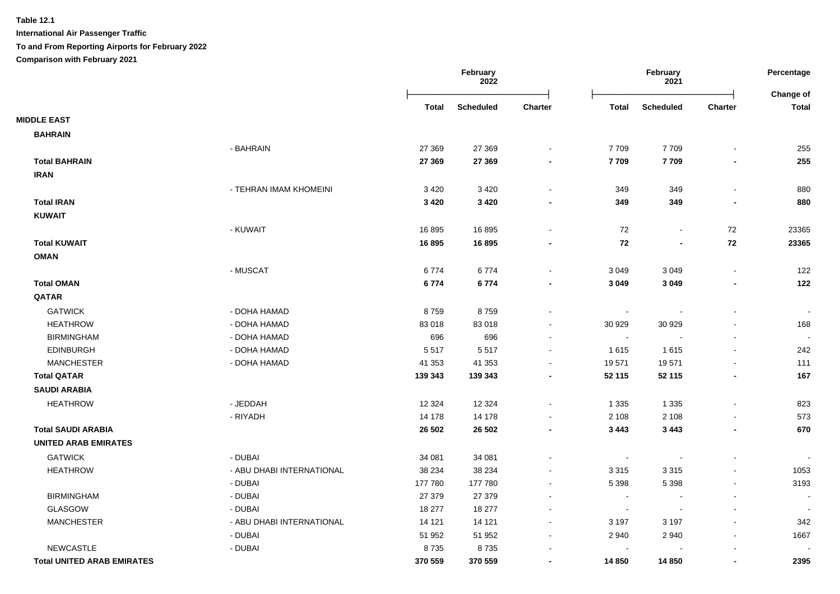**International Air Passenger Traffic**

**To and From Reporting Airports for February 2022**

**Comparison with February 2021**

|                                   |                           |              | February<br>2022 |                          |                          | February<br>2021 |                          | Percentage<br>Change of  |
|-----------------------------------|---------------------------|--------------|------------------|--------------------------|--------------------------|------------------|--------------------------|--------------------------|
|                                   |                           | <b>Total</b> | <b>Scheduled</b> | Charter                  | <b>Total</b>             | <b>Scheduled</b> | Charter                  | <b>Total</b>             |
| <b>MIDDLE EAST</b>                |                           |              |                  |                          |                          |                  |                          |                          |
| <b>BAHRAIN</b>                    |                           |              |                  |                          |                          |                  |                          |                          |
|                                   | - BAHRAIN                 | 27 369       | 27 369           |                          | 7 7 0 9                  | 7709             |                          | 255                      |
| <b>Total BAHRAIN</b>              |                           | 27 369       | 27 369           | $\overline{\phantom{a}}$ | 7709                     | 7709             | $\blacksquare$           | 255                      |
| <b>IRAN</b>                       |                           |              |                  |                          |                          |                  |                          |                          |
|                                   | - TEHRAN IMAM KHOMEINI    | 3 4 2 0      | 3 4 2 0          |                          | 349                      | 349              | $\blacksquare$           | 880                      |
| <b>Total IRAN</b>                 |                           | 3 4 2 0      | 3 4 2 0          |                          | 349                      | 349              | $\blacksquare$           | 880                      |
| <b>KUWAIT</b>                     |                           |              |                  |                          |                          |                  |                          |                          |
|                                   | - KUWAIT                  | 16895        | 16895            |                          | 72                       | $\sim$           | 72                       | 23365                    |
| <b>Total KUWAIT</b>               |                           | 16895        | 16895            |                          | 72                       | $\blacksquare$   | 72                       | 23365                    |
| <b>OMAN</b>                       |                           |              |                  |                          |                          |                  |                          |                          |
|                                   | - MUSCAT                  | 6774         | 6774             |                          | 3 0 4 9                  | 3 0 4 9          | $\sim$                   | 122                      |
| <b>Total OMAN</b>                 |                           | 6774         | 6774             |                          | 3 0 4 9                  | 3 0 4 9          | $\blacksquare$           | 122                      |
| QATAR                             |                           |              |                  |                          |                          |                  |                          |                          |
| <b>GATWICK</b>                    | - DOHA HAMAD              | 8759         | 8759             |                          | $\blacksquare$           |                  |                          |                          |
| <b>HEATHROW</b>                   | - DOHA HAMAD              | 83 018       | 83 018           |                          | 30 929                   | 30 929           |                          | 168                      |
| <b>BIRMINGHAM</b>                 | - DOHA HAMAD              | 696          | 696              |                          | $\sim$                   |                  |                          |                          |
| <b>EDINBURGH</b>                  | - DOHA HAMAD              | 5517         | 5517             |                          | 1615                     | 1615             | $\sim$                   | 242                      |
| <b>MANCHESTER</b>                 | - DOHA HAMAD              | 41 353       | 41 353           | $\overline{\phantom{a}}$ | 19571                    | 19571            | $\sim$                   | 111                      |
| <b>Total QATAR</b>                |                           | 139 343      | 139 343          | $\blacksquare$           | 52 115                   | 52 115           | $\blacksquare$           | 167                      |
| <b>SAUDI ARABIA</b>               |                           |              |                  |                          |                          |                  |                          |                          |
| <b>HEATHROW</b>                   | - JEDDAH                  | 12 3 24      | 12 3 24          |                          | 1 3 3 5                  | 1 3 3 5          |                          | 823                      |
|                                   | - RIYADH                  | 14 178       | 14 178           | $\overline{\phantom{a}}$ | 2 1 0 8                  | 2 1 0 8          |                          | 573                      |
| <b>Total SAUDI ARABIA</b>         |                           | 26 502       | 26 502           | $\blacksquare$           | 3 4 4 3                  | 3 4 4 3          | $\blacksquare$           | 670                      |
| <b>UNITED ARAB EMIRATES</b>       |                           |              |                  |                          |                          |                  |                          |                          |
| <b>GATWICK</b>                    | - DUBAI                   | 34 081       | 34 081           |                          | $\overline{\phantom{a}}$ |                  |                          |                          |
| <b>HEATHROW</b>                   | - ABU DHABI INTERNATIONAL | 38 234       | 38 234           |                          | 3 3 1 5                  | 3315             |                          | 1053                     |
|                                   | - DUBAI                   | 177 780      | 177 780          | $\sim$                   | 5 3 9 8                  | 5 3 9 8          | $\sim$                   | 3193                     |
| <b>BIRMINGHAM</b>                 | - DUBAI                   | 27 379       | 27 379           |                          | $\blacksquare$           |                  |                          | $\overline{\phantom{a}}$ |
| <b>GLASGOW</b>                    | - DUBAI                   | 18 277       | 18 277           |                          | $\overline{\phantom{a}}$ |                  |                          |                          |
| <b>MANCHESTER</b>                 | - ABU DHABI INTERNATIONAL | 14 121       | 14 121           | $\sim$                   | 3 1 9 7                  | 3 1 9 7          | $\overline{\phantom{a}}$ | 342                      |
|                                   | - DUBAI                   | 51 952       | 51 952           | $\sim$                   | 2 9 4 0                  | 2940             | $\sim$                   | 1667                     |
| <b>NEWCASTLE</b>                  | - DUBAI                   | 8735         | 8735             |                          | $\overline{\phantom{a}}$ |                  |                          |                          |
| <b>Total UNITED ARAB EMIRATES</b> |                           | 370 559      | 370 559          |                          | 14 850                   | 14 8 50          |                          | 2395                     |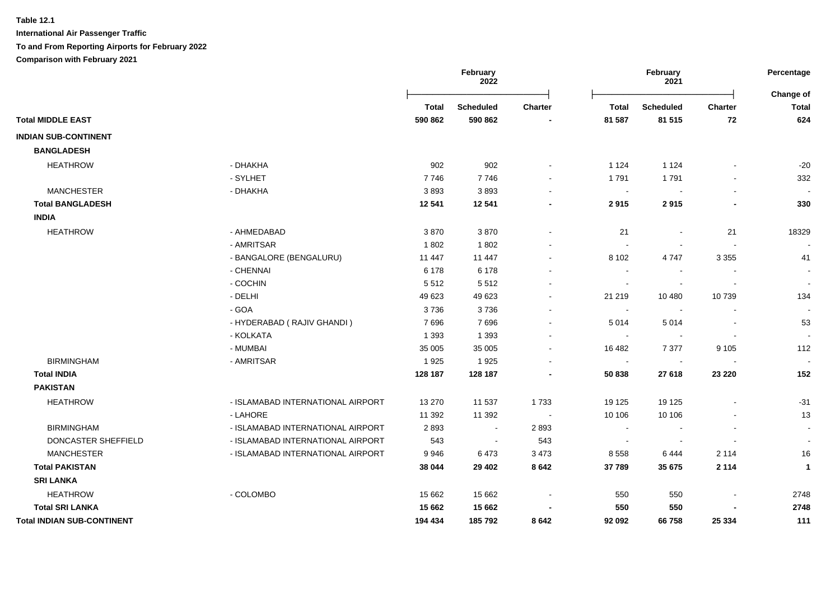|                                   |                                   |         | February<br>2022 |                |                | February<br>2021 |                | Percentage<br>Change of |
|-----------------------------------|-----------------------------------|---------|------------------|----------------|----------------|------------------|----------------|-------------------------|
|                                   |                                   | Total   | <b>Scheduled</b> | <b>Charter</b> | <b>Total</b>   | <b>Scheduled</b> | <b>Charter</b> | <b>Total</b>            |
| <b>Total MIDDLE EAST</b>          |                                   | 590 862 | 590 862          |                | 81 587         | 81 515           | 72             | 624                     |
| <b>INDIAN SUB-CONTINENT</b>       |                                   |         |                  |                |                |                  |                |                         |
| <b>BANGLADESH</b>                 |                                   |         |                  |                |                |                  |                |                         |
| <b>HEATHROW</b>                   | - DHAKHA                          | 902     | 902              |                | 1 1 2 4        | 1 1 2 4          |                | $-20$                   |
|                                   | - SYLHET                          | 7746    | 7746             |                | 1791           | 1791             |                | 332                     |
| <b>MANCHESTER</b>                 | - DHAKHA                          | 3893    | 3893             |                | $\sim$         |                  |                |                         |
| <b>Total BANGLADESH</b>           |                                   | 12 541  | 12 541           |                | 2915           | 2915             |                | 330                     |
| <b>INDIA</b>                      |                                   |         |                  |                |                |                  |                |                         |
| <b>HEATHROW</b>                   | - AHMEDABAD                       | 3870    | 3870             |                | 21             |                  | 21             | 18329                   |
|                                   | - AMRITSAR                        | 1802    | 1802             |                |                |                  |                |                         |
|                                   | - BANGALORE (BENGALURU)           | 11 447  | 11 447           |                | 8 1 0 2        | 4747             | 3 3 5 5        | 41                      |
|                                   | - CHENNAI                         | 6 1 7 8 | 6 1 7 8          |                | $\sim$         |                  |                |                         |
|                                   | - COCHIN                          | 5512    | 5512             |                | $\sim$         |                  |                |                         |
|                                   | - DELHI                           | 49 623  | 49 623           |                | 21 219         | 10 480           | 10739          | 134                     |
|                                   | - GOA                             | 3736    | 3736             |                |                |                  |                |                         |
|                                   | - HYDERABAD (RAJIV GHANDI)        | 7696    | 7696             |                | 5 0 1 4        | 5014             |                | 53                      |
|                                   | - KOLKATA                         | 1 3 9 3 | 1 3 9 3          |                | $\sim$         |                  |                |                         |
|                                   | - MUMBAI                          | 35 005  | 35 005           |                | 16 482         | 7 3 7 7          | 9 1 0 5        | 112                     |
| <b>BIRMINGHAM</b>                 | - AMRITSAR                        | 1925    | 1925             |                | $\sim$         |                  |                |                         |
| <b>Total INDIA</b>                |                                   | 128 187 | 128 187          |                | 50 838         | 27 618           | 23 2 20        | 152                     |
| <b>PAKISTAN</b>                   |                                   |         |                  |                |                |                  |                |                         |
| <b>HEATHROW</b>                   | - ISLAMABAD INTERNATIONAL AIRPORT | 13 270  | 11 537           | 1733           | 19 125         | 19 125           |                | $-31$                   |
|                                   | - LAHORE                          | 11 392  | 11 392           |                | 10 10 6        | 10 10 6          |                | 13                      |
| <b>BIRMINGHAM</b>                 | - ISLAMABAD INTERNATIONAL AIRPORT | 2893    | $\blacksquare$   | 2893           | $\blacksquare$ |                  |                |                         |
| DONCASTER SHEFFIELD               | - ISLAMABAD INTERNATIONAL AIRPORT | 543     | $\blacksquare$   | 543            |                |                  |                |                         |
| <b>MANCHESTER</b>                 | - ISLAMABAD INTERNATIONAL AIRPORT | 9946    | 6473             | 3 4 7 3        | 8 5 5 8        | 6444             | 2 1 1 4        | 16                      |
| <b>Total PAKISTAN</b>             |                                   | 38 044  | 29 4 02          | 8 6 4 2        | 37 789         | 35 675           | 2 1 1 4        | $\mathbf{1}$            |
| <b>SRI LANKA</b>                  |                                   |         |                  |                |                |                  |                |                         |
| <b>HEATHROW</b>                   | - COLOMBO                         | 15 662  | 15 662           |                | 550            | 550              |                | 2748                    |
| <b>Total SRI LANKA</b>            |                                   | 15 662  | 15 662           |                | 550            | 550              |                | 2748                    |
| <b>Total INDIAN SUB-CONTINENT</b> |                                   | 194 434 | 185 792          | 8642           | 92 092         | 66758            | 25 334         | 111                     |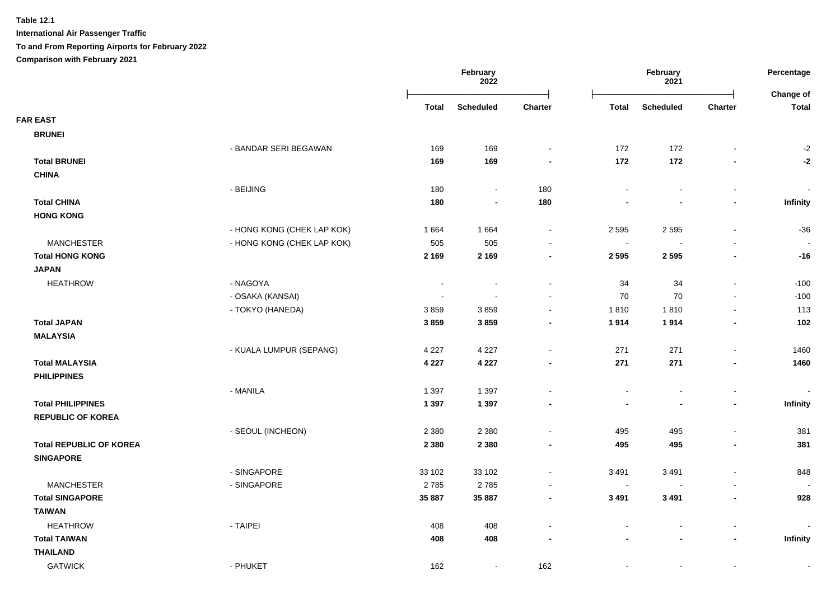|                                |                            |         | February<br>2022 |                          | February<br>2021 |                  |                          | Percentage<br>Change of |
|--------------------------------|----------------------------|---------|------------------|--------------------------|------------------|------------------|--------------------------|-------------------------|
|                                |                            | Total   | <b>Scheduled</b> | <b>Charter</b>           | <b>Total</b>     | <b>Scheduled</b> | <b>Charter</b>           | <b>Total</b>            |
| <b>FAR EAST</b>                |                            |         |                  |                          |                  |                  |                          |                         |
| <b>BRUNEI</b>                  |                            |         |                  |                          |                  |                  |                          |                         |
|                                | - BANDAR SERI BEGAWAN      | 169     | 169              | $\blacksquare$           | 172              | 172              |                          | $-2$                    |
| <b>Total BRUNEI</b>            |                            | 169     | 169              | $\blacksquare$           | 172              | 172              | $\blacksquare$           | $-2$                    |
| <b>CHINA</b>                   |                            |         |                  |                          |                  |                  |                          |                         |
|                                | - BEIJING                  | 180     |                  | 180                      |                  | $\sim$           | $\blacksquare$           |                         |
| <b>Total CHINA</b>             |                            | 180     | $\blacksquare$   | 180                      |                  | $\blacksquare$   | $\blacksquare$           | Infinity                |
| <b>HONG KONG</b>               |                            |         |                  |                          |                  |                  |                          |                         |
|                                | - HONG KONG (CHEK LAP KOK) | 1 6 6 4 | 1 6 6 4          | $\blacksquare$           | 2 5 9 5          | 2 5 9 5          | $\overline{\phantom{a}}$ | $-36$                   |
| <b>MANCHESTER</b>              | - HONG KONG (CHEK LAP KOK) | 505     | 505              | $\blacksquare$           | $\sim$           | $\sim$           | $\blacksquare$           |                         |
| <b>Total HONG KONG</b>         |                            | 2 1 6 9 | 2 1 6 9          | $\blacksquare$           | 2 5 9 5          | 2 5 9 5          | $\blacksquare$           | $-16$                   |
| <b>JAPAN</b>                   |                            |         |                  |                          |                  |                  |                          |                         |
| <b>HEATHROW</b>                | - NAGOYA                   |         |                  | $\overline{\phantom{a}}$ | 34               | 34               | $\blacksquare$           | $-100$                  |
|                                | - OSAKA (KANSAI)           |         |                  | $\sim$                   | 70               | 70               | $\overline{a}$           | $-100$                  |
|                                | - TOKYO (HANEDA)           | 3859    | 3859             | $\blacksquare$           | 1810             | 1810             | $\sim$                   | 113                     |
| <b>Total JAPAN</b>             |                            | 3859    | 3859             | $\blacksquare$           | 1914             | 1914             | $\blacksquare$           | 102                     |
| <b>MALAYSIA</b>                |                            |         |                  |                          |                  |                  |                          |                         |
|                                | - KUALA LUMPUR (SEPANG)    | 4 2 2 7 | 4 2 2 7          | $\sim$                   | 271              | 271              | $\blacksquare$           | 1460                    |
| <b>Total MALAYSIA</b>          |                            | 4 2 2 7 | 4 2 2 7          | $\blacksquare$           | 271              | 271              | $\blacksquare$           | 1460                    |
| <b>PHILIPPINES</b>             |                            |         |                  |                          |                  |                  |                          |                         |
|                                | - MANILA                   | 1 3 9 7 | 1 3 9 7          |                          |                  | $\overline{a}$   | $\blacksquare$           |                         |
| <b>Total PHILIPPINES</b>       |                            | 1 3 9 7 | 1 3 9 7          |                          |                  | $\overline{a}$   | $\blacksquare$           | Infinity                |
| <b>REPUBLIC OF KOREA</b>       |                            |         |                  |                          |                  |                  |                          |                         |
|                                | - SEOUL (INCHEON)          | 2 3 8 0 | 2 3 8 0          | $\overline{a}$           | 495              | 495              | $\overline{a}$           | 381                     |
| <b>Total REPUBLIC OF KOREA</b> |                            | 2 3 8 0 | 2 3 8 0          | $\blacksquare$           | 495              | 495              | $\blacksquare$           | 381                     |
| <b>SINGAPORE</b>               |                            |         |                  |                          |                  |                  |                          |                         |
|                                | - SINGAPORE                | 33 102  | 33 102           | $\overline{a}$           | 3 4 9 1          | 3 4 9 1          |                          | 848                     |
| <b>MANCHESTER</b>              | - SINGAPORE                | 2785    | 2785             | $\blacksquare$           | $\sim$           |                  |                          |                         |
| <b>Total SINGAPORE</b>         |                            | 35 887  | 35 887           | $\blacksquare$           | 3 4 9 1          | 3 4 9 1          | $\blacksquare$           | 928                     |
| <b>TAIWAN</b>                  |                            |         |                  |                          |                  |                  |                          |                         |
| <b>HEATHROW</b>                | - TAIPEI                   | 408     | 408              |                          |                  |                  | $\overline{a}$           |                         |
| <b>Total TAIWAN</b>            |                            | 408     | 408              |                          |                  |                  | $\overline{\phantom{0}}$ | Infinity                |
| <b>THAILAND</b>                |                            |         |                  |                          |                  |                  |                          |                         |
| <b>GATWICK</b>                 | - PHUKET                   | 162     |                  | 162                      |                  |                  |                          |                         |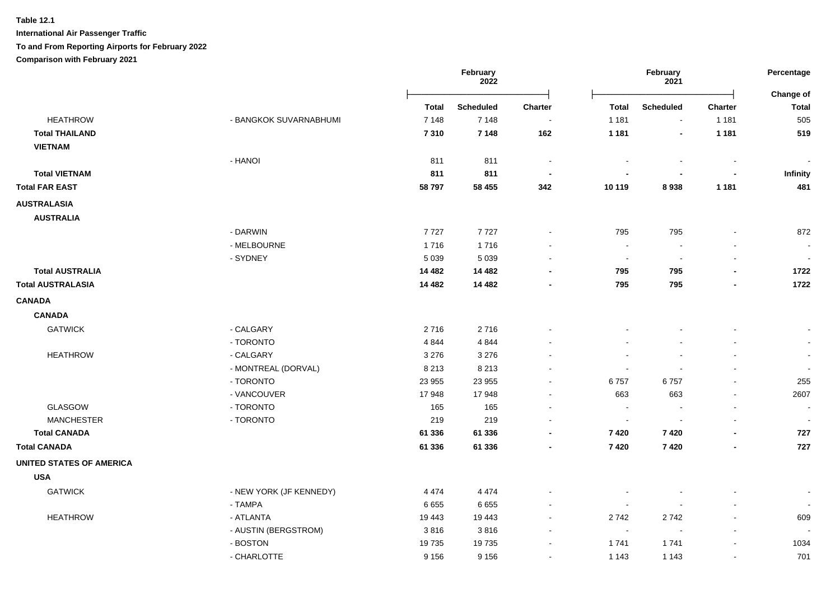**International Air Passenger Traffic**

# **To and From Reporting Airports for February 2022**

**Comparison with February 2021**

|                                 |                         | February<br>2022 |                  | February<br>2021         |                |                  | Percentage<br>Change of  |                          |
|---------------------------------|-------------------------|------------------|------------------|--------------------------|----------------|------------------|--------------------------|--------------------------|
|                                 |                         | <b>Total</b>     | <b>Scheduled</b> | <b>Charter</b>           | <b>Total</b>   | <b>Scheduled</b> | <b>Charter</b>           | <b>Total</b>             |
| <b>HEATHROW</b>                 | - BANGKOK SUVARNABHUMI  | 7 1 4 8          | 7 1 4 8          | $\sim$                   | 1 1 8 1        | $\sim$           | 1 1 8 1                  | 505                      |
| <b>Total THAILAND</b>           |                         | 7310             | 7 1 4 8          | 162                      | 1 1 8 1        | $\blacksquare$   | 1 1 8 1                  | 519                      |
| <b>VIETNAM</b>                  |                         |                  |                  |                          |                |                  |                          |                          |
|                                 | - HANOI                 | 811              | 811              | $\overline{\phantom{a}}$ |                |                  |                          |                          |
| <b>Total VIETNAM</b>            |                         | 811              | 811              | $\overline{\phantom{a}}$ |                | $\blacksquare$   | $\blacksquare$           | Infinity                 |
| <b>Total FAR EAST</b>           |                         | 58 797           | 58 455           | 342                      | 10 119         | 8938             | 1 1 8 1                  | 481                      |
| <b>AUSTRALASIA</b>              |                         |                  |                  |                          |                |                  |                          |                          |
| <b>AUSTRALIA</b>                |                         |                  |                  |                          |                |                  |                          |                          |
|                                 | - DARWIN                | 7727             | 7727             | $\ddot{\phantom{0}}$     | 795            | 795              |                          | 872                      |
|                                 | - MELBOURNE             | 1716             | 1716             |                          | $\sim$         |                  |                          | $\overline{\phantom{a}}$ |
|                                 | - SYDNEY                | 5 0 3 9          | 5 0 3 9          | $\sim$                   | $\sim$         | $\sim$           | $\blacksquare$           | $\sim$                   |
| <b>Total AUSTRALIA</b>          |                         | 14 4 82          | 14 4 8 2         |                          | 795            | 795              | $\blacksquare$           | 1722                     |
| <b>Total AUSTRALASIA</b>        |                         | 14 4 8 2         | 14 4 8 2         | $\blacksquare$           | 795            | 795              | $\blacksquare$           | 1722                     |
| <b>CANADA</b>                   |                         |                  |                  |                          |                |                  |                          |                          |
| <b>CANADA</b>                   |                         |                  |                  |                          |                |                  |                          |                          |
| <b>GATWICK</b>                  | - CALGARY               | 2716             | 2716             |                          |                |                  | $\blacksquare$           | $\blacksquare$           |
|                                 | - TORONTO               | 4 8 4 4          | 4844             |                          |                |                  | $\overline{\phantom{a}}$ | $\blacksquare$           |
| <b>HEATHROW</b>                 | - CALGARY               | 3 2 7 6          | 3 2 7 6          |                          |                |                  |                          | $\blacksquare$           |
|                                 | - MONTREAL (DORVAL)     | 8 2 1 3          | 8 2 1 3          |                          |                |                  | $\overline{a}$           | $\sim$                   |
|                                 | - TORONTO               | 23 955           | 23 955           |                          | 6757           | 6757             |                          | 255                      |
|                                 | - VANCOUVER             | 17948            | 17948            |                          | 663            | 663              |                          | 2607                     |
| GLASGOW                         | - TORONTO               | 165              | 165              |                          | $\sim$         |                  |                          |                          |
| <b>MANCHESTER</b>               | - TORONTO               | 219              | 219              |                          | $\sim$         |                  |                          |                          |
| <b>Total CANADA</b>             |                         | 61 336           | 61 336           | $\blacksquare$           | 7420           | 7 4 2 0          |                          | 727                      |
| <b>Total CANADA</b>             |                         | 61 336           | 61 336           |                          | 7 4 2 0        | 7 4 2 0          |                          | 727                      |
| <b>UNITED STATES OF AMERICA</b> |                         |                  |                  |                          |                |                  |                          |                          |
| <b>USA</b>                      |                         |                  |                  |                          |                |                  |                          |                          |
| <b>GATWICK</b>                  | - NEW YORK (JF KENNEDY) | 4 4 7 4          | 4 4 7 4          |                          |                |                  |                          | $\blacksquare$           |
|                                 | - TAMPA                 | 6655             | 6655             | $\blacksquare$           | $\blacksquare$ | $\overline{a}$   |                          | $\sim$                   |
| <b>HEATHROW</b>                 | - ATLANTA               | 19 4 43          | 19 4 43          | $\blacksquare$           | 2742           | 2742             | $\blacksquare$           | 609                      |
|                                 | - AUSTIN (BERGSTROM)    | 3816             | 3816             | $\overline{\phantom{a}}$ | $\sim$         | $\blacksquare$   | $\blacksquare$           |                          |
|                                 | - BOSTON                | 19735            | 19735            | $\sim$                   | 1741           | 1741             | $\sim$                   | 1034                     |
|                                 | - CHARLOTTE             | 9 1 5 6          | 9 1 5 6          | $\blacksquare$           | 1 1 4 3        | 1 1 4 3          | $\blacksquare$           | 701                      |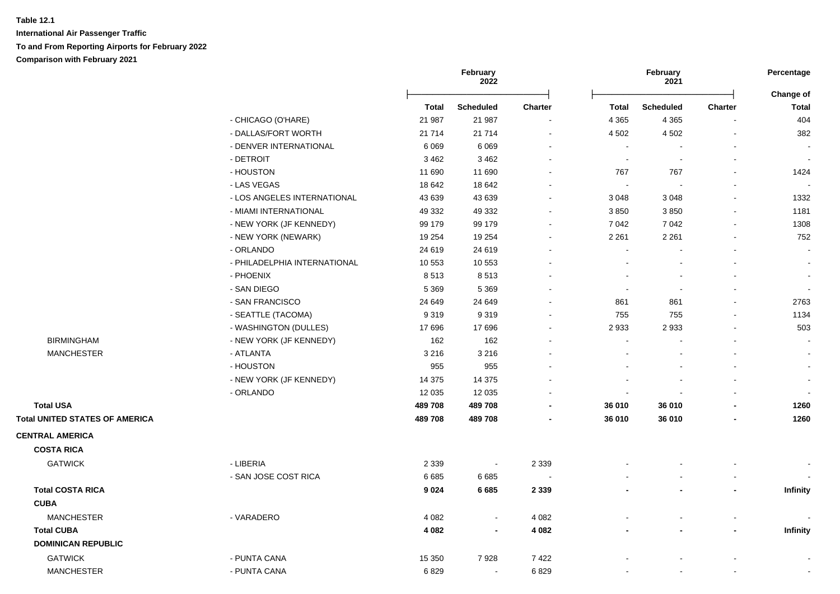|                                              |              | February<br>2022         |                |                          | February<br>2021         |                | Percentage                |
|----------------------------------------------|--------------|--------------------------|----------------|--------------------------|--------------------------|----------------|---------------------------|
|                                              | <b>Total</b> | <b>Scheduled</b>         | <b>Charter</b> | <b>Total</b>             | <b>Scheduled</b>         | <b>Charter</b> | Change of<br><b>Total</b> |
| - CHICAGO (O'HARE)                           | 21 987       | 21 987                   |                | 4 3 6 5                  | 4 3 6 5                  |                | 404                       |
| - DALLAS/FORT WORTH                          | 21 7 14      | 21 7 14                  | $\blacksquare$ | 4 5 0 2                  | 4 5 0 2                  |                | 382                       |
| - DENVER INTERNATIONAL                       | 6 0 6 9      | 6069                     | $\overline{a}$ | $\sim$                   |                          |                |                           |
| - DETROIT                                    | 3 4 6 2      | 3 4 6 2                  |                | $\sim$                   | $\overline{\phantom{a}}$ |                |                           |
| - HOUSTON                                    | 11 690       | 11 690                   |                | 767                      | 767                      |                | 1424                      |
| - LAS VEGAS                                  | 18 642       | 18 642                   |                | $\sim$                   |                          |                |                           |
| - LOS ANGELES INTERNATIONAL                  | 43 639       | 43 639                   |                | 3 0 4 8                  | 3 0 4 8                  |                | 1332                      |
| - MIAMI INTERNATIONAL                        | 49 332       | 49 332                   |                | 3850                     | 3850                     |                | 1181                      |
| - NEW YORK (JF KENNEDY)                      | 99 179       | 99 179                   | $\sim$         | 7 0 4 2                  | 7 0 4 2                  |                | 1308                      |
| - NEW YORK (NEWARK)                          | 19 254       | 19 254                   |                | 2 2 6 1                  | 2 2 6 1                  |                | 752                       |
| - ORLANDO                                    | 24 619       | 24 619                   |                | $\blacksquare$           |                          |                | $\blacksquare$            |
| - PHILADELPHIA INTERNATIONAL                 | 10 553       | 10 553                   |                |                          |                          |                | $\blacksquare$            |
| - PHOENIX                                    | 8513         | 8513                     |                |                          |                          |                | $\blacksquare$            |
| - SAN DIEGO                                  | 5 3 6 9      | 5 3 6 9                  |                | $\overline{\phantom{a}}$ | $\blacksquare$           |                | $\blacksquare$            |
| - SAN FRANCISCO                              | 24 649       | 24 649                   |                | 861                      | 861                      |                | 2763                      |
| - SEATTLE (TACOMA)                           | 9319         | 9319                     |                | 755                      | 755                      |                | 1134                      |
| - WASHINGTON (DULLES)                        | 17696        | 17696                    |                | 2933                     | 2933                     |                | 503                       |
| <b>BIRMINGHAM</b><br>- NEW YORK (JF KENNEDY) | 162          | 162                      |                |                          |                          |                |                           |
| <b>MANCHESTER</b><br>- ATLANTA               | 3 2 1 6      | 3 2 1 6                  |                |                          |                          |                |                           |
| - HOUSTON                                    | 955          | 955                      |                |                          |                          |                |                           |
| - NEW YORK (JF KENNEDY)                      | 14 3 75      | 14 375                   |                |                          |                          |                | $\blacksquare$            |
| - ORLANDO                                    | 12 0 35      | 12 0 35                  |                | $\blacksquare$           |                          |                |                           |
| <b>Total USA</b>                             | 489708       | 489 708                  | $\blacksquare$ | 36 010                   | 36 010                   |                | 1260                      |
| <b>Total UNITED STATES OF AMERICA</b>        | 489708       | 489 708                  |                | 36 010                   | 36 010                   |                | 1260                      |
| <b>CENTRAL AMERICA</b>                       |              |                          |                |                          |                          |                |                           |
| <b>COSTA RICA</b>                            |              |                          |                |                          |                          |                |                           |
| - LIBERIA<br><b>GATWICK</b>                  | 2 3 3 9      | $\overline{\phantom{a}}$ | 2 3 3 9        |                          |                          |                |                           |
| - SAN JOSE COST RICA                         | 6 6 8 5      | 6685                     |                |                          |                          |                |                           |
| <b>Total COSTA RICA</b>                      | 9024         | 6685                     | 2 3 3 9        |                          |                          |                | Infinity                  |
| <b>CUBA</b>                                  |              |                          |                |                          |                          |                |                           |
| <b>MANCHESTER</b><br>- VARADERO              | 4 0 8 2      | $\blacksquare$           | 4 0 8 2        |                          |                          |                |                           |
| <b>Total CUBA</b>                            | 4 0 8 2      |                          | 4 0 8 2        |                          |                          |                | Infinity                  |
| <b>DOMINICAN REPUBLIC</b>                    |              |                          |                |                          |                          |                |                           |
| <b>GATWICK</b><br>- PUNTA CANA               | 15 350       | 7928                     | 7422           |                          |                          |                |                           |
| <b>MANCHESTER</b><br>- PUNTA CANA            | 6829         | $\sim$                   | 6829           |                          |                          |                |                           |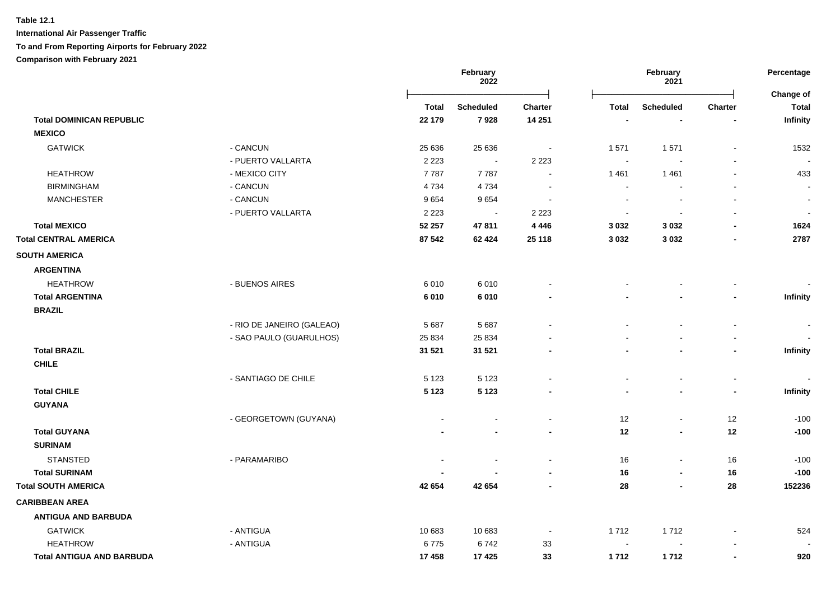|                                  |                           |              | February<br>2022 |                          | February<br>2021 |                  |                          | Percentage<br>Change of  |
|----------------------------------|---------------------------|--------------|------------------|--------------------------|------------------|------------------|--------------------------|--------------------------|
|                                  |                           | <b>Total</b> | <b>Scheduled</b> | <b>Charter</b>           | <b>Total</b>     | <b>Scheduled</b> | Charter                  | <b>Total</b>             |
| <b>Total DOMINICAN REPUBLIC</b>  |                           | 22 179       | 7928             | 14 251                   |                  |                  |                          | Infinity                 |
| <b>MEXICO</b>                    |                           |              |                  |                          |                  |                  |                          |                          |
| <b>GATWICK</b>                   | - CANCUN                  | 25 636       | 25 636           | $\blacksquare$           | 1571             | 1571             | $\blacksquare$           | 1532                     |
|                                  | - PUERTO VALLARTA         | 2 2 2 3      | $\blacksquare$   | 2 2 2 3                  | $\sim$           | $\blacksquare$   | $\sim$                   |                          |
| <b>HEATHROW</b>                  | - MEXICO CITY             | 7787         | 7787             | $\blacksquare$           | 1461             | 1461             | $\blacksquare$           | 433                      |
| <b>BIRMINGHAM</b>                | - CANCUN                  | 4 7 3 4      | 4 7 3 4          | $\overline{\phantom{a}}$ | $\sim$           | $\overline{a}$   |                          | $\overline{\phantom{a}}$ |
| <b>MANCHESTER</b>                | - CANCUN                  | 9654         | 9654             | $\overline{\phantom{a}}$ |                  |                  |                          | $\sim$                   |
|                                  | - PUERTO VALLARTA         | 2 2 2 3      | $\sim$           | 2 2 2 3                  |                  |                  |                          | $\overline{\phantom{a}}$ |
| <b>Total MEXICO</b>              |                           | 52 257       | 47811            | 4 4 4 6                  | 3 0 3 2          | 3 0 3 2          | $\blacksquare$           | 1624                     |
| <b>Total CENTRAL AMERICA</b>     |                           | 87 542       | 62 4 24          | 25 118                   | 3 0 3 2          | 3 0 3 2          | $\blacksquare$           | 2787                     |
| <b>SOUTH AMERICA</b>             |                           |              |                  |                          |                  |                  |                          |                          |
| <b>ARGENTINA</b>                 |                           |              |                  |                          |                  |                  |                          |                          |
| <b>HEATHROW</b>                  | - BUENOS AIRES            | 6010         | 6010             |                          |                  |                  |                          |                          |
| <b>Total ARGENTINA</b>           |                           | 6010         | 6010             |                          |                  |                  |                          | Infinity                 |
| <b>BRAZIL</b>                    |                           |              |                  |                          |                  |                  |                          |                          |
|                                  | - RIO DE JANEIRO (GALEAO) | 5 6 8 7      | 5687             |                          |                  | $\overline{a}$   | $\blacksquare$           | $\overline{\phantom{a}}$ |
|                                  | - SAO PAULO (GUARULHOS)   | 25 8 34      | 25 8 34          |                          |                  |                  | $\overline{\phantom{a}}$ | $\overline{\phantom{a}}$ |
| <b>Total BRAZIL</b>              |                           | 31 521       | 31 521           |                          |                  |                  | $\blacksquare$           | Infinity                 |
| <b>CHILE</b>                     |                           |              |                  |                          |                  |                  |                          |                          |
|                                  | - SANTIAGO DE CHILE       | 5 1 2 3      | 5 1 2 3          |                          | $\sim$           | $\blacksquare$   | $\blacksquare$           |                          |
| <b>Total CHILE</b>               |                           | 5 1 2 3      | 5 1 2 3          |                          |                  | $\blacksquare$   | $\blacksquare$           | Infinity                 |
| <b>GUYANA</b>                    |                           |              |                  |                          |                  |                  |                          |                          |
|                                  | - GEORGETOWN (GUYANA)     |              |                  |                          | 12               | $\blacksquare$   | 12                       | $-100$                   |
| <b>Total GUYANA</b>              |                           |              |                  |                          | 12               | $\blacksquare$   | 12                       | $-100$                   |
| <b>SURINAM</b>                   |                           |              |                  |                          |                  |                  |                          |                          |
| <b>STANSTED</b>                  | - PARAMARIBO              |              |                  | $\blacksquare$           | 16               | $\blacksquare$   | 16                       | $-100$                   |
| <b>Total SURINAM</b>             |                           |              |                  |                          | 16               | $\blacksquare$   | 16                       | $-100$                   |
| <b>Total SOUTH AMERICA</b>       |                           | 42 654       | 42 654           |                          | 28               | $\blacksquare$   | 28                       | 152236                   |
| <b>CARIBBEAN AREA</b>            |                           |              |                  |                          |                  |                  |                          |                          |
| <b>ANTIGUA AND BARBUDA</b>       |                           |              |                  |                          |                  |                  |                          |                          |
| <b>GATWICK</b>                   | - ANTIGUA                 | 10 683       | 10 683           | $\blacksquare$           | 1712             | 1712             |                          | 524                      |
| <b>HEATHROW</b>                  | - ANTIGUA                 | 6775         | 6742             | 33                       | $\sim$           |                  |                          |                          |
| <b>Total ANTIGUA AND BARBUDA</b> |                           | 17 458       | 17 4 25          | 33                       | 1712             | 1712             |                          | 920                      |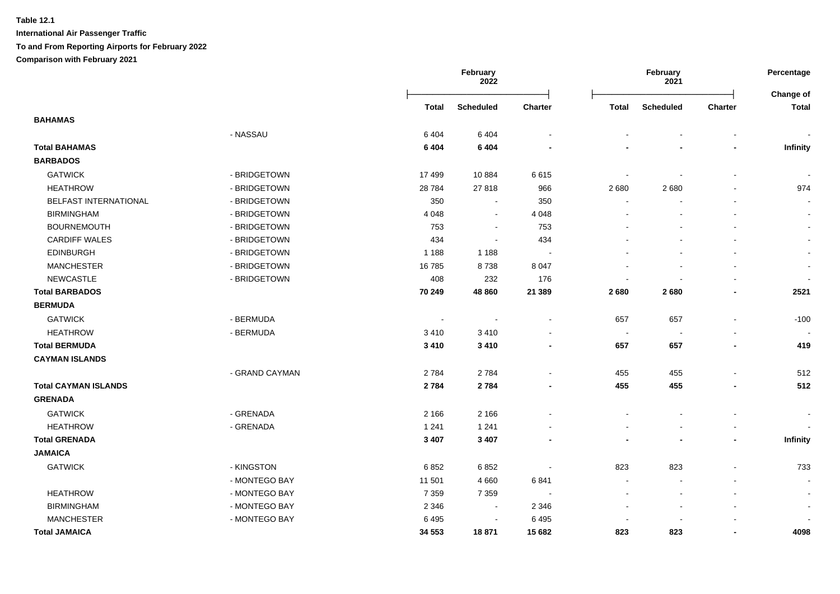|                             |                |              | February<br>2022 |                          | February<br>2021         |                          | Percentage<br>Change of |                          |
|-----------------------------|----------------|--------------|------------------|--------------------------|--------------------------|--------------------------|-------------------------|--------------------------|
|                             |                | <b>Total</b> | <b>Scheduled</b> | Charter                  | <b>Total</b>             | <b>Scheduled</b>         | Charter                 | <b>Total</b>             |
| <b>BAHAMAS</b>              |                |              |                  |                          |                          |                          |                         |                          |
|                             | - NASSAU       | 6404         | 6 4 0 4          |                          |                          |                          |                         |                          |
| <b>Total BAHAMAS</b>        |                | 6 4 0 4      | 6 4 0 4          |                          |                          |                          |                         | <b>Infinity</b>          |
| <b>BARBADOS</b>             |                |              |                  |                          |                          |                          |                         |                          |
| <b>GATWICK</b>              | - BRIDGETOWN   | 17499        | 10884            | 6615                     | $\overline{\phantom{a}}$ |                          |                         |                          |
| <b>HEATHROW</b>             | - BRIDGETOWN   | 28 7 84      | 27818            | 966                      | 2680                     | 2680                     |                         | 974                      |
| BELFAST INTERNATIONAL       | - BRIDGETOWN   | 350          | $\sim$           | 350                      |                          |                          |                         | $\blacksquare$           |
| <b>BIRMINGHAM</b>           | - BRIDGETOWN   | 4 0 4 8      | $\blacksquare$   | 4 0 48                   |                          |                          |                         |                          |
| <b>BOURNEMOUTH</b>          | - BRIDGETOWN   | 753          | $\blacksquare$   | 753                      |                          |                          |                         | $\blacksquare$           |
| <b>CARDIFF WALES</b>        | - BRIDGETOWN   | 434          | $\blacksquare$   | 434                      |                          |                          |                         |                          |
| <b>EDINBURGH</b>            | - BRIDGETOWN   | 1 1 8 8      | 1 1 8 8          |                          |                          |                          |                         | $\sim$                   |
| <b>MANCHESTER</b>           | - BRIDGETOWN   | 16785        | 8738             | 8 0 4 7                  |                          |                          |                         | $\overline{\phantom{a}}$ |
| <b>NEWCASTLE</b>            | - BRIDGETOWN   | 408          | 232              | 176                      |                          |                          |                         | $\blacksquare$           |
| <b>Total BARBADOS</b>       |                | 70 249       | 48 860           | 21 3 8 9                 | 2680                     | 2680                     |                         | 2521                     |
| <b>BERMUDA</b>              |                |              |                  |                          |                          |                          |                         |                          |
| <b>GATWICK</b>              | - BERMUDA      |              |                  |                          | 657                      | 657                      |                         | $-100$                   |
| <b>HEATHROW</b>             | - BERMUDA      | 3410         | 3410             |                          | $\sim$                   |                          |                         |                          |
| <b>Total BERMUDA</b>        |                | 3 4 1 0      | 3 4 1 0          |                          | 657                      | 657                      |                         | 419                      |
| <b>CAYMAN ISLANDS</b>       |                |              |                  |                          |                          |                          |                         |                          |
|                             | - GRAND CAYMAN | 2784         | 2784             |                          | 455                      | 455                      |                         | 512                      |
| <b>Total CAYMAN ISLANDS</b> |                | 2 7 8 4      | 2784             |                          | 455                      | 455                      |                         | 512                      |
| <b>GRENADA</b>              |                |              |                  |                          |                          |                          |                         |                          |
| <b>GATWICK</b>              | - GRENADA      | 2 1 6 6      | 2 1 6 6          |                          |                          |                          |                         |                          |
| <b>HEATHROW</b>             | - GRENADA      | 1 2 4 1      | 1 2 4 1          |                          |                          |                          |                         |                          |
| <b>Total GRENADA</b>        |                | 3 4 0 7      | 3 4 0 7          |                          |                          |                          |                         | Infinity                 |
| <b>JAMAICA</b>              |                |              |                  |                          |                          |                          |                         |                          |
| <b>GATWICK</b>              | - KINGSTON     | 6852         | 6852             |                          | 823                      | 823                      |                         | 733                      |
|                             | - MONTEGO BAY  | 11 501       | 4 6 6 0          | 6841                     |                          |                          |                         | $\sim$                   |
| <b>HEATHROW</b>             | - MONTEGO BAY  | 7 3 5 9      | 7 3 5 9          | $\overline{\phantom{a}}$ |                          | $\overline{\phantom{a}}$ |                         | $\blacksquare$           |
| <b>BIRMINGHAM</b>           | - MONTEGO BAY  | 2 3 4 6      | $\blacksquare$   | 2 3 4 6                  |                          |                          |                         | $\overline{\phantom{a}}$ |
| <b>MANCHESTER</b>           | - MONTEGO BAY  | 6495         | $\sim$           | 6495                     |                          |                          |                         |                          |
| <b>Total JAMAICA</b>        |                | 34 553       | 18871            | 15 682                   | 823                      | 823                      |                         | 4098                     |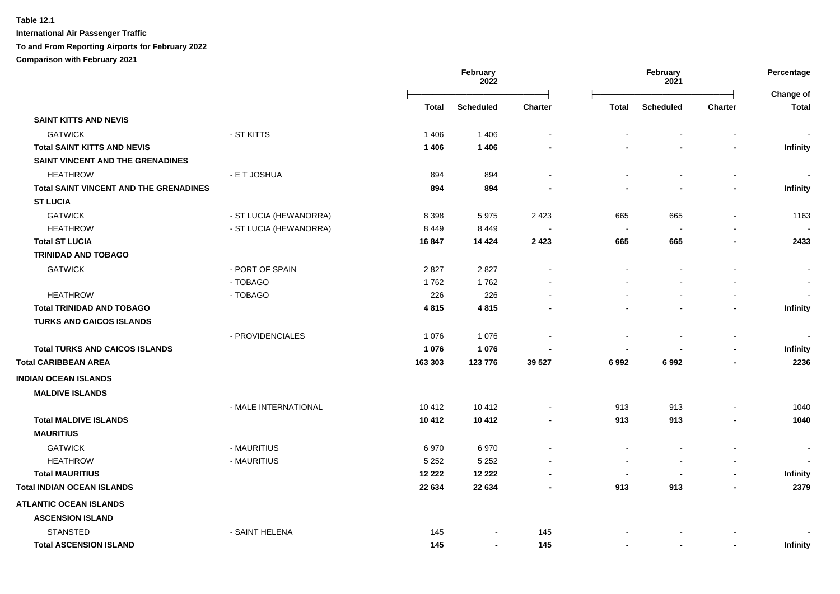**International Air Passenger Traffic**

## **To and From Reporting Airports for February 2022**

**Comparison with February 2021**

|                                               |                        |         | February<br>February<br>2022<br>2021 |                | Percentage<br>Change of  |                  |                          |                          |
|-----------------------------------------------|------------------------|---------|--------------------------------------|----------------|--------------------------|------------------|--------------------------|--------------------------|
|                                               |                        | Total   | Scheduled                            | <b>Charter</b> | <b>Total</b>             | <b>Scheduled</b> | <b>Charter</b>           | <b>Total</b>             |
| <b>SAINT KITTS AND NEVIS</b>                  |                        |         |                                      |                |                          |                  |                          |                          |
| <b>GATWICK</b>                                | - ST KITTS             | 1 4 0 6 | 1406                                 |                |                          |                  |                          |                          |
| <b>Total SAINT KITTS AND NEVIS</b>            |                        | 1 4 0 6 | 1 4 0 6                              |                |                          |                  |                          | Infinity                 |
| SAINT VINCENT AND THE GRENADINES              |                        |         |                                      |                |                          |                  |                          |                          |
| <b>HEATHROW</b>                               | - E T JOSHUA           | 894     | 894                                  |                |                          |                  | $\blacksquare$           |                          |
| <b>Total SAINT VINCENT AND THE GRENADINES</b> |                        | 894     | 894                                  |                |                          |                  |                          | Infinity                 |
| <b>ST LUCIA</b>                               |                        |         |                                      |                |                          |                  |                          |                          |
| <b>GATWICK</b>                                | - ST LUCIA (HEWANORRA) | 8 3 9 8 | 5975                                 | 2 4 2 3        | 665                      | 665              | $\overline{a}$           | 1163                     |
| <b>HEATHROW</b>                               | - ST LUCIA (HEWANORRA) | 8 4 4 9 | 8 4 4 9                              |                | $\sim$                   |                  |                          |                          |
| <b>Total ST LUCIA</b>                         |                        | 16847   | 14 4 24                              | 2 4 2 3        | 665                      | 665              |                          | 2433                     |
| <b>TRINIDAD AND TOBAGO</b>                    |                        |         |                                      |                |                          |                  |                          |                          |
| <b>GATWICK</b>                                | - PORT OF SPAIN        | 2827    | 2827                                 |                |                          |                  |                          |                          |
|                                               | - TOBAGO               | 1762    | 1762                                 |                |                          |                  |                          |                          |
| <b>HEATHROW</b>                               | - TOBAGO               | 226     | 226                                  |                |                          |                  |                          |                          |
| <b>Total TRINIDAD AND TOBAGO</b>              |                        | 4815    | 4815                                 |                |                          |                  |                          | <b>Infinity</b>          |
| <b>TURKS AND CAICOS ISLANDS</b>               |                        |         |                                      |                |                          |                  |                          |                          |
|                                               | - PROVIDENCIALES       | 1 0 7 6 | 1076                                 |                |                          |                  | $\overline{a}$           |                          |
| <b>Total TURKS AND CAICOS ISLANDS</b>         |                        | 1 0 7 6 | 1 0 7 6                              |                |                          |                  | $\blacksquare$           | Infinity                 |
| <b>Total CARIBBEAN AREA</b>                   |                        | 163 303 | 123 776                              | 39 527         | 6992                     | 6992             |                          | 2236                     |
| <b>INDIAN OCEAN ISLANDS</b>                   |                        |         |                                      |                |                          |                  |                          |                          |
| <b>MALDIVE ISLANDS</b>                        |                        |         |                                      |                |                          |                  |                          |                          |
|                                               | - MALE INTERNATIONAL   | 10 412  | 10 412                               |                | 913                      | 913              |                          | 1040                     |
| <b>Total MALDIVE ISLANDS</b>                  |                        | 10 412  | 10 412                               |                | 913                      | 913              |                          | 1040                     |
| <b>MAURITIUS</b>                              |                        |         |                                      |                |                          |                  |                          |                          |
| <b>GATWICK</b>                                | - MAURITIUS            | 6970    | 6970                                 |                |                          |                  |                          | $\overline{\phantom{a}}$ |
| <b>HEATHROW</b>                               | - MAURITIUS            | 5 2 5 2 | 5 2 5 2                              |                |                          |                  |                          |                          |
| <b>Total MAURITIUS</b>                        |                        | 12 222  | 12 222                               |                | $\overline{\phantom{a}}$ |                  | $\overline{\phantom{a}}$ | Infinity                 |
| <b>Total INDIAN OCEAN ISLANDS</b>             |                        | 22 634  | 22 634                               |                | 913                      | 913              | $\blacksquare$           | 2379                     |
| <b>ATLANTIC OCEAN ISLANDS</b>                 |                        |         |                                      |                |                          |                  |                          |                          |
| <b>ASCENSION ISLAND</b>                       |                        |         |                                      |                |                          |                  |                          |                          |
| <b>STANSTED</b>                               | - SAINT HELENA         | 145     |                                      | 145            |                          |                  |                          |                          |
| <b>Total ASCENSION ISLAND</b>                 |                        | 145     | $\blacksquare$                       | 145            |                          |                  | $\blacksquare$           | <b>Infinity</b>          |
|                                               |                        |         |                                      |                |                          |                  |                          |                          |